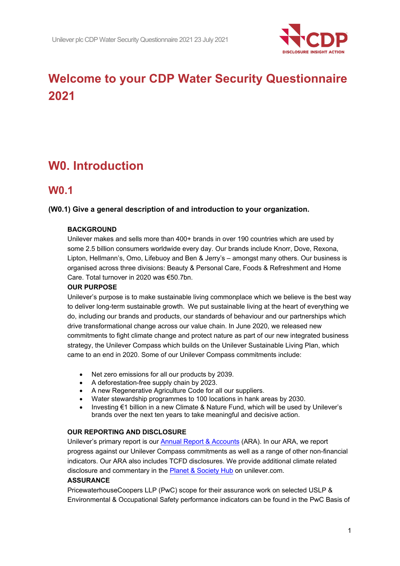

# **Welcome to your CDP Water Security Questionnaire 2021**

# **W0. Introduction**

## **W0.1**

### **(W0.1) Give a general description of and introduction to your organization.**

### **BACKGROUND**

Unilever makes and sells more than 400+ brands in over 190 countries which are used by some 2.5 billion consumers worldwide every day. Our brands include Knorr, Dove, Rexona, Lipton, Hellmann's, Omo, Lifebuoy and Ben & Jerry's – amongst many others. Our business is organised across three divisions: Beauty & Personal Care, Foods & Refreshment and Home Care. Total turnover in 2020 was €50.7bn.

### **OUR PURPOSE**

Unilever's purpose is to make sustainable living commonplace which we believe is the best way to deliver long-term sustainable growth.  We put sustainable living at the heart of everything we do, including our brands and products, our standards of behaviour and our partnerships which drive transformational change across our value chain. In June 2020, we released new commitments to fight climate change and protect nature as part of our new integrated business strategy, the Unilever Compass which builds on the Unilever Sustainable Living Plan, which came to an end in 2020. Some of our Unilever Compass commitments include:

- Net zero emissions for all our products by 2039.
- A deforestation-free supply chain by 2023.
- A new Regenerative Agriculture Code for all our suppliers.
- Water stewardship programmes to 100 locations in hank areas by 2030.
- Investing €1 billion in a new Climate & Nature Fund, which will be used by Unilever's brands over the next ten years to take meaningful and decisive action.

### **OUR REPORTING AND DISCLOSURE**

Unilever's primary report is our [Annual Report & Accounts](https://www.unilever.com/Images/annual-report-and-accounts-2020_tcm244-559824_en.pdf) (ARA). In our ARA, we report progress against our Unilever Compass commitments as well as a range of other non-financial indicators. Our ARA also includes TCFD disclosures. We provide additional climate related disclosure and commentary in the **Planet & Society Hub** on unilever.com.

### **ASSURANCE**

PricewaterhouseCoopers LLP (PwC) scope for their assurance work on selected USLP & Environmental & Occupational Safety performance indicators can be found in the PwC Basis of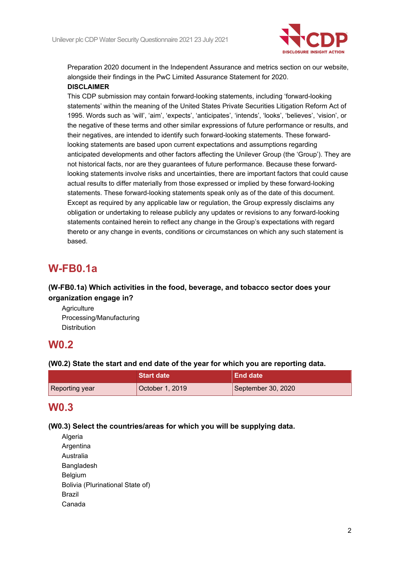

Preparation 2020 document in the Independent Assurance and metrics section on our website, alongside their findings in the PwC Limited Assurance Statement for 2020.  **DISCLAIMER**

This CDP submission may contain forward-looking statements, including 'forward-looking statements' within the meaning of the United States Private Securities Litigation Reform Act of 1995. Words such as 'will', 'aim', 'expects', 'anticipates', 'intends', 'looks', 'believes', 'vision', or the negative of these terms and other similar expressions of future performance or results, and their negatives, are intended to identify such forward-looking statements. These forwardlooking statements are based upon current expectations and assumptions regarding anticipated developments and other factors affecting the Unilever Group (the 'Group'). They are not historical facts, nor are they guarantees of future performance. Because these forwardlooking statements involve risks and uncertainties, there are important factors that could cause actual results to differ materially from those expressed or implied by these forward-looking statements. These forward-looking statements speak only as of the date of this document. Except as required by any applicable law or regulation, the Group expressly disclaims any obligation or undertaking to release publicly any updates or revisions to any forward-looking statements contained herein to reflect any change in the Group's expectations with regard thereto or any change in events, conditions or circumstances on which any such statement is based.     

## **W-FB0.1a**

### **(W-FB0.1a) Which activities in the food, beverage, and tobacco sector does your organization engage in?**

**Agriculture** Processing/Manufacturing Distribution

## **W0.2**

### **(W0.2) State the start and end date of the year for which you are reporting data.**

|                | <b>Start date</b> | <b>End date</b>    |
|----------------|-------------------|--------------------|
| Reporting year | October 1, 2019   | September 30, 2020 |

## **W0.3**

### **(W0.3) Select the countries/areas for which you will be supplying data.**

Algeria Argentina Australia Bangladesh **Belgium** Bolivia (Plurinational State of) Brazil Canada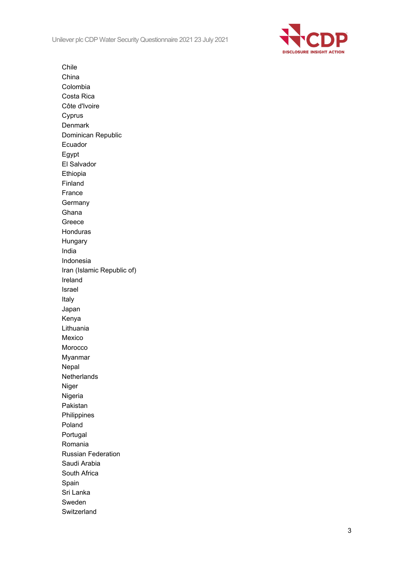Unilever plc CDP Water Security Questionnaire 2021 23 July 2021



Chile China Colombia Costa Rica Côte d'Ivoire Cyprus Denmark Dominican Republic Ecuador Egypt El Salvador Ethiopia Finland France **Germany** Ghana Greece Honduras Hungary India Indonesia Iran (Islamic Republic of) Ireland Israel Italy Japan Kenya Lithuania Mexico Morocco Myanmar Nepal **Netherlands** Niger Nigeria Pakistan Philippines Poland Portugal Romania Russian Federation Saudi Arabia South Africa Spain Sri Lanka Sweden **Switzerland**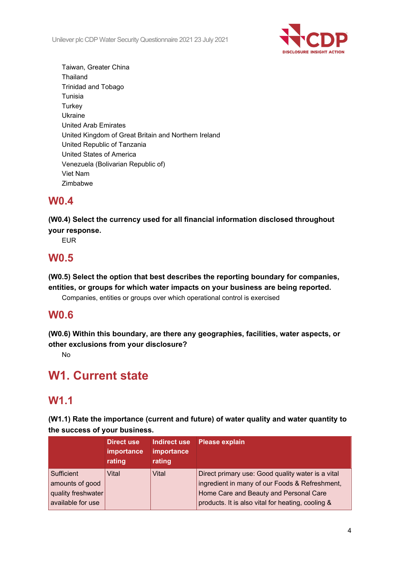

Taiwan, Greater China **Thailand** Trinidad and Tobago Tunisia **Turkey** Ukraine United Arab Emirates United Kingdom of Great Britain and Northern Ireland United Republic of Tanzania United States of America Venezuela (Bolivarian Republic of) Viet Nam Zimbabwe

## **W0.4**

**(W0.4) Select the currency used for all financial information disclosed throughout your response.**

EUR

## **W0.5**

**(W0.5) Select the option that best describes the reporting boundary for companies, entities, or groups for which water impacts on your business are being reported.**

Companies, entities or groups over which operational control is exercised

## **W0.6**

**(W0.6) Within this boundary, are there any geographies, facilities, water aspects, or other exclusions from your disclosure?**

No

# **W1. Current state**

## **W1.1**

**(W1.1) Rate the importance (current and future) of water quality and water quantity to the success of your business.**

|                                                                          | <b>Direct use</b><br><b>importance</b><br>rating | Indirect use<br>importance<br>rating | <b>Please explain</b>                                                                                                                                                                              |
|--------------------------------------------------------------------------|--------------------------------------------------|--------------------------------------|----------------------------------------------------------------------------------------------------------------------------------------------------------------------------------------------------|
| Sufficient<br>amounts of good<br>quality freshwater<br>available for use | Vital                                            | Vital                                | Direct primary use: Good quality water is a vital<br>ingredient in many of our Foods & Refreshment,<br>Home Care and Beauty and Personal Care<br>products. It is also vital for heating, cooling & |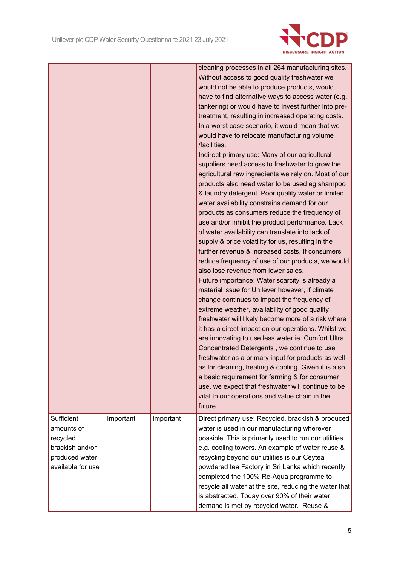

|                                                                                                 |           |           | cleaning processes in all 264 manufacturing sites.<br>Without access to good quality freshwater we<br>would not be able to produce products, would<br>have to find alternative ways to access water (e.g.<br>tankering) or would have to invest further into pre-<br>treatment, resulting in increased operating costs.<br>In a worst case scenario, it would mean that we<br>would have to relocate manufacturing volume<br>/facilities.<br>Indirect primary use: Many of our agricultural<br>suppliers need access to freshwater to grow the<br>agricultural raw ingredients we rely on. Most of our<br>products also need water to be used eg shampoo<br>& laundry detergent. Poor quality water or limited<br>water availability constrains demand for our<br>products as consumers reduce the frequency of<br>use and/or inhibit the product performance. Lack<br>of water availability can translate into lack of<br>supply & price volatility for us, resulting in the<br>further revenue & increased costs. If consumers<br>reduce frequency of use of our products, we would<br>also lose revenue from lower sales.<br>Future importance: Water scarcity is already a<br>material issue for Unilever however, if climate<br>change continues to impact the frequency of<br>extreme weather, availability of good quality<br>freshwater will likely become more of a risk where<br>it has a direct impact on our operations. Whilst we<br>are innovating to use less water ie Comfort Ultra<br>Concentrated Detergents, we continue to use<br>freshwater as a primary input for products as well<br>as for cleaning, heating & cooling. Given it is also<br>a basic requirement for farming & for consumer<br>use, we expect that freshwater will continue to be<br>vital to our operations and value chain in the<br>future. |
|-------------------------------------------------------------------------------------------------|-----------|-----------|---------------------------------------------------------------------------------------------------------------------------------------------------------------------------------------------------------------------------------------------------------------------------------------------------------------------------------------------------------------------------------------------------------------------------------------------------------------------------------------------------------------------------------------------------------------------------------------------------------------------------------------------------------------------------------------------------------------------------------------------------------------------------------------------------------------------------------------------------------------------------------------------------------------------------------------------------------------------------------------------------------------------------------------------------------------------------------------------------------------------------------------------------------------------------------------------------------------------------------------------------------------------------------------------------------------------------------------------------------------------------------------------------------------------------------------------------------------------------------------------------------------------------------------------------------------------------------------------------------------------------------------------------------------------------------------------------------------------------------------------------------------------------------------------------------------------------------------|
| Sufficient<br>amounts of<br>recycled,<br>brackish and/or<br>produced water<br>available for use | Important | Important | Direct primary use: Recycled, brackish & produced<br>water is used in our manufacturing wherever<br>possible. This is primarily used to run our utilities<br>e.g. cooling towers. An example of water reuse &<br>recycling beyond our utilities is our Ceytea<br>powdered tea Factory in Sri Lanka which recently<br>completed the 100% Re-Aqua programme to<br>recycle all water at the site, reducing the water that<br>is abstracted. Today over 90% of their water<br>demand is met by recycled water. Reuse &                                                                                                                                                                                                                                                                                                                                                                                                                                                                                                                                                                                                                                                                                                                                                                                                                                                                                                                                                                                                                                                                                                                                                                                                                                                                                                                    |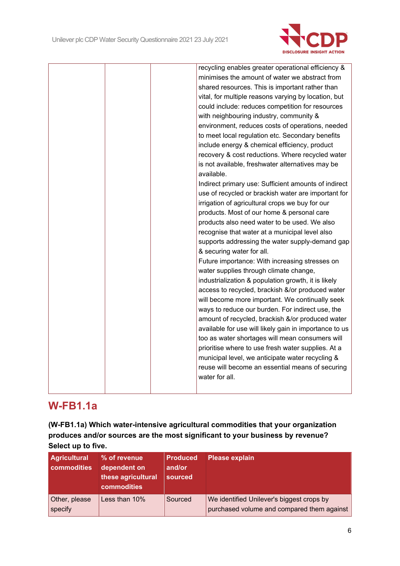

| recycling enables greater operational efficiency &     |
|--------------------------------------------------------|
| minimises the amount of water we abstract from         |
| shared resources. This is important rather than        |
| vital, for multiple reasons varying by location, but   |
| could include: reduces competition for resources       |
|                                                        |
| with neighbouring industry, community &                |
| environment, reduces costs of operations, needed       |
| to meet local regulation etc. Secondary benefits       |
| include energy & chemical efficiency, product          |
| recovery & cost reductions. Where recycled water       |
| is not available, freshwater alternatives may be       |
| available.                                             |
| Indirect primary use: Sufficient amounts of indirect   |
| use of recycled or brackish water are important for    |
| irrigation of agricultural crops we buy for our        |
| products. Most of our home & personal care             |
| products also need water to be used. We also           |
| recognise that water at a municipal level also         |
| supports addressing the water supply-demand gap        |
| & securing water for all.                              |
| Future importance: With increasing stresses on         |
| water supplies through climate change,                 |
| industrialization & population growth, it is likely    |
| access to recycled, brackish &/or produced water       |
| will become more important. We continually seek        |
| ways to reduce our burden. For indirect use, the       |
| amount of recycled, brackish &/or produced water       |
| available for use will likely gain in importance to us |
| too as water shortages will mean consumers will        |
| prioritise where to use fresh water supplies. At a     |
| municipal level, we anticipate water recycling &       |
| reuse will become an essential means of securing       |
| water for all.                                         |
|                                                        |
|                                                        |

## **W-FB1.1a**

**(W-FB1.1a) Which water-intensive agricultural commodities that your organization produces and/or sources are the most significant to your business by revenue? Select up to five.**

| <b>Agricultural</b><br>commodities | % of revenue<br>dependent on<br>these agricultural<br><b>commodities</b> | <b>Produced</b><br>and/or<br>sourced | <b>Please explain</b>                                                                   |
|------------------------------------|--------------------------------------------------------------------------|--------------------------------------|-----------------------------------------------------------------------------------------|
| Other, please<br>specify           | Less than 10%                                                            | Sourced                              | We identified Unilever's biggest crops by<br>purchased volume and compared them against |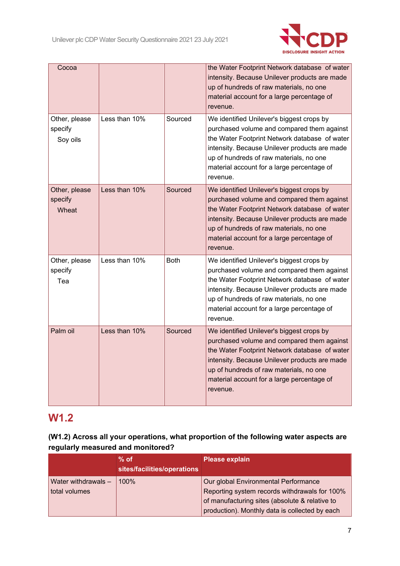

| Cocoa                                |               |             | the Water Footprint Network database of water<br>intensity. Because Unilever products are made<br>up of hundreds of raw materials, no one<br>material account for a large percentage of<br>revenue.                                                                                            |
|--------------------------------------|---------------|-------------|------------------------------------------------------------------------------------------------------------------------------------------------------------------------------------------------------------------------------------------------------------------------------------------------|
| Other, please<br>specify<br>Soy oils | Less than 10% | Sourced     | We identified Unilever's biggest crops by<br>purchased volume and compared them against<br>the Water Footprint Network database of water<br>intensity. Because Unilever products are made<br>up of hundreds of raw materials, no one<br>material account for a large percentage of<br>revenue. |
| Other, please<br>specify<br>Wheat    | Less than 10% | Sourced     | We identified Unilever's biggest crops by<br>purchased volume and compared them against<br>the Water Footprint Network database of water<br>intensity. Because Unilever products are made<br>up of hundreds of raw materials, no one<br>material account for a large percentage of<br>revenue. |
| Other, please<br>specify<br>Tea      | Less than 10% | <b>Both</b> | We identified Unilever's biggest crops by<br>purchased volume and compared them against<br>the Water Footprint Network database of water<br>intensity. Because Unilever products are made<br>up of hundreds of raw materials, no one<br>material account for a large percentage of<br>revenue. |
| Palm oil                             | Less than 10% | Sourced     | We identified Unilever's biggest crops by<br>purchased volume and compared them against<br>the Water Footprint Network database of water<br>intensity. Because Unilever products are made<br>up of hundreds of raw materials, no one<br>material account for a large percentage of<br>revenue. |

## **W1.2**

### **(W1.2) Across all your operations, what proportion of the following water aspects are regularly measured and monitored?**

|                                      | $%$ of<br>sites/facilities/operations | <b>Please explain</b>                                                                                                                                                                     |
|--------------------------------------|---------------------------------------|-------------------------------------------------------------------------------------------------------------------------------------------------------------------------------------------|
| Water withdrawals -<br>total volumes | $100\%$                               | Our global Environmental Performance<br>Reporting system records withdrawals for 100%<br>of manufacturing sites (absolute & relative to<br>production). Monthly data is collected by each |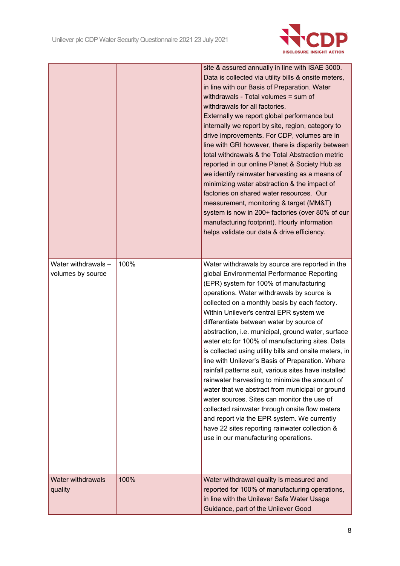

|                                          |      | site & assured annually in line with ISAE 3000.<br>Data is collected via utility bills & onsite meters,<br>in line with our Basis of Preparation. Water<br>withdrawals - Total volumes = sum of<br>withdrawals for all factories.<br>Externally we report global performance but<br>internally we report by site, region, category to<br>drive improvements. For CDP, volumes are in<br>line with GRI however, there is disparity between<br>total withdrawals & the Total Abstraction metric<br>reported in our online Planet & Society Hub as<br>we identify rainwater harvesting as a means of<br>minimizing water abstraction & the impact of<br>factories on shared water resources. Our<br>measurement, monitoring & target (MM&T)<br>system is now in 200+ factories (over 80% of our<br>manufacturing footprint). Hourly information<br>helps validate our data & drive efficiency.                                                                 |
|------------------------------------------|------|-------------------------------------------------------------------------------------------------------------------------------------------------------------------------------------------------------------------------------------------------------------------------------------------------------------------------------------------------------------------------------------------------------------------------------------------------------------------------------------------------------------------------------------------------------------------------------------------------------------------------------------------------------------------------------------------------------------------------------------------------------------------------------------------------------------------------------------------------------------------------------------------------------------------------------------------------------------|
| Water withdrawals -<br>volumes by source | 100% | Water withdrawals by source are reported in the<br>global Environmental Performance Reporting<br>(EPR) system for 100% of manufacturing<br>operations. Water withdrawals by source is<br>collected on a monthly basis by each factory.<br>Within Unilever's central EPR system we<br>differentiate between water by source of<br>abstraction, i.e. municipal, ground water, surface<br>water etc for 100% of manufacturing sites. Data<br>is collected using utility bills and onsite meters, in<br>line with Unilever's Basis of Preparation. Where<br>rainfall patterns suit, various sites have installed<br>rainwater harvesting to minimize the amount of<br>water that we abstract from municipal or ground<br>water sources. Sites can monitor the use of<br>collected rainwater through onsite flow meters<br>and report via the EPR system. We currently<br>have 22 sites reporting rainwater collection &<br>use in our manufacturing operations. |
| <b>Water withdrawals</b><br>quality      | 100% | Water withdrawal quality is measured and<br>reported for 100% of manufacturing operations,<br>in line with the Unilever Safe Water Usage<br>Guidance, part of the Unilever Good                                                                                                                                                                                                                                                                                                                                                                                                                                                                                                                                                                                                                                                                                                                                                                             |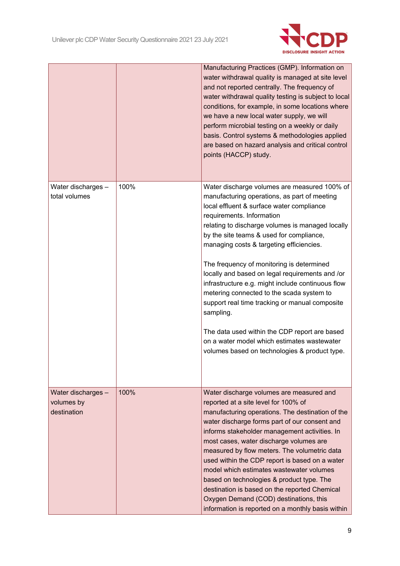

|                                                 |      | Manufacturing Practices (GMP). Information on<br>water withdrawal quality is managed at site level<br>and not reported centrally. The frequency of<br>water withdrawal quality testing is subject to local<br>conditions, for example, in some locations where<br>we have a new local water supply, we will<br>perform microbial testing on a weekly or daily<br>basis. Control systems & methodologies applied<br>are based on hazard analysis and critical control<br>points (HACCP) study.                                                                                                                                                                                                                                        |
|-------------------------------------------------|------|--------------------------------------------------------------------------------------------------------------------------------------------------------------------------------------------------------------------------------------------------------------------------------------------------------------------------------------------------------------------------------------------------------------------------------------------------------------------------------------------------------------------------------------------------------------------------------------------------------------------------------------------------------------------------------------------------------------------------------------|
| Water discharges -<br>total volumes             | 100% | Water discharge volumes are measured 100% of<br>manufacturing operations, as part of meeting<br>local effluent & surface water compliance<br>requirements. Information<br>relating to discharge volumes is managed locally<br>by the site teams & used for compliance,<br>managing costs & targeting efficiencies.<br>The frequency of monitoring is determined<br>locally and based on legal requirements and /or<br>infrastructure e.g. might include continuous flow<br>metering connected to the scada system to<br>support real time tracking or manual composite<br>sampling.<br>The data used within the CDP report are based<br>on a water model which estimates wastewater<br>volumes based on technologies & product type. |
| Water discharges -<br>volumes by<br>destination | 100% | Water discharge volumes are measured and<br>reported at a site level for 100% of<br>manufacturing operations. The destination of the<br>water discharge forms part of our consent and<br>informs stakeholder management activities. In<br>most cases, water discharge volumes are<br>measured by flow meters. The volumetric data<br>used within the CDP report is based on a water<br>model which estimates wastewater volumes<br>based on technologies & product type. The<br>destination is based on the reported Chemical<br>Oxygen Demand (COD) destinations, this<br>information is reported on a monthly basis within                                                                                                         |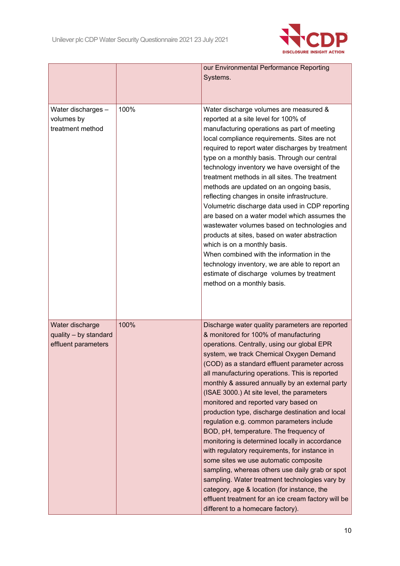

|                                                      |      | our Environmental Performance Reporting<br>Systems.                                                                                                                                                                                                                                                                                                                                                                                                                                                                                                                                                                                                                                                                                                                                                                                                                                                                |
|------------------------------------------------------|------|--------------------------------------------------------------------------------------------------------------------------------------------------------------------------------------------------------------------------------------------------------------------------------------------------------------------------------------------------------------------------------------------------------------------------------------------------------------------------------------------------------------------------------------------------------------------------------------------------------------------------------------------------------------------------------------------------------------------------------------------------------------------------------------------------------------------------------------------------------------------------------------------------------------------|
| Water discharges -<br>volumes by<br>treatment method | 100% | Water discharge volumes are measured &<br>reported at a site level for 100% of<br>manufacturing operations as part of meeting<br>local compliance requirements. Sites are not<br>required to report water discharges by treatment<br>type on a monthly basis. Through our central<br>technology inventory we have oversight of the<br>treatment methods in all sites. The treatment<br>methods are updated on an ongoing basis,<br>reflecting changes in onsite infrastructure.<br>Volumetric discharge data used in CDP reporting<br>are based on a water model which assumes the<br>wastewater volumes based on technologies and<br>products at sites, based on water abstraction<br>which is on a monthly basis.<br>When combined with the information in the<br>technology inventory, we are able to report an<br>estimate of discharge volumes by treatment<br>method on a monthly basis.                     |
| Water discharge                                      | 100% | Discharge water quality parameters are reported                                                                                                                                                                                                                                                                                                                                                                                                                                                                                                                                                                                                                                                                                                                                                                                                                                                                    |
| quality - by standard<br>effluent parameters         |      | & monitored for 100% of manufacturing<br>operations. Centrally, using our global EPR<br>system, we track Chemical Oxygen Demand<br>(COD) as a standard effluent parameter across<br>all manufacturing operations. This is reported<br>monthly & assured annually by an external party<br>(ISAE 3000.) At site level, the parameters<br>monitored and reported vary based on<br>production type, discharge destination and local<br>regulation e.g. common parameters include<br>BOD, pH, temperature. The frequency of<br>monitoring is determined locally in accordance<br>with regulatory requirements, for instance in<br>some sites we use automatic composite<br>sampling, whereas others use daily grab or spot<br>sampling. Water treatment technologies vary by<br>category, age & location (for instance, the<br>effluent treatment for an ice cream factory will be<br>different to a homecare factory). |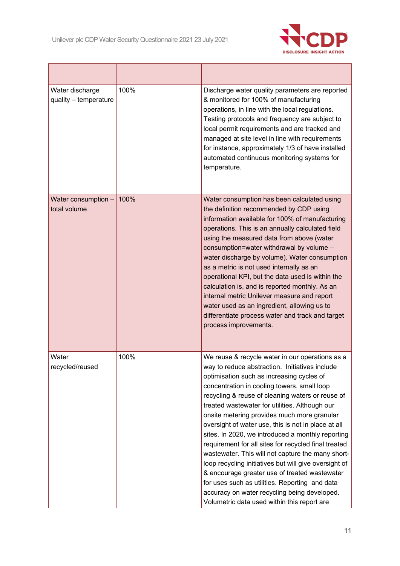$\mathsf{r}$ 

<u> 1989 - Johann Barn, mars an t-Amerikaansk ferskeider (</u>



| Water discharge<br>quality - temperature | 100% | Discharge water quality parameters are reported<br>& monitored for 100% of manufacturing<br>operations, in line with the local regulations.<br>Testing protocols and frequency are subject to<br>local permit requirements and are tracked and<br>managed at site level in line with requirements<br>for instance, approximately 1/3 of have installed<br>automated continuous monitoring systems for<br>temperature.                                                                                                                                                                                                                                                                                                                                                                                                                  |
|------------------------------------------|------|----------------------------------------------------------------------------------------------------------------------------------------------------------------------------------------------------------------------------------------------------------------------------------------------------------------------------------------------------------------------------------------------------------------------------------------------------------------------------------------------------------------------------------------------------------------------------------------------------------------------------------------------------------------------------------------------------------------------------------------------------------------------------------------------------------------------------------------|
| Water consumption -<br>total volume      | 100% | Water consumption has been calculated using<br>the definition recommended by CDP using<br>information available for 100% of manufacturing<br>operations. This is an annually calculated field<br>using the measured data from above (water<br>consumption=water withdrawal by volume -<br>water discharge by volume). Water consumption<br>as a metric is not used internally as an<br>operational KPI, but the data used is within the<br>calculation is, and is reported monthly. As an<br>internal metric Unilever measure and report<br>water used as an ingredient, allowing us to<br>differentiate process water and track and target<br>process improvements.                                                                                                                                                                   |
| Water<br>recycled/reused                 | 100% | We reuse & recycle water in our operations as a<br>way to reduce abstraction. Initiatives include<br>optimisation such as increasing cycles of<br>concentration in cooling towers, small loop<br>recycling & reuse of cleaning waters or reuse of<br>treated wastewater for utilities. Although our<br>onsite metering provides much more granular<br>oversight of water use, this is not in place at all<br>sites. In 2020, we introduced a monthly reporting<br>requirement for all sites for recycled final treated<br>wastewater. This will not capture the many short-<br>loop recycling initiatives but will give oversight of<br>& encourage greater use of treated wastewater<br>for uses such as utilities. Reporting and data<br>accuracy on water recycling being developed.<br>Volumetric data used within this report are |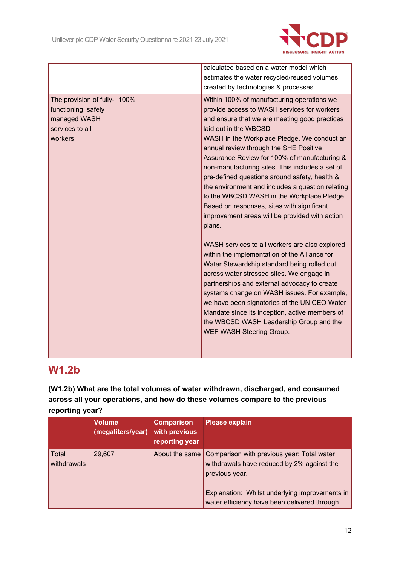

|                                                                                                      |      | calculated based on a water model which                                                                                                                                                                                                                                                                                                                                                                                                                                                                                                                                                                                      |
|------------------------------------------------------------------------------------------------------|------|------------------------------------------------------------------------------------------------------------------------------------------------------------------------------------------------------------------------------------------------------------------------------------------------------------------------------------------------------------------------------------------------------------------------------------------------------------------------------------------------------------------------------------------------------------------------------------------------------------------------------|
|                                                                                                      |      | estimates the water recycled/reused volumes                                                                                                                                                                                                                                                                                                                                                                                                                                                                                                                                                                                  |
|                                                                                                      |      | created by technologies & processes.                                                                                                                                                                                                                                                                                                                                                                                                                                                                                                                                                                                         |
| The provision of fully- $\vert$<br>functioning, safely<br>managed WASH<br>services to all<br>workers | 100% | Within 100% of manufacturing operations we<br>provide access to WASH services for workers<br>and ensure that we are meeting good practices<br>laid out in the WBCSD<br>WASH in the Workplace Pledge. We conduct an<br>annual review through the SHE Positive<br>Assurance Review for 100% of manufacturing &<br>non-manufacturing sites. This includes a set of<br>pre-defined questions around safety, health &<br>the environment and includes a question relating<br>to the WBCSD WASH in the Workplace Pledge.<br>Based on responses, sites with significant<br>improvement areas will be provided with action<br>plans. |
|                                                                                                      |      | WASH services to all workers are also explored<br>within the implementation of the Alliance for<br>Water Stewardship standard being rolled out<br>across water stressed sites. We engage in<br>partnerships and external advocacy to create<br>systems change on WASH issues. For example,<br>we have been signatories of the UN CEO Water<br>Mandate since its inception, active members of<br>the WBCSD WASH Leadership Group and the<br><b>WEF WASH Steering Group.</b>                                                                                                                                                   |

## **W1.2b**

**(W1.2b) What are the total volumes of water withdrawn, discharged, and consumed across all your operations, and how do these volumes compare to the previous reporting year?**

|                      | <b>Volume</b><br>(megaliters/year) | <b>Comparison</b><br>with previous<br>reporting year | <b>Please explain</b>                                                                                      |
|----------------------|------------------------------------|------------------------------------------------------|------------------------------------------------------------------------------------------------------------|
| Total<br>withdrawals | 29,607                             | About the same                                       | Comparison with previous year: Total water<br>withdrawals have reduced by 2% against the<br>previous year. |
|                      |                                    |                                                      | Explanation: Whilst underlying improvements in<br>water efficiency have been delivered through             |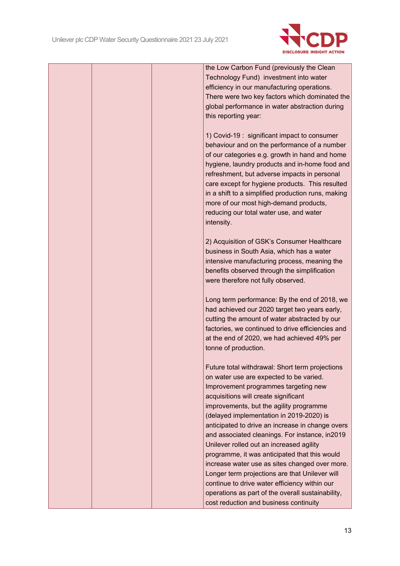

the Low Carbon Fund (previously the Clean Technology Fund) investment into water efficiency in our manufacturing operations. There were two key factors which dominated the global performance in water abstraction during this reporting year:

1) Covid-19 : significant impact to consumer behaviour and on the performance of a number of our categories e.g. growth in hand and home hygiene, laundry products and in-home food and refreshment, but adverse impacts in personal care except for hygiene products. This resulted in a shift to a simplified production runs, making more of our most high-demand products, reducing our total water use, and water intensity.

2) Acquisition of GSK's Consumer Healthcare business in South Asia, which has a water intensive manufacturing process, meaning the benefits observed through the simplification were therefore not fully observed.

Long term performance: By the end of 2018, we had achieved our 2020 target two vears early. cutting the amount of water abstracted by our factories, we continued to drive efficiencies and at the end of 2020, we had achieved 49% per tonne of production.

Future total withdrawal: Short term projections on water use are expected to be varied. Improvement programmes targeting new acquisitions will create significant improvements, but the agility programme (delayed implementation in 2019-2020) is anticipated to drive an increase in change overs and associated cleanings. For instance, in2019 Unilever rolled out an increased agility programme, it was anticipated that this would increase water use as sites changed over more. Longer term projections are that Unilever will continue to drive water efficiency within our operations as part of the overall sustainability, cost reduction and business continuity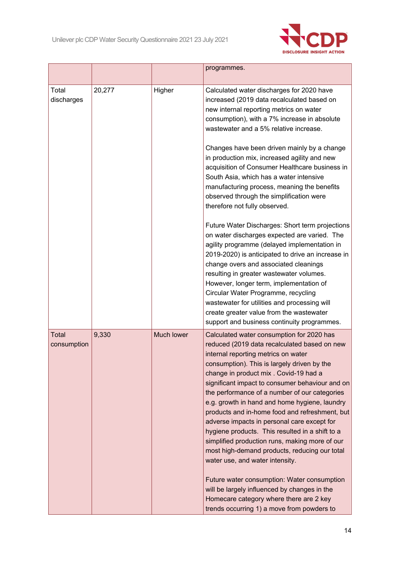

|                      |        |                   | programmes.                                                                                                                                                                                                                                                                                                                                                                                                                                                                                                                                                                                                                                                                                                                                                                                                                                                      |
|----------------------|--------|-------------------|------------------------------------------------------------------------------------------------------------------------------------------------------------------------------------------------------------------------------------------------------------------------------------------------------------------------------------------------------------------------------------------------------------------------------------------------------------------------------------------------------------------------------------------------------------------------------------------------------------------------------------------------------------------------------------------------------------------------------------------------------------------------------------------------------------------------------------------------------------------|
| Total<br>discharges  | 20,277 | Higher            | Calculated water discharges for 2020 have<br>increased (2019 data recalculated based on<br>new internal reporting metrics on water<br>consumption), with a 7% increase in absolute<br>wastewater and a 5% relative increase.                                                                                                                                                                                                                                                                                                                                                                                                                                                                                                                                                                                                                                     |
|                      |        |                   | Changes have been driven mainly by a change<br>in production mix, increased agility and new<br>acquisition of Consumer Healthcare business in<br>South Asia, which has a water intensive<br>manufacturing process, meaning the benefits<br>observed through the simplification were<br>therefore not fully observed.                                                                                                                                                                                                                                                                                                                                                                                                                                                                                                                                             |
|                      |        |                   | Future Water Discharges: Short term projections<br>on water discharges expected are varied. The<br>agility programme (delayed implementation in<br>2019-2020) is anticipated to drive an increase in<br>change overs and associated cleanings<br>resulting in greater wastewater volumes.<br>However, longer term, implementation of<br>Circular Water Programme, recycling<br>wastewater for utilities and processing will<br>create greater value from the wastewater<br>support and business continuity programmes.                                                                                                                                                                                                                                                                                                                                           |
| Total<br>consumption | 9,330  | <b>Much lower</b> | Calculated water consumption for 2020 has<br>reduced (2019 data recalculated based on new<br>internal reporting metrics on water<br>consumption). This is largely driven by the<br>change in product mix . Covid-19 had a<br>significant impact to consumer behaviour and on<br>the performance of a number of our categories<br>e.g. growth in hand and home hygiene, laundry<br>products and in-home food and refreshment, but<br>adverse impacts in personal care except for<br>hygiene products. This resulted in a shift to a<br>simplified production runs, making more of our<br>most high-demand products, reducing our total<br>water use, and water intensity.<br>Future water consumption: Water consumption<br>will be largely influenced by changes in the<br>Homecare category where there are 2 key<br>trends occurring 1) a move from powders to |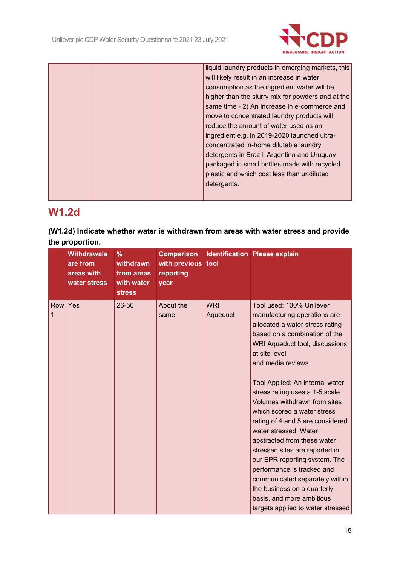

|  |  | liquid laundry products in emerging markets, this |
|--|--|---------------------------------------------------|
|  |  | will likely result in an increase in water        |
|  |  | consumption as the ingredient water will be       |
|  |  | higher than the slurry mix for powders and at the |
|  |  | same time - 2) An increase in e-commerce and      |
|  |  | move to concentrated laundry products will        |
|  |  | reduce the amount of water used as an             |
|  |  | ingredient e.g. in 2019-2020 launched ultra-      |
|  |  | concentrated in-home dilutable laundry            |
|  |  | detergents in Brazil, Argentina and Uruguay       |
|  |  | packaged in small bottles made with recycled      |
|  |  | plastic and which cost less than undiluted        |
|  |  | detergents.                                       |
|  |  |                                                   |
|  |  |                                                   |

## **W1.2d**

**(W1.2d) Indicate whether water is withdrawn from areas with water stress and provide the proportion.**

|          | <b>Withdrawals</b><br>are from<br>areas with<br>water stress | %<br>withdrawn<br>from areas<br>with water<br><b>stress</b> | with previous tool<br>reporting<br>year |                        | <b>Comparison Identification Please explain</b>                                                                                                                                                                                                                                                                                                                                                                                                                                                                                                                                                                                                                            |
|----------|--------------------------------------------------------------|-------------------------------------------------------------|-----------------------------------------|------------------------|----------------------------------------------------------------------------------------------------------------------------------------------------------------------------------------------------------------------------------------------------------------------------------------------------------------------------------------------------------------------------------------------------------------------------------------------------------------------------------------------------------------------------------------------------------------------------------------------------------------------------------------------------------------------------|
| Row<br>1 | Yes                                                          | 26-50                                                       | About the<br>same                       | <b>WRI</b><br>Aqueduct | Tool used: 100% Unilever<br>manufacturing operations are<br>allocated a water stress rating<br>based on a combination of the<br>WRI Aqueduct tool, discussions<br>at site level<br>and media reviews.<br>Tool Applied: An internal water<br>stress rating uses a 1-5 scale.<br>Volumes withdrawn from sites<br>which scored a water stress<br>rating of 4 and 5 are considered<br>water stressed. Water<br>abstracted from these water<br>stressed sites are reported in<br>our EPR reporting system. The<br>performance is tracked and<br>communicated separately within<br>the business on a quarterly<br>basis, and more ambitious<br>targets applied to water stressed |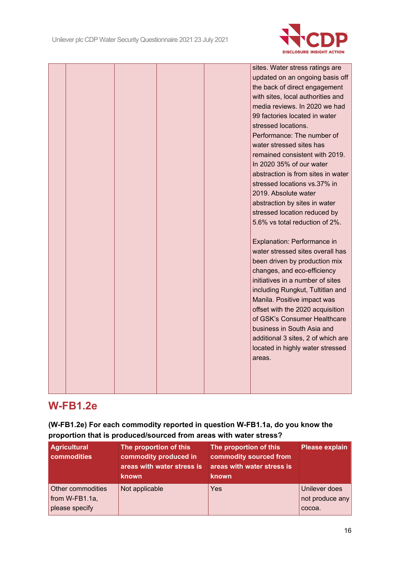

|  |  | sites. Water stress ratings are    |
|--|--|------------------------------------|
|  |  | updated on an ongoing basis off    |
|  |  | the back of direct engagement      |
|  |  | with sites, local authorities and  |
|  |  | media reviews. In 2020 we had      |
|  |  | 99 factories located in water      |
|  |  | stressed locations.                |
|  |  | Performance: The number of         |
|  |  | water stressed sites has           |
|  |  | remained consistent with 2019.     |
|  |  | In 2020 35% of our water           |
|  |  | abstraction is from sites in water |
|  |  | stressed locations vs.37% in       |
|  |  | 2019. Absolute water               |
|  |  | abstraction by sites in water      |
|  |  | stressed location reduced by       |
|  |  | 5.6% vs total reduction of 2%.     |
|  |  |                                    |
|  |  | Explanation: Performance in        |
|  |  | water stressed sites overall has   |
|  |  | been driven by production mix      |
|  |  | changes, and eco-efficiency        |
|  |  | initiatives in a number of sites   |
|  |  | including Rungkut, Tultitlan and   |
|  |  | Manila. Positive impact was        |
|  |  | offset with the 2020 acquisition   |
|  |  | of GSK's Consumer Healthcare       |
|  |  | business in South Asia and         |
|  |  | additional 3 sites, 2 of which are |
|  |  | located in highly water stressed   |
|  |  | areas.                             |
|  |  |                                    |
|  |  |                                    |
|  |  |                                    |

## **W-FB1.2e**

**(W-FB1.2e) For each commodity reported in question W-FB1.1a, do you know the proportion that is produced/sourced from areas with water stress?**

| <b>Agricultural</b><br>commodities                       | The proportion of this<br>commodity produced in<br>areas with water stress is<br><b>known</b> | The proportion of this<br>commodity sourced from<br>areas with water stress is<br>known | <b>Please explain</b>                      |
|----------------------------------------------------------|-----------------------------------------------------------------------------------------------|-----------------------------------------------------------------------------------------|--------------------------------------------|
| Other commodities<br>from $W-FB1.1a$ ,<br>please specify | Not applicable                                                                                | Yes                                                                                     | Unilever does<br>not produce any<br>cocoa. |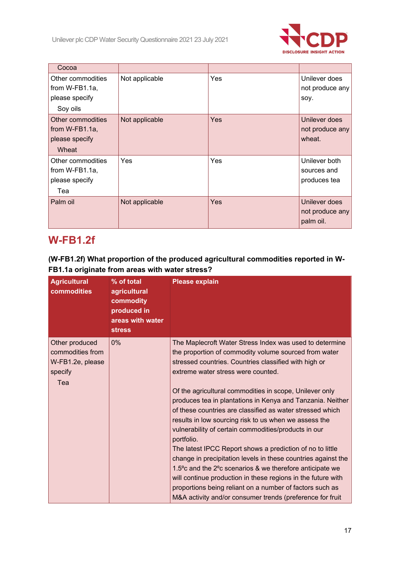

| Cocoa                                                                |                |     |                                               |
|----------------------------------------------------------------------|----------------|-----|-----------------------------------------------|
| Other commodities<br>from $W-FB1.1a$ ,<br>please specify<br>Soy oils | Not applicable | Yes | Unilever does<br>not produce any<br>soy.      |
| Other commodities<br>from $W-FB1.1a$ ,<br>please specify<br>Wheat    | Not applicable | Yes | Unilever does<br>not produce any<br>wheat.    |
| Other commodities<br>from $W-FB1.1a$ ,<br>please specify<br>Tea      | Yes            | Yes | Unilever both<br>sources and<br>produces tea  |
| Palm oil                                                             | Not applicable | Yes | Unilever does<br>not produce any<br>palm oil. |

## **W-FB1.2f**

### **(W-FB1.2f) What proportion of the produced agricultural commodities reported in W-FB1.1a originate from areas with water stress?**

| <b>Agricultural</b><br>commodities                                       | % of total<br>agricultural<br>commodity<br>produced in<br>areas with water<br><b>stress</b> | <b>Please explain</b>                                                                                                                                                                                                                                                                                                                                                                                                                                                                                                                                                                                                                                                                                                                                                                                                                                                                                                     |
|--------------------------------------------------------------------------|---------------------------------------------------------------------------------------------|---------------------------------------------------------------------------------------------------------------------------------------------------------------------------------------------------------------------------------------------------------------------------------------------------------------------------------------------------------------------------------------------------------------------------------------------------------------------------------------------------------------------------------------------------------------------------------------------------------------------------------------------------------------------------------------------------------------------------------------------------------------------------------------------------------------------------------------------------------------------------------------------------------------------------|
| Other produced<br>commodities from<br>W-FB1.2e, please<br>specify<br>Tea | 0%                                                                                          | The Maplecroft Water Stress Index was used to determine<br>the proportion of commodity volume sourced from water<br>stressed countries. Countries classified with high or<br>extreme water stress were counted.<br>Of the agricultural commodities in scope, Unilever only<br>produces tea in plantations in Kenya and Tanzania. Neither<br>of these countries are classified as water stressed which<br>results in low sourcing risk to us when we assess the<br>vulnerability of certain commodities/products in our<br>portfolio.<br>The latest IPCC Report shows a prediction of no to little<br>change in precipitation levels in these countries against the<br>1.5° c and the 2° c scenarios & we therefore anticipate we<br>will continue production in these regions in the future with<br>proportions being reliant on a number of factors such as<br>M&A activity and/or consumer trends (preference for fruit |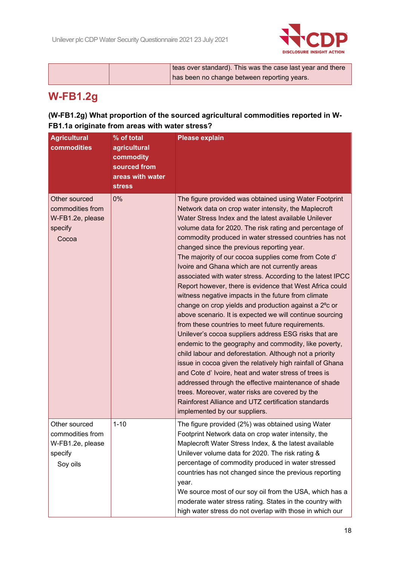

|  | teas over standard). This was the case last year and there |
|--|------------------------------------------------------------|
|  | has been no change between reporting years.                |
|  |                                                            |

## **W-FB1.2g**

### **(W-FB1.2g) What proportion of the sourced agricultural commodities reported in W-FB1.1a originate from areas with water stress?**

| <b>Agricultural</b><br>commodities                                           | % of total<br>agricultural<br>commodity<br>sourced from<br>areas with water<br><b>stress</b> | <b>Please explain</b>                                                                                                                                                                                                                                                                                                                                                                                                                                                                                                                                                                                                                                                                                                                                                                                                                                                                                                                                                                                                                                                                                                                                                                                                                                                                                                 |
|------------------------------------------------------------------------------|----------------------------------------------------------------------------------------------|-----------------------------------------------------------------------------------------------------------------------------------------------------------------------------------------------------------------------------------------------------------------------------------------------------------------------------------------------------------------------------------------------------------------------------------------------------------------------------------------------------------------------------------------------------------------------------------------------------------------------------------------------------------------------------------------------------------------------------------------------------------------------------------------------------------------------------------------------------------------------------------------------------------------------------------------------------------------------------------------------------------------------------------------------------------------------------------------------------------------------------------------------------------------------------------------------------------------------------------------------------------------------------------------------------------------------|
| Other sourced<br>commodities from<br>W-FB1.2e, please<br>specify<br>Cocoa    | 0%                                                                                           | The figure provided was obtained using Water Footprint<br>Network data on crop water intensity, the Maplecroft<br>Water Stress Index and the latest available Unilever<br>volume data for 2020. The risk rating and percentage of<br>commodity produced in water stressed countries has not<br>changed since the previous reporting year.<br>The majority of our cocoa supplies come from Cote d'<br>Ivoire and Ghana which are not currently areas<br>associated with water stress. According to the latest IPCC<br>Report however, there is evidence that West Africa could<br>witness negative impacts in the future from climate<br>change on crop yields and production against a 2°c or<br>above scenario. It is expected we will continue sourcing<br>from these countries to meet future requirements.<br>Unilever's cocoa suppliers address ESG risks that are<br>endemic to the geography and commodity, like poverty,<br>child labour and deforestation. Although not a priority<br>issue in cocoa given the relatively high rainfall of Ghana<br>and Cote d' Ivoire, heat and water stress of trees is<br>addressed through the effective maintenance of shade<br>trees. Moreover, water risks are covered by the<br>Rainforest Alliance and UTZ certification standards<br>implemented by our suppliers. |
| Other sourced<br>commodities from<br>W-FB1.2e, please<br>specify<br>Soy oils | $1 - 10$                                                                                     | The figure provided (2%) was obtained using Water<br>Footprint Network data on crop water intensity, the<br>Maplecroft Water Stress Index, & the latest available<br>Unilever volume data for 2020. The risk rating &<br>percentage of commodity produced in water stressed<br>countries has not changed since the previous reporting<br>year.<br>We source most of our soy oil from the USA, which has a<br>moderate water stress rating. States in the country with<br>high water stress do not overlap with those in which our                                                                                                                                                                                                                                                                                                                                                                                                                                                                                                                                                                                                                                                                                                                                                                                     |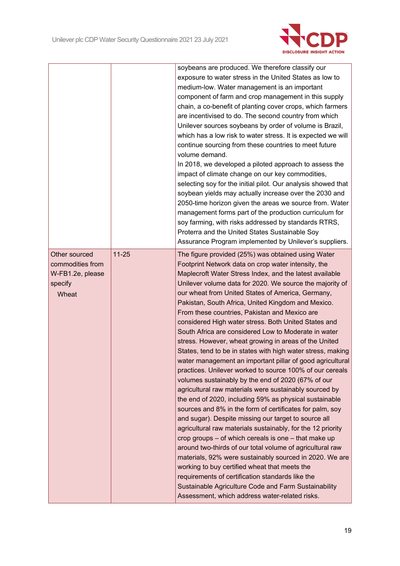

|                  |           | soybeans are produced. We therefore classify our              |
|------------------|-----------|---------------------------------------------------------------|
|                  |           | exposure to water stress in the United States as low to       |
|                  |           | medium-low. Water management is an important                  |
|                  |           | component of farm and crop management in this supply          |
|                  |           | chain, a co-benefit of planting cover crops, which farmers    |
|                  |           | are incentivised to do. The second country from which         |
|                  |           | Unilever sources soybeans by order of volume is Brazil,       |
|                  |           | which has a low risk to water stress. It is expected we will  |
|                  |           | continue sourcing from these countries to meet future         |
|                  |           | volume demand.                                                |
|                  |           | In 2018, we developed a piloted approach to assess the        |
|                  |           | impact of climate change on our key commodities,              |
|                  |           | selecting soy for the initial pilot. Our analysis showed that |
|                  |           | soybean yields may actually increase over the 2030 and        |
|                  |           | 2050-time horizon given the areas we source from. Water       |
|                  |           | management forms part of the production curriculum for        |
|                  |           | soy farming, with risks addressed by standards RTRS,          |
|                  |           | Proterra and the United States Sustainable Soy                |
|                  |           | Assurance Program implemented by Unilever's suppliers.        |
| Other sourced    | $11 - 25$ | The figure provided (25%) was obtained using Water            |
| commodities from |           | Footprint Network data on crop water intensity, the           |
| W-FB1.2e, please |           | Maplecroft Water Stress Index, and the latest available       |
| specify          |           | Unilever volume data for 2020. We source the majority of      |
| Wheat            |           | our wheat from United States of America, Germany,             |
|                  |           | Pakistan, South Africa, United Kingdom and Mexico.            |
|                  |           | From these countries, Pakistan and Mexico are                 |
|                  |           | considered High water stress. Both United States and          |
|                  |           | South Africa are considered Low to Moderate in water          |
|                  |           | stress. However, wheat growing in areas of the United         |
|                  |           | States, tend to be in states with high water stress, making   |
|                  |           | water management an important pillar of good agricultural     |
|                  |           | practices. Unilever worked to source 100% of our cereals      |
|                  |           | volumes sustainably by the end of 2020 (67% of our            |
|                  |           | agricultural raw materials were sustainably sourced by        |
|                  |           | the end of 2020, including 59% as physical sustainable        |
|                  |           | sources and 8% in the form of certificates for palm, soy      |
|                  |           | and sugar). Despite missing our target to source all          |
|                  |           | agricultural raw materials sustainably, for the 12 priority   |
|                  |           | crop groups – of which cereals is one – that make up          |
|                  |           | around two-thirds of our total volume of agricultural raw     |
|                  |           | materials, 92% were sustainably sourced in 2020. We are       |
|                  |           | working to buy certified wheat that meets the                 |
|                  |           | requirements of certification standards like the              |
|                  |           |                                                               |
|                  |           | Sustainable Agriculture Code and Farm Sustainability          |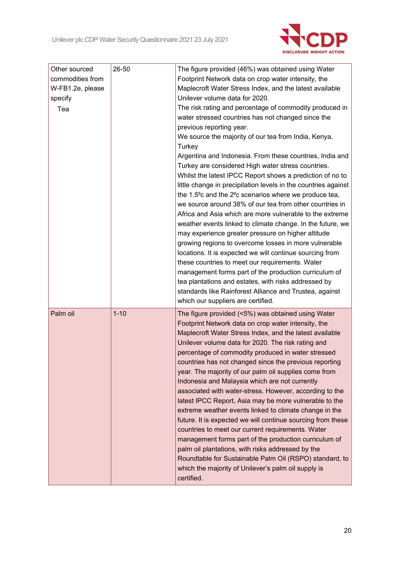

| Other sourced    | 26-50    | The figure provided (46%) was obtained using Water                                                                |
|------------------|----------|-------------------------------------------------------------------------------------------------------------------|
| commodities from |          | Footprint Network data on crop water intensity, the                                                               |
| W-FB1.2e, please |          | Maplecroft Water Stress Index, and the latest available                                                           |
| specify          |          | Unilever volume data for 2020.                                                                                    |
| Tea              |          | The risk rating and percentage of commodity produced in                                                           |
|                  |          | water stressed countries has not changed since the                                                                |
|                  |          | previous reporting year.                                                                                          |
|                  |          | We source the majority of our tea from India, Kenya,<br>Turkey                                                    |
|                  |          | Argentina and Indonesia. From these countries, India and                                                          |
|                  |          | Turkey are considered High water stress countries.                                                                |
|                  |          | Whilst the latest IPCC Report shows a prediction of no to                                                         |
|                  |          | little change in precipitation levels in the countries against                                                    |
|                  |          | the 1.5°c and the 2°c scenarios where we produce tea,                                                             |
|                  |          | we source around 38% of our tea from other countries in                                                           |
|                  |          | Africa and Asia which are more vulnerable to the extreme                                                          |
|                  |          | weather events linked to climate change. In the future, we                                                        |
|                  |          | may experience greater pressure on higher altitude                                                                |
|                  |          | growing regions to overcome losses in more vulnerable<br>locations. It is expected we will continue sourcing from |
|                  |          | these countries to meet our requirements. Water                                                                   |
|                  |          | management forms part of the production curriculum of                                                             |
|                  |          | tea plantations and estates, with risks addressed by                                                              |
|                  |          | standards like Rainforest Alliance and Trustea, against                                                           |
|                  |          | which our suppliers are certified.                                                                                |
| Palm oil         | $1 - 10$ | The figure provided (<5%) was obtained using Water                                                                |
|                  |          | Footprint Network data on crop water intensity, the                                                               |
|                  |          | Maplecroft Water Stress Index, and the latest available                                                           |
|                  |          | Unilever volume data for 2020. The risk rating and                                                                |
|                  |          | percentage of commodity produced in water stressed                                                                |
|                  |          | countries has not changed since the previous reporting                                                            |
|                  |          | year. The majority of our palm oil supplies come from                                                             |
|                  |          | Indonesia and Malaysia which are not currently                                                                    |
|                  |          | associated with water-stress. However, according to the                                                           |
|                  |          | latest IPCC Report, Asia may be more vulnerable to the                                                            |
|                  |          | extreme weather events linked to climate change in the                                                            |
|                  |          | future. It is expected we will continue sourcing from these                                                       |
|                  |          | countries to meet our current requirements. Water                                                                 |
|                  |          | management forms part of the production curriculum of                                                             |
|                  |          | palm oil plantations, with risks addressed by the                                                                 |
|                  |          | Roundtable for Sustainable Palm Oil (RSPO) standard, to<br>which the majority of Unilever's palm oil supply is    |
|                  |          |                                                                                                                   |
|                  |          | certified.                                                                                                        |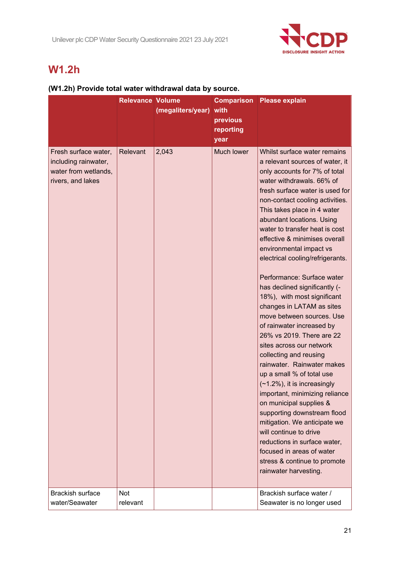

## **W1.2h**

### **(W1.2h) Provide total water withdrawal data by source.**

|                                                                                           | <b>Relevance Volume</b> | (megaliters/year) | with<br>previous<br>reporting<br>year | <b>Comparison</b> Please explain                                                                                                                                                                                                                                                                                                                                                                                                                                                                                                                                                                                                                                                                                                                                                                                                                                                                                                                                                                                                                    |
|-------------------------------------------------------------------------------------------|-------------------------|-------------------|---------------------------------------|-----------------------------------------------------------------------------------------------------------------------------------------------------------------------------------------------------------------------------------------------------------------------------------------------------------------------------------------------------------------------------------------------------------------------------------------------------------------------------------------------------------------------------------------------------------------------------------------------------------------------------------------------------------------------------------------------------------------------------------------------------------------------------------------------------------------------------------------------------------------------------------------------------------------------------------------------------------------------------------------------------------------------------------------------------|
| Fresh surface water,<br>including rainwater,<br>water from wetlands,<br>rivers, and lakes | Relevant                | 2,043             | Much lower                            | Whilst surface water remains<br>a relevant sources of water, it<br>only accounts for 7% of total<br>water withdrawals. 66% of<br>fresh surface water is used for<br>non-contact cooling activities.<br>This takes place in 4 water<br>abundant locations. Using<br>water to transfer heat is cost<br>effective & minimises overall<br>environmental impact vs<br>electrical cooling/refrigerants.<br>Performance: Surface water<br>has declined significantly (-<br>18%), with most significant<br>changes in LATAM as sites<br>move between sources. Use<br>of rainwater increased by<br>26% vs 2019. There are 22<br>sites across our network<br>collecting and reusing<br>rainwater. Rainwater makes<br>up a small % of total use<br>$(-1.2\%)$ , it is increasingly<br>important, minimizing reliance<br>on municipal supplies &<br>supporting downstream flood<br>mitigation. We anticipate we<br>will continue to drive<br>reductions in surface water,<br>focused in areas of water<br>stress & continue to promote<br>rainwater harvesting. |
| <b>Brackish surface</b><br>water/Seawater                                                 | <b>Not</b><br>relevant  |                   |                                       | Brackish surface water /<br>Seawater is no longer used                                                                                                                                                                                                                                                                                                                                                                                                                                                                                                                                                                                                                                                                                                                                                                                                                                                                                                                                                                                              |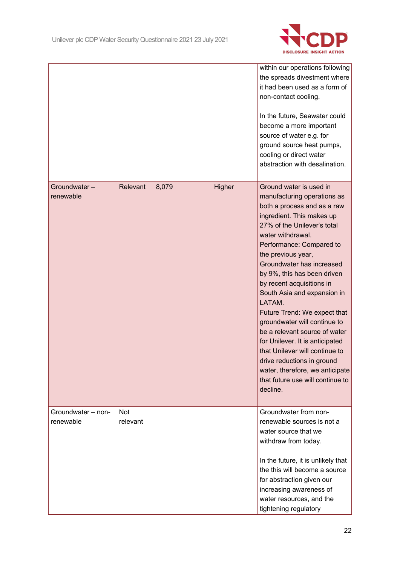

|                                 |                 |       |        | within our operations following<br>the spreads divestment where<br>it had been used as a form of<br>non-contact cooling.<br>In the future, Seawater could<br>become a more important<br>source of water e.g. for<br>ground source heat pumps,<br>cooling or direct water<br>abstraction with desalination.                                                                                                                                                                                                                                                                                                                                        |
|---------------------------------|-----------------|-------|--------|---------------------------------------------------------------------------------------------------------------------------------------------------------------------------------------------------------------------------------------------------------------------------------------------------------------------------------------------------------------------------------------------------------------------------------------------------------------------------------------------------------------------------------------------------------------------------------------------------------------------------------------------------|
| Groundwater-<br>renewable       | Relevant        | 8,079 | Higher | Ground water is used in<br>manufacturing operations as<br>both a process and as a raw<br>ingredient. This makes up<br>27% of the Unilever's total<br>water withdrawal.<br>Performance: Compared to<br>the previous year,<br>Groundwater has increased<br>by 9%, this has been driven<br>by recent acquisitions in<br>South Asia and expansion in<br>LATAM.<br>Future Trend: We expect that<br>groundwater will continue to<br>be a relevant source of water<br>for Unilever. It is anticipated<br>that Unilever will continue to<br>drive reductions in ground<br>water, therefore, we anticipate<br>that future use will continue to<br>decline. |
| Groundwater - non-<br>renewable | Not<br>relevant |       |        | Groundwater from non-<br>renewable sources is not a<br>water source that we<br>withdraw from today.<br>In the future, it is unlikely that<br>the this will become a source<br>for abstraction given our<br>increasing awareness of<br>water resources, and the<br>tightening regulatory                                                                                                                                                                                                                                                                                                                                                           |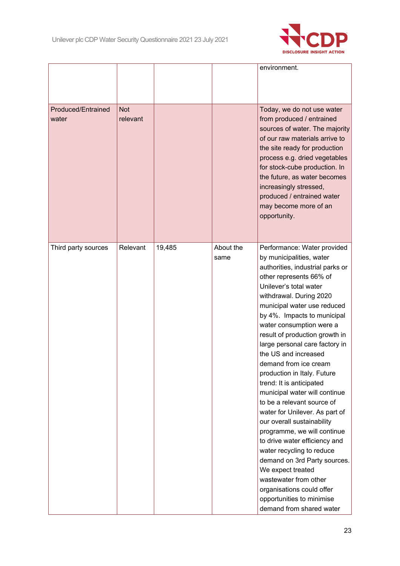

|                                    |                        |        |                   | environment.                                                                                                                                                                                                                                                                                                                                                                                                                                                                                                                                                                                                                                                                                                                                                                                                                                          |
|------------------------------------|------------------------|--------|-------------------|-------------------------------------------------------------------------------------------------------------------------------------------------------------------------------------------------------------------------------------------------------------------------------------------------------------------------------------------------------------------------------------------------------------------------------------------------------------------------------------------------------------------------------------------------------------------------------------------------------------------------------------------------------------------------------------------------------------------------------------------------------------------------------------------------------------------------------------------------------|
| <b>Produced/Entrained</b><br>water | <b>Not</b><br>relevant |        |                   | Today, we do not use water<br>from produced / entrained<br>sources of water. The majority<br>of our raw materials arrive to<br>the site ready for production<br>process e.g. dried vegetables<br>for stock-cube production. In<br>the future, as water becomes<br>increasingly stressed,<br>produced / entrained water<br>may become more of an<br>opportunity.                                                                                                                                                                                                                                                                                                                                                                                                                                                                                       |
| Third party sources                | Relevant               | 19,485 | About the<br>same | Performance: Water provided<br>by municipalities, water<br>authorities, industrial parks or<br>other represents 66% of<br>Unilever's total water<br>withdrawal. During 2020<br>municipal water use reduced<br>by 4%. Impacts to municipal<br>water consumption were a<br>result of production growth in<br>large personal care factory in<br>the US and increased<br>demand from ice cream<br>production in Italy. Future<br>trend: It is anticipated<br>municipal water will continue<br>to be a relevant source of<br>water for Unilever. As part of<br>our overall sustainability<br>programme, we will continue<br>to drive water efficiency and<br>water recycling to reduce<br>demand on 3rd Party sources.<br>We expect treated<br>wastewater from other<br>organisations could offer<br>opportunities to minimise<br>demand from shared water |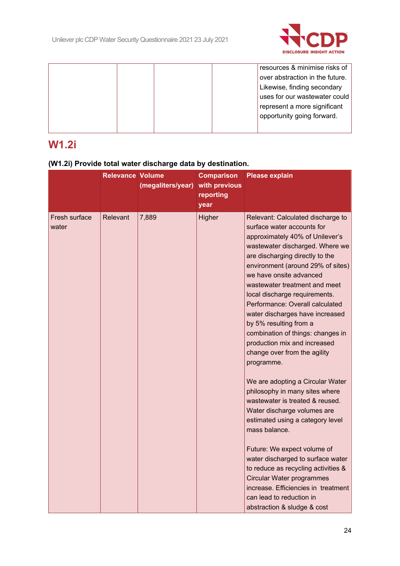

|  |  | resources & minimise risks of   |
|--|--|---------------------------------|
|  |  | over abstraction in the future. |
|  |  | Likewise, finding secondary     |
|  |  | uses for our wastewater could   |
|  |  | represent a more significant    |
|  |  | opportunity going forward.      |
|  |  |                                 |
|  |  |                                 |

## **W1.2i**

### **(W1.2i) Provide total water discharge data by destination.**

|                        | <b>Relevance Volume</b> | (megaliters/year) | <b>Comparison</b><br>with previous<br>reporting<br>year | <b>Please explain</b>                                                                                                                                                                                                                                                                                                                                                                                                                                                                                                                                                                                                                                                                                                                                                                                                                                                                                                                                                |
|------------------------|-------------------------|-------------------|---------------------------------------------------------|----------------------------------------------------------------------------------------------------------------------------------------------------------------------------------------------------------------------------------------------------------------------------------------------------------------------------------------------------------------------------------------------------------------------------------------------------------------------------------------------------------------------------------------------------------------------------------------------------------------------------------------------------------------------------------------------------------------------------------------------------------------------------------------------------------------------------------------------------------------------------------------------------------------------------------------------------------------------|
| Fresh surface<br>water | <b>Relevant</b>         | 7,889             | Higher                                                  | Relevant: Calculated discharge to<br>surface water accounts for<br>approximately 40% of Unilever's<br>wastewater discharged. Where we<br>are discharging directly to the<br>environment (around 29% of sites)<br>we have onsite advanced<br>wastewater treatment and meet<br>local discharge requirements.<br>Performance: Overall calculated<br>water discharges have increased<br>by 5% resulting from a<br>combination of things: changes in<br>production mix and increased<br>change over from the agility<br>programme.<br>We are adopting a Circular Water<br>philosophy in many sites where<br>wastewater is treated & reused.<br>Water discharge volumes are<br>estimated using a category level<br>mass balance.<br>Future: We expect volume of<br>water discharged to surface water<br>to reduce as recycling activities &<br>Circular Water programmes<br>increase. Efficiencies in treatment<br>can lead to reduction in<br>abstraction & sludge & cost |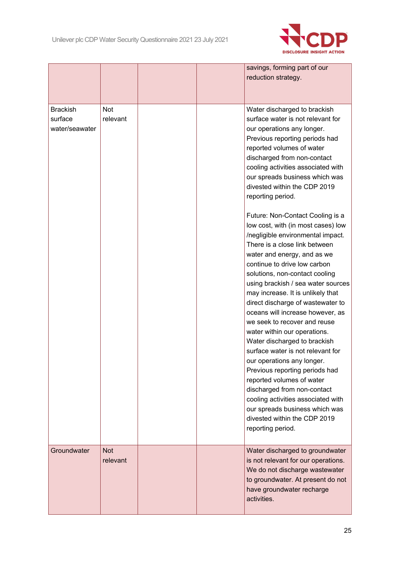

|                                              |                        |  | savings, forming part of our<br>reduction strategy.                                                                                                                                                                                                                                                                                                                                                                                                                                                                                                                                                                                                                                                                                                                                                                                                                                                                                                                                                                                                                                                                           |
|----------------------------------------------|------------------------|--|-------------------------------------------------------------------------------------------------------------------------------------------------------------------------------------------------------------------------------------------------------------------------------------------------------------------------------------------------------------------------------------------------------------------------------------------------------------------------------------------------------------------------------------------------------------------------------------------------------------------------------------------------------------------------------------------------------------------------------------------------------------------------------------------------------------------------------------------------------------------------------------------------------------------------------------------------------------------------------------------------------------------------------------------------------------------------------------------------------------------------------|
| <b>Brackish</b><br>surface<br>water/seawater | <b>Not</b><br>relevant |  | Water discharged to brackish<br>surface water is not relevant for<br>our operations any longer.<br>Previous reporting periods had<br>reported volumes of water<br>discharged from non-contact<br>cooling activities associated with<br>our spreads business which was<br>divested within the CDP 2019<br>reporting period.<br>Future: Non-Contact Cooling is a<br>low cost, with (in most cases) low<br>/negligible environmental impact.<br>There is a close link between<br>water and energy, and as we<br>continue to drive low carbon<br>solutions, non-contact cooling<br>using brackish / sea water sources<br>may increase. It is unlikely that<br>direct discharge of wastewater to<br>oceans will increase however, as<br>we seek to recover and reuse<br>water within our operations.<br>Water discharged to brackish<br>surface water is not relevant for<br>our operations any longer.<br>Previous reporting periods had<br>reported volumes of water<br>discharged from non-contact<br>cooling activities associated with<br>our spreads business which was<br>divested within the CDP 2019<br>reporting period. |
| Groundwater                                  | <b>Not</b><br>relevant |  | Water discharged to groundwater<br>is not relevant for our operations.<br>We do not discharge wastewater<br>to groundwater. At present do not<br>have groundwater recharge<br>activities.                                                                                                                                                                                                                                                                                                                                                                                                                                                                                                                                                                                                                                                                                                                                                                                                                                                                                                                                     |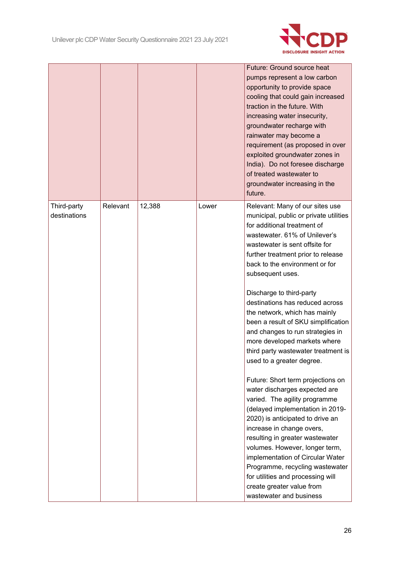

|                             |          |        |       | <b>Future: Ground source heat</b><br>pumps represent a low carbon<br>opportunity to provide space<br>cooling that could gain increased<br>traction in the future. With<br>increasing water insecurity,<br>groundwater recharge with<br>rainwater may become a<br>requirement (as proposed in over<br>exploited groundwater zones in<br>India). Do not foresee discharge<br>of treated wastewater to<br>groundwater increasing in the<br>future.                                                                                                                                                                                                                                                                                                                                                                                                                                                                                                                                                             |
|-----------------------------|----------|--------|-------|-------------------------------------------------------------------------------------------------------------------------------------------------------------------------------------------------------------------------------------------------------------------------------------------------------------------------------------------------------------------------------------------------------------------------------------------------------------------------------------------------------------------------------------------------------------------------------------------------------------------------------------------------------------------------------------------------------------------------------------------------------------------------------------------------------------------------------------------------------------------------------------------------------------------------------------------------------------------------------------------------------------|
| Third-party<br>destinations | Relevant | 12,388 | Lower | Relevant: Many of our sites use<br>municipal, public or private utilities<br>for additional treatment of<br>wastewater. 61% of Unilever's<br>wastewater is sent offsite for<br>further treatment prior to release<br>back to the environment or for<br>subsequent uses.<br>Discharge to third-party<br>destinations has reduced across<br>the network, which has mainly<br>been a result of SKU simplification<br>and changes to run strategies in<br>more developed markets where<br>third party wastewater treatment is<br>used to a greater degree.<br>Future: Short term projections on<br>water discharges expected are<br>varied. The agility programme<br>(delayed implementation in 2019-<br>2020) is anticipated to drive an<br>increase in change overs,<br>resulting in greater wastewater<br>volumes. However, longer term,<br>implementation of Circular Water<br>Programme, recycling wastewater<br>for utilities and processing will<br>create greater value from<br>wastewater and business |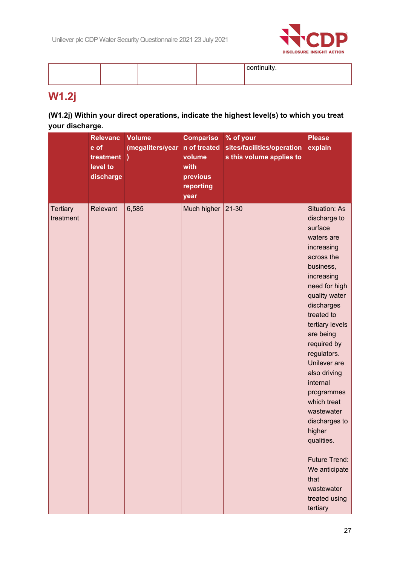

# **W1.2j**

### **(W1.2j) Within your direct operations, indicate the highest level(s) to which you treat your discharge.**

|                              | <b>Relevanc</b><br>e of<br>treatment)<br>level to<br>discharge | <b>Volume</b><br>(megaliters/year | <b>Compariso</b><br>n of treated<br>volume<br>with<br>previous<br>reporting<br>year | % of your<br>sites/facilities/operation<br>s this volume applies to | <b>Please</b><br>explain                                                                                                                                                                                                                                                                                                                                                                                                                                              |
|------------------------------|----------------------------------------------------------------|-----------------------------------|-------------------------------------------------------------------------------------|---------------------------------------------------------------------|-----------------------------------------------------------------------------------------------------------------------------------------------------------------------------------------------------------------------------------------------------------------------------------------------------------------------------------------------------------------------------------------------------------------------------------------------------------------------|
| <b>Tertiary</b><br>treatment | Relevant                                                       | 6,585                             | Much higher                                                                         | $21 - 30$                                                           | <b>Situation: As</b><br>discharge to<br>surface<br>waters are<br>increasing<br>across the<br>business,<br>increasing<br>need for high<br>quality water<br>discharges<br>treated to<br>tertiary levels<br>are being<br>required by<br>regulators.<br>Unilever are<br>also driving<br>internal<br>programmes<br>which treat<br>wastewater<br>discharges to<br>higher<br>qualities.<br>Future Trend:<br>We anticipate<br>that<br>wastewater<br>treated using<br>tertiary |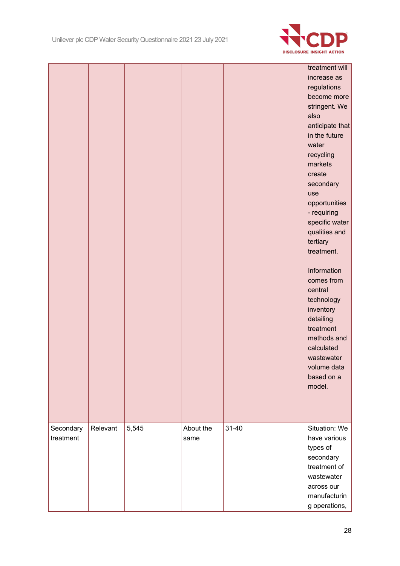

|           |          |       |           |           | treatment will  |
|-----------|----------|-------|-----------|-----------|-----------------|
|           |          |       |           |           | increase as     |
|           |          |       |           |           | regulations     |
|           |          |       |           |           | become more     |
|           |          |       |           |           | stringent. We   |
|           |          |       |           |           | also            |
|           |          |       |           |           | anticipate that |
|           |          |       |           |           | in the future   |
|           |          |       |           |           | water           |
|           |          |       |           |           | recycling       |
|           |          |       |           |           | markets         |
|           |          |       |           |           | create          |
|           |          |       |           |           | secondary       |
|           |          |       |           |           | use             |
|           |          |       |           |           | opportunities   |
|           |          |       |           |           | - requiring     |
|           |          |       |           |           | specific water  |
|           |          |       |           |           | qualities and   |
|           |          |       |           |           | tertiary        |
|           |          |       |           |           | treatment.      |
|           |          |       |           |           |                 |
|           |          |       |           |           | Information     |
|           |          |       |           |           | comes from      |
|           |          |       |           |           | central         |
|           |          |       |           |           | technology      |
|           |          |       |           |           | inventory       |
|           |          |       |           |           | detailing       |
|           |          |       |           |           | treatment       |
|           |          |       |           |           | methods and     |
|           |          |       |           |           | calculated      |
|           |          |       |           |           | wastewater      |
|           |          |       |           |           | volume data     |
|           |          |       |           |           | based on a      |
|           |          |       |           |           | model.          |
|           |          |       |           |           |                 |
|           |          |       |           |           |                 |
|           |          |       |           |           |                 |
| Secondary | Relevant | 5,545 | About the | $31 - 40$ | Situation: We   |
| treatment |          |       | same      |           | have various    |
|           |          |       |           |           | types of        |
|           |          |       |           |           | secondary       |
|           |          |       |           |           | treatment of    |
|           |          |       |           |           | wastewater      |
|           |          |       |           |           | across our      |
|           |          |       |           |           | manufacturin    |
|           |          |       |           |           | g operations,   |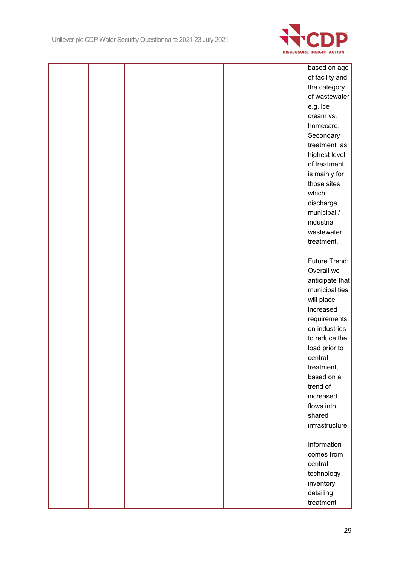

|  |  | based on age    |
|--|--|-----------------|
|  |  | of facility and |
|  |  | the category    |
|  |  | of wastewater   |
|  |  | e.g. ice        |
|  |  | cream vs.       |
|  |  | homecare.       |
|  |  | Secondary       |
|  |  | treatment as    |
|  |  | highest level   |
|  |  | of treatment    |
|  |  | is mainly for   |
|  |  | those sites     |
|  |  | which           |
|  |  | discharge       |
|  |  | municipal /     |
|  |  | industrial      |
|  |  | wastewater      |
|  |  | treatment.      |
|  |  |                 |
|  |  | Future Trend:   |
|  |  | Overall we      |
|  |  | anticipate that |
|  |  | municipalities  |
|  |  | will place      |
|  |  | increased       |
|  |  | requirements    |
|  |  | on industries   |
|  |  | to reduce the   |
|  |  | load prior to   |
|  |  | central         |
|  |  | treatment,      |
|  |  | based on a      |
|  |  | trend of        |
|  |  | increased       |
|  |  | flows into      |
|  |  | shared          |
|  |  | infrastructure. |
|  |  |                 |
|  |  | Information     |
|  |  | comes from      |
|  |  | central         |
|  |  | technology      |
|  |  | inventory       |
|  |  | detailing       |
|  |  | treatment       |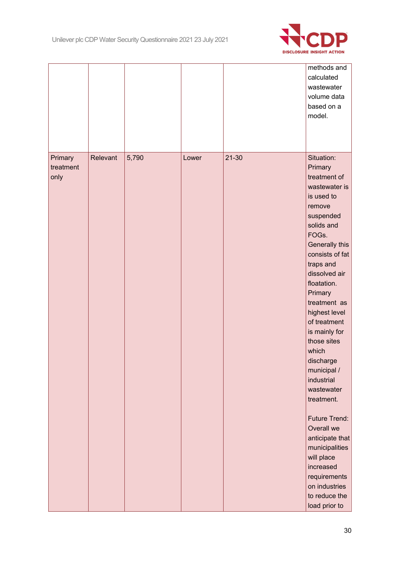

|                   |          |       |       |           | methods and<br>calculated<br>wastewater<br>volume data<br>based on a<br>model.                                                                                                                                                                                                                                                                                                                                                                                                                                     |
|-------------------|----------|-------|-------|-----------|--------------------------------------------------------------------------------------------------------------------------------------------------------------------------------------------------------------------------------------------------------------------------------------------------------------------------------------------------------------------------------------------------------------------------------------------------------------------------------------------------------------------|
| Primary           | Relevant | 5,790 | Lower | $21 - 30$ | Situation:                                                                                                                                                                                                                                                                                                                                                                                                                                                                                                         |
| treatment<br>only |          |       |       |           | Primary<br>treatment of<br>wastewater is<br>is used to<br>remove<br>suspended<br>solids and<br>FOGs.<br>Generally this<br>consists of fat<br>traps and<br>dissolved air<br>floatation.<br>Primary<br>treatment as<br>highest level<br>of treatment<br>is mainly for<br>those sites<br>which<br>discharge<br>municipal /<br>industrial<br>wastewater<br>treatment.<br>Future Trend:<br>Overall we<br>anticipate that<br>municipalities<br>will place<br>increased<br>requirements<br>on industries<br>to reduce the |
|                   |          |       |       |           | load prior to                                                                                                                                                                                                                                                                                                                                                                                                                                                                                                      |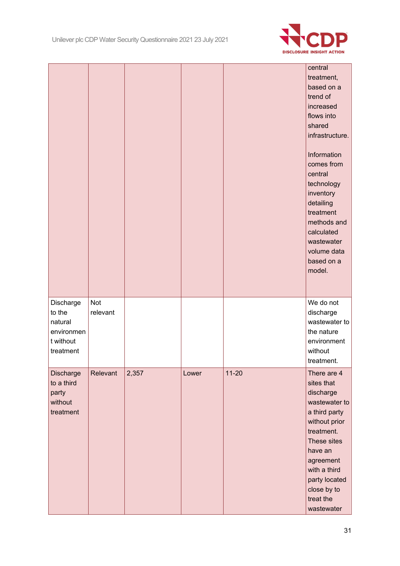

|                                                                        |                        |       |       |           | central<br>treatment,<br>based on a<br>trend of<br>increased<br>flows into<br>shared<br>infrastructure.<br>Information<br>comes from<br>central<br>technology<br>inventory<br>detailing<br>treatment<br>methods and<br>calculated<br>wastewater<br>volume data<br>based on a<br>model. |
|------------------------------------------------------------------------|------------------------|-------|-------|-----------|----------------------------------------------------------------------------------------------------------------------------------------------------------------------------------------------------------------------------------------------------------------------------------------|
| Discharge<br>to the<br>natural<br>environmen<br>t without<br>treatment | <b>Not</b><br>relevant |       |       |           | We do not<br>discharge<br>wastewater to<br>the nature<br>environment<br>without<br>treatment.                                                                                                                                                                                          |
| Discharge<br>to a third<br>party<br>without<br>treatment               | Relevant               | 2,357 | Lower | $11 - 20$ | There are 4<br>sites that<br>discharge<br>wastewater to<br>a third party<br>without prior<br>treatment.<br>These sites<br>have an<br>agreement<br>with a third<br>party located<br>close by to<br>treat the<br>wastewater                                                              |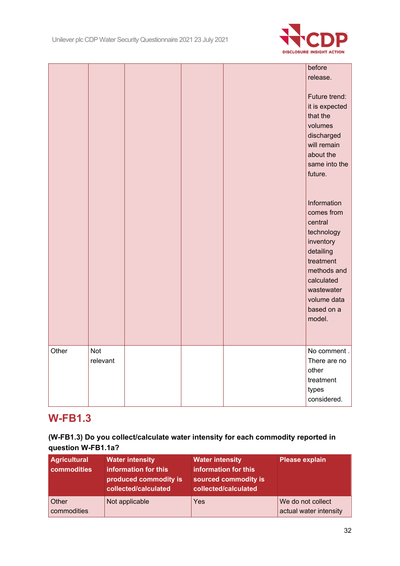

|       |                        |  | before<br>release.<br>Future trend:<br>it is expected<br>that the<br>volumes<br>discharged<br>will remain                                                                   |
|-------|------------------------|--|-----------------------------------------------------------------------------------------------------------------------------------------------------------------------------|
|       |                        |  | about the<br>same into the<br>future.                                                                                                                                       |
|       |                        |  | Information<br>comes from<br>central<br>technology<br>inventory<br>detailing<br>treatment<br>methods and<br>calculated<br>wastewater<br>volume data<br>based on a<br>model. |
| Other | <b>Not</b><br>relevant |  | No comment.<br>There are no<br>other<br>treatment<br>types<br>considered.                                                                                                   |

## **W-FB1.3**

### **(W-FB1.3) Do you collect/calculate water intensity for each commodity reported in question W-FB1.1a?**

| <b>Agricultural</b><br>commodities | <b>Water intensity</b><br>information for this<br>produced commodity is<br>collected/calculated | <b>Water intensity</b><br>information for this<br>sourced commodity is<br>collected/calculated | <b>Please explain</b>                       |
|------------------------------------|-------------------------------------------------------------------------------------------------|------------------------------------------------------------------------------------------------|---------------------------------------------|
| <b>Other</b><br>commodities        | Not applicable                                                                                  | Yes                                                                                            | We do not collect<br>actual water intensity |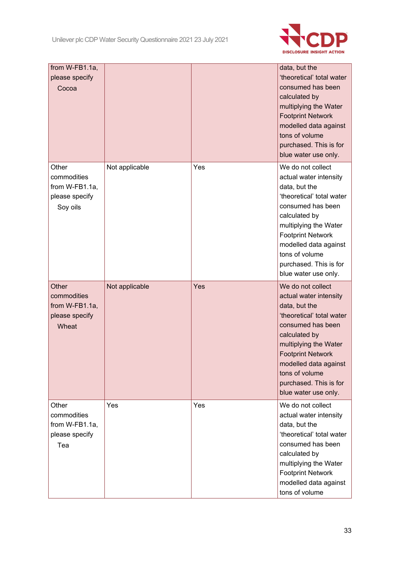

| from W-FB1.1a,<br>please specify<br>Cocoa                            |                |     | data, but the<br>'theoretical' total water<br>consumed has been<br>calculated by<br>multiplying the Water<br><b>Footprint Network</b><br>modelled data against<br>tons of volume<br>purchased. This is for<br>blue water use only.                                                |
|----------------------------------------------------------------------|----------------|-----|-----------------------------------------------------------------------------------------------------------------------------------------------------------------------------------------------------------------------------------------------------------------------------------|
| Other<br>commodities<br>from W-FB1.1a,<br>please specify<br>Soy oils | Not applicable | Yes | We do not collect<br>actual water intensity<br>data, but the<br>'theoretical' total water<br>consumed has been<br>calculated by<br>multiplying the Water<br><b>Footprint Network</b><br>modelled data against<br>tons of volume<br>purchased. This is for<br>blue water use only. |
| Other<br>commodities<br>from W-FB1.1a,<br>please specify<br>Wheat    | Not applicable | Yes | We do not collect<br>actual water intensity<br>data, but the<br>'theoretical' total water<br>consumed has been<br>calculated by<br>multiplying the Water<br><b>Footprint Network</b><br>modelled data against<br>tons of volume<br>purchased. This is for<br>blue water use only. |
| Other<br>commodities<br>from W-FB1.1a,<br>please specify<br>Tea      | Yes            | Yes | We do not collect<br>actual water intensity<br>data, but the<br>'theoretical' total water<br>consumed has been<br>calculated by<br>multiplying the Water<br><b>Footprint Network</b><br>modelled data against<br>tons of volume                                                   |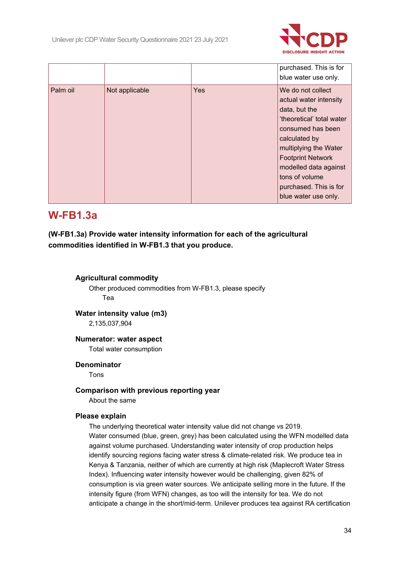

|          |                |            | purchased. This is for<br>blue water use only.                                                                                                                                                                                                                                    |
|----------|----------------|------------|-----------------------------------------------------------------------------------------------------------------------------------------------------------------------------------------------------------------------------------------------------------------------------------|
| Palm oil | Not applicable | <b>Yes</b> | We do not collect<br>actual water intensity<br>data, but the<br>'theoretical' total water<br>consumed has been<br>calculated by<br>multiplying the Water<br><b>Footprint Network</b><br>modelled data against<br>tons of volume<br>purchased. This is for<br>blue water use only. |

## **W-FB1.3a**

**(W-FB1.3a) Provide water intensity information for each of the agricultural commodities identified in W-FB1.3 that you produce.**

### **Agricultural commodity**

Other produced commodities from W-FB1.3, please specify Tea

### **Water intensity value (m3)**

2,135,037,904

### **Numerator: water aspect**

Total water consumption

### **Denominator**

Tons

### **Comparison with previous reporting year**

About the same

### **Please explain**

The underlying theoretical water intensity value did not change vs 2019. Water consumed (blue, green, grey) has been calculated using the WFN modelled data against volume purchased. Understanding water intensity of crop production helps identify sourcing regions facing water stress & climate-related risk. We produce tea in Kenya & Tanzania, neither of which are currently at high risk (Maplecroft Water Stress Index). Influencing water intensity however would be challenging, given 82% of consumption is via green water sources. We anticipate selling more in the future. If the intensity figure (from WFN) changes, as too will the intensity for tea. We do not anticipate a change in the short/mid-term. Unilever produces tea against RA certification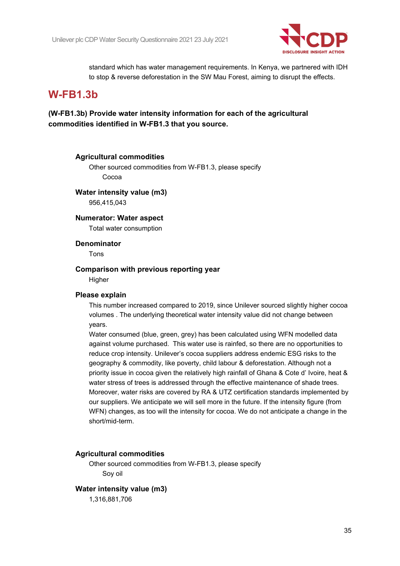

standard which has water management requirements. In Kenya, we partnered with IDH to stop & reverse deforestation in the SW Mau Forest, aiming to disrupt the effects.

## **W-FB1.3b**

**(W-FB1.3b) Provide water intensity information for each of the agricultural commodities identified in W-FB1.3 that you source.**

#### **Agricultural commodities**

Other sourced commodities from W-FB1.3, please specify Cocoa

#### **Water intensity value (m3)**

956,415,043

### **Numerator: Water aspect**

Total water consumption

### **Denominator**

Tons

### **Comparison with previous reporting year**

**Higher** 

#### **Please explain**

This number increased compared to 2019, since Unilever sourced slightly higher cocoa volumes . The underlying theoretical water intensity value did not change between years.

Water consumed (blue, green, grey) has been calculated using WFN modelled data against volume purchased. This water use is rainfed, so there are no opportunities to reduce crop intensity. Unilever's cocoa suppliers address endemic ESG risks to the geography & commodity, like poverty, child labour & deforestation. Although not a priority issue in cocoa given the relatively high rainfall of Ghana & Cote d' Ivoire, heat & water stress of trees is addressed through the effective maintenance of shade trees. Moreover, water risks are covered by RA & UTZ certification standards implemented by our suppliers. We anticipate we will sell more in the future. If the intensity figure (from WFN) changes, as too will the intensity for cocoa. We do not anticipate a change in the short/mid-term.

### **Agricultural commodities**

Other sourced commodities from W-FB1.3, please specify Soy oil

### **Water intensity value (m3)**

1,316,881,706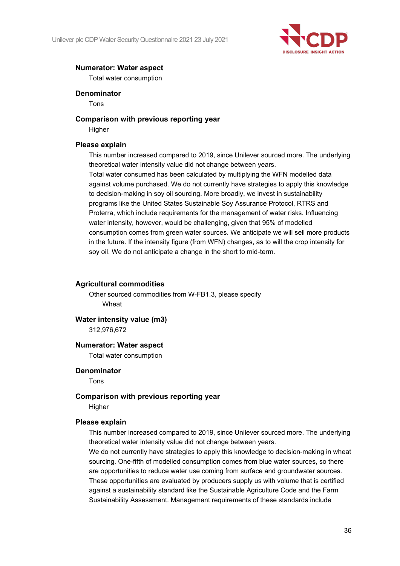

### **Numerator: Water aspect**

Total water consumption

### **Denominator**

Tons

#### **Comparison with previous reporting year**

**Higher** 

### **Please explain**

This number increased compared to 2019, since Unilever sourced more. The underlying theoretical water intensity value did not change between years.

Total water consumed has been calculated by multiplying the WFN modelled data against volume purchased. We do not currently have strategies to apply this knowledge to decision-making in soy oil sourcing. More broadly, we invest in sustainability programs like the United States Sustainable Soy Assurance Protocol, RTRS and Proterra, which include requirements for the management of water risks. Influencing water intensity, however, would be challenging, given that 95% of modelled consumption comes from green water sources. We anticipate we will sell more products in the future. If the intensity figure (from WFN) changes, as to will the crop intensity for soy oil. We do not anticipate a change in the short to mid-term.

#### **Agricultural commodities**

Other sourced commodities from W-FB1.3, please specify Wheat

### **Water intensity value (m3)**

312,976,672

### **Numerator: Water aspect**

Total water consumption

### **Denominator**

Tons

### **Comparison with previous reporting year**

Higher

#### **Please explain**

This number increased compared to 2019, since Unilever sourced more. The underlying theoretical water intensity value did not change between years.

We do not currently have strategies to apply this knowledge to decision-making in wheat sourcing. One-fifth of modelled consumption comes from blue water sources, so there are opportunities to reduce water use coming from surface and groundwater sources. These opportunities are evaluated by producers supply us with volume that is certified against a sustainability standard like the Sustainable Agriculture Code and the Farm Sustainability Assessment. Management requirements of these standards include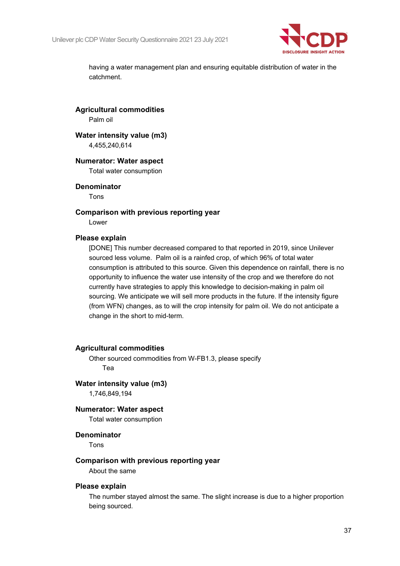

having a water management plan and ensuring equitable distribution of water in the catchment.

**Agricultural commodities**

Palm oil

## **Water intensity value (m3)**

4,455,240,614

#### **Numerator: Water aspect**

Total water consumption

#### **Denominator**

Tons

#### **Comparison with previous reporting year**

Lower

#### **Please explain**

[DONE] This number decreased compared to that reported in 2019, since Unilever sourced less volume. Palm oil is a rainfed crop, of which 96% of total water consumption is attributed to this source. Given this dependence on rainfall, there is no opportunity to influence the water use intensity of the crop and we therefore do not currently have strategies to apply this knowledge to decision-making in palm oil sourcing. We anticipate we will sell more products in the future. If the intensity figure (from WFN) changes, as to will the crop intensity for palm oil. We do not anticipate a change in the short to mid-term.

#### **Agricultural commodities**

Other sourced commodities from W-FB1.3, please specify Tea

#### **Water intensity value (m3)**

1,746,849,194

#### **Numerator: Water aspect**

Total water consumption

#### **Denominator**

Tons

#### **Comparison with previous reporting year**

About the same

#### **Please explain**

The number stayed almost the same. The slight increase is due to a higher proportion being sourced.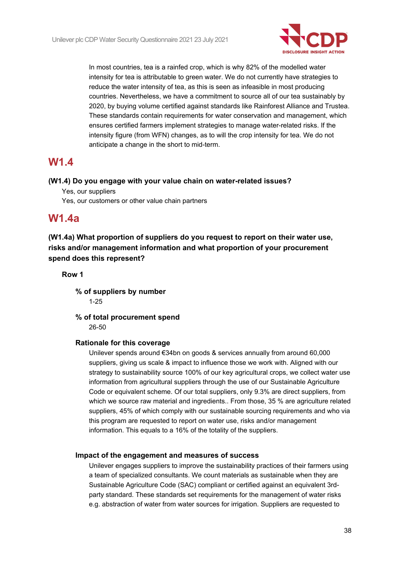

In most countries, tea is a rainfed crop, which is why 82% of the modelled water intensity for tea is attributable to green water. We do not currently have strategies to reduce the water intensity of tea, as this is seen as infeasible in most producing countries. Nevertheless, we have a commitment to source all of our tea sustainably by 2020, by buying volume certified against standards like Rainforest Alliance and Trustea. These standards contain requirements for water conservation and management, which ensures certified farmers implement strategies to manage water-related risks. If the intensity figure (from WFN) changes, as to will the crop intensity for tea. We do not anticipate a change in the short to mid-term.

## **W1.4**

#### **(W1.4) Do you engage with your value chain on water-related issues?**

Yes, our suppliers

Yes, our customers or other value chain partners

## **W1.4a**

**(W1.4a) What proportion of suppliers do you request to report on their water use, risks and/or management information and what proportion of your procurement spend does this represent?**

#### **Row 1**

**% of suppliers by number** 1-25

**% of total procurement spend** 26-50

### **Rationale for this coverage**

Unilever spends around €34bn on goods & services annually from around 60,000 suppliers, giving us scale & impact to influence those we work with. Aligned with our strategy to sustainability source 100% of our key agricultural crops, we collect water use information from agricultural suppliers through the use of our Sustainable Agriculture Code or equivalent scheme. Of our total suppliers, only 9.3% are direct suppliers, from which we source raw material and ingredients.. From those, 35 % are agriculture related suppliers, 45% of which comply with our sustainable sourcing requirements and who via this program are requested to report on water use, risks and/or management information. This equals to a 16% of the totality of the suppliers.

### **Impact of the engagement and measures of success**

Unilever engages suppliers to improve the sustainability practices of their farmers using a team of specialized consultants. We count materials as sustainable when they are Sustainable Agriculture Code (SAC) compliant or certified against an equivalent 3rdparty standard. These standards set requirements for the management of water risks e.g. abstraction of water from water sources for irrigation. Suppliers are requested to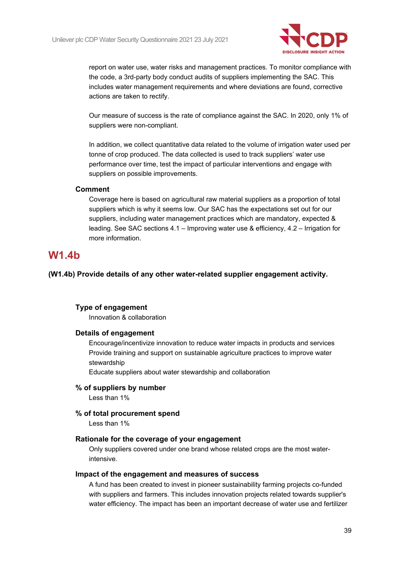

report on water use, water risks and management practices. To monitor compliance with the code, a 3rd-party body conduct audits of suppliers implementing the SAC. This includes water management requirements and where deviations are found, corrective actions are taken to rectify.

Our measure of success is the rate of compliance against the SAC. In 2020, only 1% of suppliers were non-compliant.

In addition, we collect quantitative data related to the volume of irrigation water used per tonne of crop produced. The data collected is used to track suppliers' water use performance over time, test the impact of particular interventions and engage with suppliers on possible improvements.

#### **Comment**

Coverage here is based on agricultural raw material suppliers as a proportion of total suppliers which is why it seems low. Our SAC has the expectations set out for our suppliers, including water management practices which are mandatory, expected & leading. See SAC sections 4.1 – Improving water use & efficiency, 4.2 – Irrigation for more information.

## **W1.4b**

**(W1.4b) Provide details of any other water-related supplier engagement activity.**

#### **Type of engagement**

Innovation & collaboration

#### **Details of engagement**

Encourage/incentivize innovation to reduce water impacts in products and services Provide training and support on sustainable agriculture practices to improve water stewardship

Educate suppliers about water stewardship and collaboration

#### **% of suppliers by number**

Less than 1%

#### **% of total procurement spend**

Less than 1%

#### **Rationale for the coverage of your engagement**

Only suppliers covered under one brand whose related crops are the most waterintensive.

#### **Impact of the engagement and measures of success**

A fund has been created to invest in pioneer sustainability farming projects co-funded with suppliers and farmers. This includes innovation projects related towards supplier's water efficiency. The impact has been an important decrease of water use and fertilizer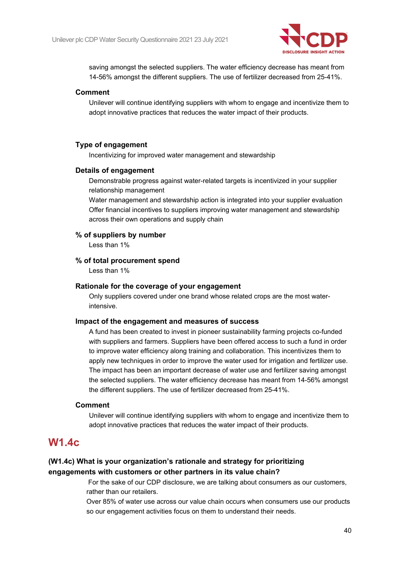

saving amongst the selected suppliers. The water efficiency decrease has meant from 14-56% amongst the different suppliers. The use of fertilizer decreased from 25-41%.

#### **Comment**

Unilever will continue identifying suppliers with whom to engage and incentivize them to adopt innovative practices that reduces the water impact of their products.

#### **Type of engagement**

Incentivizing for improved water management and stewardship

#### **Details of engagement**

Demonstrable progress against water-related targets is incentivized in your supplier relationship management

Water management and stewardship action is integrated into your supplier evaluation Offer financial incentives to suppliers improving water management and stewardship across their own operations and supply chain

#### **% of suppliers by number**

Less than 1%

#### **% of total procurement spend**

Less than 1%

#### **Rationale for the coverage of your engagement**

Only suppliers covered under one brand whose related crops are the most waterintensive.

#### **Impact of the engagement and measures of success**

A fund has been created to invest in pioneer sustainability farming projects co-funded with suppliers and farmers. Suppliers have been offered access to such a fund in order to improve water efficiency along training and collaboration. This incentivizes them to apply new techniques in order to improve the water used for irrigation and fertilizer use. The impact has been an important decrease of water use and fertilizer saving amongst the selected suppliers. The water efficiency decrease has meant from 14-56% amongst the different suppliers. The use of fertilizer decreased from 25-41%.

#### **Comment**

Unilever will continue identifying suppliers with whom to engage and incentivize them to adopt innovative practices that reduces the water impact of their products.

## **W1.4c**

### **(W1.4c) What is your organization's rationale and strategy for prioritizing engagements with customers or other partners in its value chain?**

For the sake of our CDP disclosure, we are talking about consumers as our customers, rather than our retailers.

Over 85% of water use across our value chain occurs when consumers use our products so our engagement activities focus on them to understand their needs.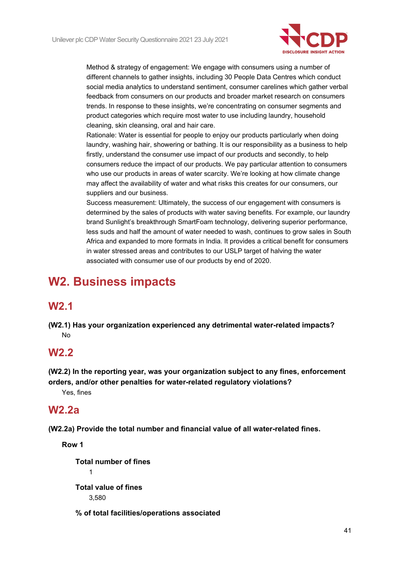

Method & strategy of engagement: We engage with consumers using a number of different channels to gather insights, including 30 People Data Centres which conduct social media analytics to understand sentiment, consumer carelines which gather verbal feedback from consumers on our products and broader market research on consumers trends. In response to these insights, we're concentrating on consumer segments and product categories which require most water to use including laundry, household cleaning, skin cleansing, oral and hair care.

Rationale: Water is essential for people to enjoy our products particularly when doing laundry, washing hair, showering or bathing. It is our responsibility as a business to help firstly, understand the consumer use impact of our products and secondly, to help consumers reduce the impact of our products. We pay particular attention to consumers who use our products in areas of water scarcity. We're looking at how climate change may affect the availability of water and what risks this creates for our consumers, our suppliers and our business.

Success measurement: Ultimately, the success of our engagement with consumers is determined by the sales of products with water saving benefits. For example, our laundry brand Sunlight's breakthrough SmartFoam technology, delivering superior performance, less suds and half the amount of water needed to wash, continues to grow sales in South Africa and expanded to more formats in India. It provides a critical benefit for consumers in water stressed areas and contributes to our USLP target of halving the water associated with consumer use of our products by end of 2020.

# **W2. Business impacts**

# **W2.1**

**(W2.1) Has your organization experienced any detrimental water-related impacts?** No

# **W2.2**

**(W2.2) In the reporting year, was your organization subject to any fines, enforcement orders, and/or other penalties for water-related regulatory violations?**

Yes, fines

## **W2.2a**

**(W2.2a) Provide the total number and financial value of all water-related fines.**

**Row 1**

**Total number of fines** 1 **Total value of fines** 3,580

**% of total facilities/operations associated**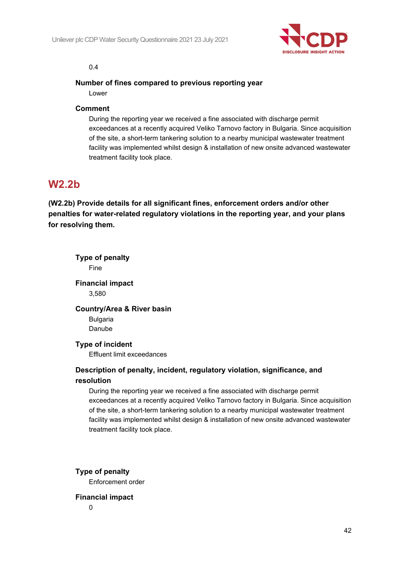

#### 0.4

#### **Number of fines compared to previous reporting year**

Lower

#### **Comment**

During the reporting year we received a fine associated with discharge permit exceedances at a recently acquired Veliko Tarnovo factory in Bulgaria. Since acquisition of the site, a short-term tankering solution to a nearby municipal wastewater treatment facility was implemented whilst design & installation of new onsite advanced wastewater treatment facility took place.

## **W2.2b**

**(W2.2b) Provide details for all significant fines, enforcement orders and/or other penalties for water-related regulatory violations in the reporting year, and your plans for resolving them.**

| <b>Type of penalty</b><br>Fine                                                                                                                                            |
|---------------------------------------------------------------------------------------------------------------------------------------------------------------------------|
| <b>Financial impact</b>                                                                                                                                                   |
| 3,580                                                                                                                                                                     |
| <b>Country/Area &amp; River basin</b>                                                                                                                                     |
| <b>Bulgaria</b>                                                                                                                                                           |
| Danube                                                                                                                                                                    |
| <b>Type of incident</b>                                                                                                                                                   |
| Effluent limit exceedances                                                                                                                                                |
| Description of penalty, incident, regulatory violation, significance, and                                                                                                 |
| resolution                                                                                                                                                                |
| During the reporting year we received a fine associated with discharge permit<br>exceedances at a recently acquired Veliko Tarnovo factory in Bulgaria. Since acquisition |
| of the site, a short-term tankering solution to a nearby municipal wastewater treatment                                                                                   |
| facility was implemented whilst design & installation of new onsite advanced wastewater                                                                                   |
| treatment facility took place.                                                                                                                                            |
|                                                                                                                                                                           |
| Type of penalty                                                                                                                                                           |
| Enforcement order                                                                                                                                                         |

#### **Financial impact**

0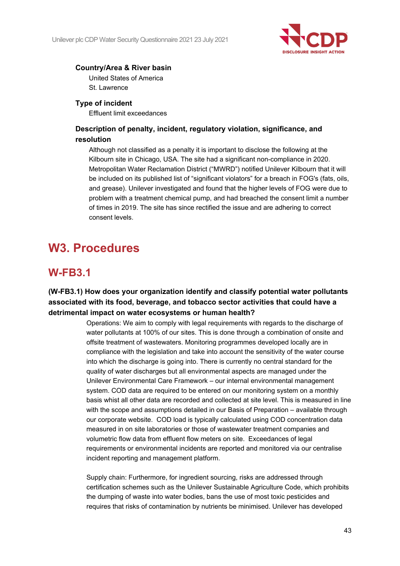

### **Country/Area & River basin**

United States of America St. Lawrence

### **Type of incident**

Effluent limit exceedances

### **Description of penalty, incident, regulatory violation, significance, and resolution**

Although not classified as a penalty it is important to disclose the following at the Kilbourn site in Chicago, USA. The site had a significant non-compliance in 2020. Metropolitan Water Reclamation District ("MWRD") notified Unilever Kilbourn that it will be included on its published list of "significant violators" for a breach in FOG's (fats, oils, and grease). Unilever investigated and found that the higher levels of FOG were due to problem with a treatment chemical pump, and had breached the consent limit a number of times in 2019. The site has since rectified the issue and are adhering to correct consent levels.

# **W3. Procedures**

# **W-FB3.1**

## **(W-FB3.1) How does your organization identify and classify potential water pollutants associated with its food, beverage, and tobacco sector activities that could have a detrimental impact on water ecosystems or human health?**

Operations: We aim to comply with legal requirements with regards to the discharge of water pollutants at 100% of our sites. This is done through a combination of onsite and offsite treatment of wastewaters. Monitoring programmes developed locally are in compliance with the legislation and take into account the sensitivity of the water course into which the discharge is going into. There is currently no central standard for the quality of water discharges but all environmental aspects are managed under the Unilever Environmental Care Framework – our internal environmental management system. COD data are required to be entered on our monitoring system on a monthly basis whist all other data are recorded and collected at site level. This is measured in line with the scope and assumptions detailed in our Basis of Preparation – available through our corporate website. COD load is typically calculated using COD concentration data measured in on site laboratories or those of wastewater treatment companies and volumetric flow data from effluent flow meters on site. Exceedances of legal requirements or environmental incidents are reported and monitored via our centralise incident reporting and management platform.

Supply chain: Furthermore, for ingredient sourcing, risks are addressed through certification schemes such as the Unilever Sustainable Agriculture Code, which prohibits the dumping of waste into water bodies, bans the use of most toxic pesticides and requires that risks of contamination by nutrients be minimised. Unilever has developed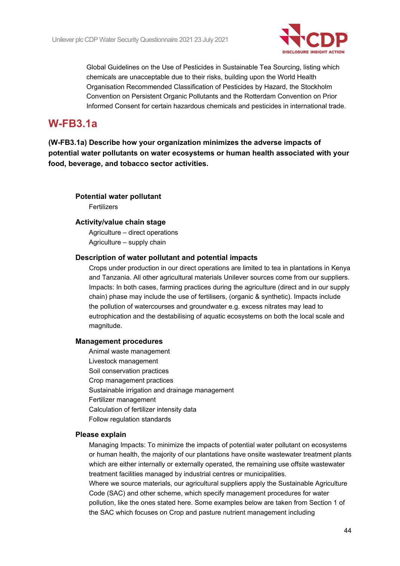

Global Guidelines on the Use of Pesticides in Sustainable Tea Sourcing, listing which chemicals are unacceptable due to their risks, building upon the World Health Organisation Recommended Classification of Pesticides by Hazard, the Stockholm Convention on Persistent Organic Pollutants and the Rotterdam Convention on Prior Informed Consent for certain hazardous chemicals and pesticides in international trade.

# **W-FB3.1a**

**(W-FB3.1a) Describe how your organization minimizes the adverse impacts of potential water pollutants on water ecosystems or human health associated with your food, beverage, and tobacco sector activities.**

### **Potential water pollutant**

Fertilizers

#### **Activity/value chain stage**

Agriculture – direct operations Agriculture – supply chain

#### **Description of water pollutant and potential impacts**

Crops under production in our direct operations are limited to tea in plantations in Kenya and Tanzania. All other agricultural materials Unilever sources come from our suppliers. Impacts: In both cases, farming practices during the agriculture (direct and in our supply chain) phase may include the use of fertilisers, (organic & synthetic). Impacts include the pollution of watercourses and groundwater e.g. excess nitrates may lead to eutrophication and the destabilising of aquatic ecosystems on both the local scale and magnitude.

#### **Management procedures**

Animal waste management Livestock management Soil conservation practices Crop management practices Sustainable irrigation and drainage management Fertilizer management Calculation of fertilizer intensity data Follow regulation standards

#### **Please explain**

Managing Impacts: To minimize the impacts of potential water pollutant on ecosystems or human health, the majority of our plantations have onsite wastewater treatment plants which are either internally or externally operated, the remaining use offsite wastewater treatment facilities managed by industrial centres or municipalities.

Where we source materials, our agricultural suppliers apply the Sustainable Agriculture Code (SAC) and other scheme, which specify management procedures for water pollution, like the ones stated here. Some examples below are taken from Section 1 of the SAC which focuses on Crop and pasture nutrient management including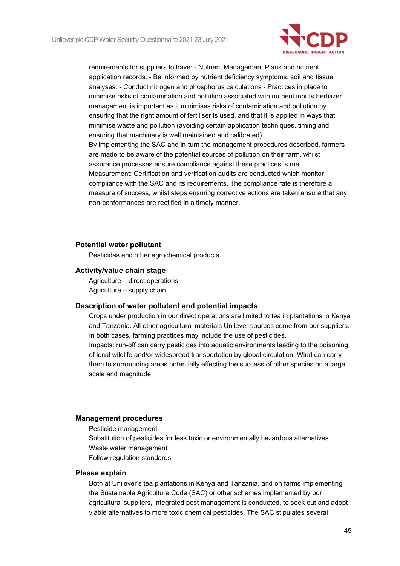

requirements for suppliers to have: - Nutrient Management Plans and nutrient application records. - Be informed by nutrient deficiency symptoms, soil and tissue analyses: - Conduct nitrogen and phosphorus calculations - Practices in place to minimise risks of contamination and pollution associated with nutrient inputs Fertilizer management is important as it minimises risks of contamination and pollution by ensuring that the right amount of fertiliser is used, and that it is applied in ways that minimise waste and pollution (avoiding certain application techniques, timing and ensuring that machinery is well maintained and calibrated). By implementing the SAC and in-turn the management procedures described, farmers are made to be aware of the potential sources of pollution on their farm, whilst assurance processes ensure compliance against these practices is met. Measurement: Certification and verification audits are conducted which monitor compliance with the SAC and its requirements. The compliance rate is therefore a measure of success, whilst steps ensuring corrective actions are taken ensure that any non-conformances are rectified in a timely manner.

#### **Potential water pollutant**

Pesticides and other agrochemical products

#### **Activity/value chain stage**

Agriculture – direct operations Agriculture – supply chain

#### **Description of water pollutant and potential impacts**

Crops under production in our direct operations are limited to tea in plantations in Kenya and Tanzania. All other agricultural materials Unilever sources come from our suppliers. In both cases, farming practices may include the use of pesticides. Impacts: run-off can carry pesticides into aquatic environments leading to the poisoning of local wildlife and/or widespread transportation by global circulation. Wind can carry them to surrounding areas potentially effecting the success of other species on a large scale and magnitude.

#### **Management procedures**

Pesticide management Substitution of pesticides for less toxic or environmentally hazardous alternatives Waste water management

Follow regulation standards

#### **Please explain**

Both at Unilever's tea plantations in Kenya and Tanzania, and on farms implementing the Sustainable Agriculture Code (SAC) or other schemes implemented by our agricultural suppliers, integrated pest management is conducted, to seek out and adopt viable alternatives to more toxic chemical pesticides. The SAC stipulates several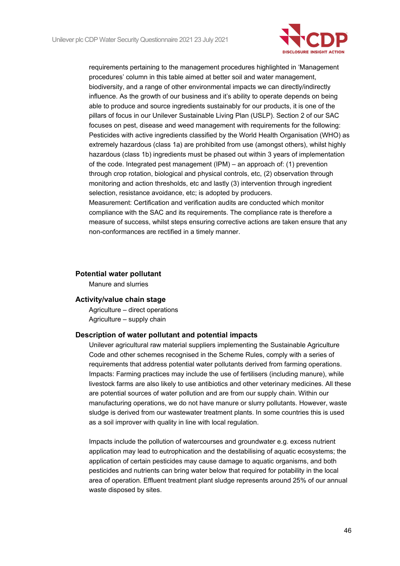

requirements pertaining to the management procedures highlighted in 'Management procedures' column in this table aimed at better soil and water management, biodiversity, and a range of other environmental impacts we can directly/indirectly influence. As the growth of our business and it's ability to operate depends on being able to produce and source ingredients sustainably for our products, it is one of the pillars of focus in our Unilever Sustainable Living Plan (USLP). Section 2 of our SAC focuses on pest, disease and weed management with requirements for the following: Pesticides with active ingredients classified by the World Health Organisation (WHO) as extremely hazardous (class 1a) are prohibited from use (amongst others), whilst highly hazardous (class 1b) ingredients must be phased out within 3 years of implementation of the code. Integrated pest management (IPM) – an approach of: (1) prevention through crop rotation, biological and physical controls, etc, (2) observation through monitoring and action thresholds, etc and lastly (3) intervention through ingredient selection, resistance avoidance, etc; is adopted by producers.

Measurement: Certification and verification audits are conducted which monitor compliance with the SAC and its requirements. The compliance rate is therefore a measure of success, whilst steps ensuring corrective actions are taken ensure that any non-conformances are rectified in a timely manner.

#### **Potential water pollutant**

Manure and slurries

#### **Activity/value chain stage**

Agriculture – direct operations Agriculture – supply chain

#### **Description of water pollutant and potential impacts**

Unilever agricultural raw material suppliers implementing the Sustainable Agriculture Code and other schemes recognised in the Scheme Rules, comply with a series of requirements that address potential water pollutants derived from farming operations. Impacts: Farming practices may include the use of fertilisers (including manure), while livestock farms are also likely to use antibiotics and other veterinary medicines. All these are potential sources of water pollution and are from our supply chain. Within our manufacturing operations, we do not have manure or slurry pollutants. However, waste sludge is derived from our wastewater treatment plants. In some countries this is used as a soil improver with quality in line with local regulation.

Impacts include the pollution of watercourses and groundwater e.g. excess nutrient application may lead to eutrophication and the destabilising of aquatic ecosystems; the application of certain pesticides may cause damage to aquatic organisms, and both pesticides and nutrients can bring water below that required for potability in the local area of operation. Effluent treatment plant sludge represents around 25% of our annual waste disposed by sites.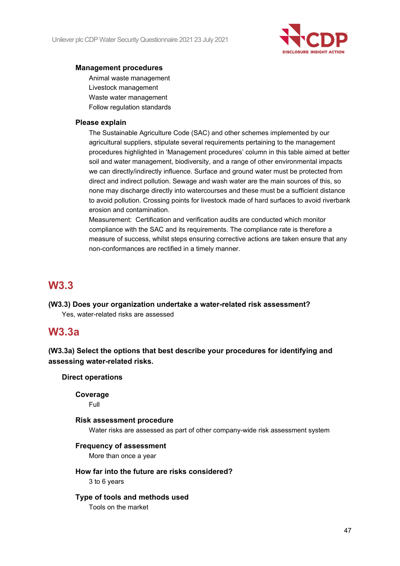

#### **Management procedures**

Animal waste management Livestock management Waste water management Follow regulation standards

#### **Please explain**

The Sustainable Agriculture Code (SAC) and other schemes implemented by our agricultural suppliers, stipulate several requirements pertaining to the management procedures highlighted in 'Management procedures' column in this table aimed at better soil and water management, biodiversity, and a range of other environmental impacts we can directly/indirectly influence. Surface and ground water must be protected from direct and indirect pollution. Sewage and wash water are the main sources of this, so none may discharge directly into watercourses and these must be a sufficient distance to avoid pollution. Crossing points for livestock made of hard surfaces to avoid riverbank erosion and contamination.

Measurement: Certification and verification audits are conducted which monitor compliance with the SAC and its requirements. The compliance rate is therefore a measure of success, whilst steps ensuring corrective actions are taken ensure that any non-conformances are rectified in a timely manner.

# **W3.3**

**(W3.3) Does your organization undertake a water-related risk assessment?** Yes, water-related risks are assessed

## **W3.3a**

**(W3.3a) Select the options that best describe your procedures for identifying and assessing water-related risks.**

#### **Direct operations**

**Coverage**

Full

#### **Risk assessment procedure**

Water risks are assessed as part of other company-wide risk assessment system

#### **Frequency of assessment**

More than once a year

### **How far into the future are risks considered?**

3 to 6 years

### **Type of tools and methods used**

Tools on the market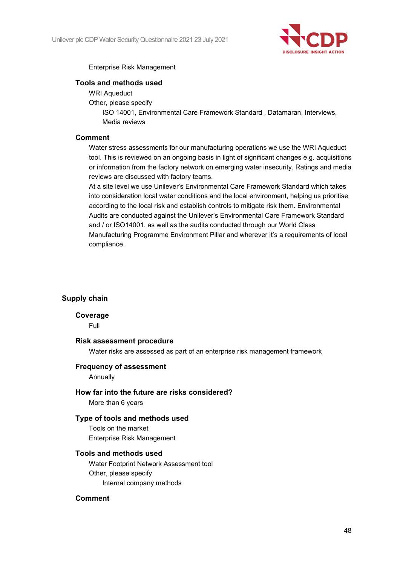

#### Enterprise Risk Management

#### **Tools and methods used**

- WRI Aqueduct
- Other, please specify

ISO 14001, Environmental Care Framework Standard , Datamaran, Interviews, Media reviews

#### **Comment**

Water stress assessments for our manufacturing operations we use the WRI Aqueduct tool. This is reviewed on an ongoing basis in light of significant changes e.g. acquisitions or information from the factory network on emerging water insecurity. Ratings and media reviews are discussed with factory teams.

At a site level we use Unilever's Environmental Care Framework Standard which takes into consideration local water conditions and the local environment, helping us prioritise according to the local risk and establish controls to mitigate risk them. Environmental Audits are conducted against the Unilever's Environmental Care Framework Standard and / or ISO14001, as well as the audits conducted through our World Class Manufacturing Programme Environment Pillar and wherever it's a requirements of local compliance.

#### **Supply chain**

#### **Coverage**

Full

#### **Risk assessment procedure**

Water risks are assessed as part of an enterprise risk management framework

#### **Frequency of assessment**

Annually

#### **How far into the future are risks considered?**

More than 6 years

#### **Type of tools and methods used**

Tools on the market Enterprise Risk Management

### **Tools and methods used**

Water Footprint Network Assessment tool Other, please specify Internal company methods

#### **Comment**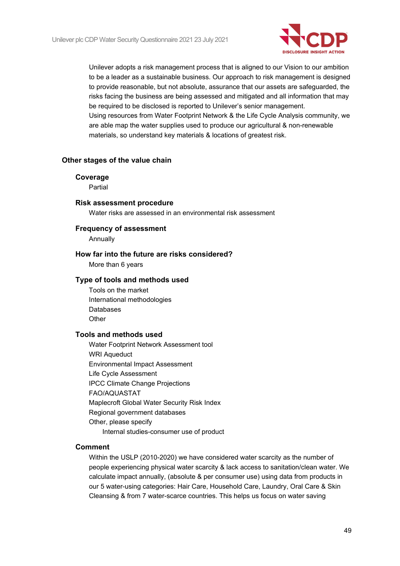

Unilever adopts a risk management process that is aligned to our Vision to our ambition to be a leader as a sustainable business. Our approach to risk management is designed to provide reasonable, but not absolute, assurance that our assets are safeguarded, the risks facing the business are being assessed and mitigated and all information that may be required to be disclosed is reported to Unilever's senior management. Using resources from Water Footprint Network & the Life Cycle Analysis community, we are able map the water supplies used to produce our agricultural & non-renewable materials, so understand key materials & locations of greatest risk.

#### **Other stages of the value chain**

#### **Coverage**

Partial

#### **Risk assessment procedure**

Water risks are assessed in an environmental risk assessment

**Frequency of assessment** Annually

#### **How far into the future are risks considered?**

More than 6 years

#### **Type of tools and methods used**

Tools on the market International methodologies Databases **Other** 

#### **Tools and methods used**

Water Footprint Network Assessment tool WRI Aqueduct Environmental Impact Assessment Life Cycle Assessment IPCC Climate Change Projections FAO/AQUASTAT Maplecroft Global Water Security Risk Index Regional government databases Other, please specify Internal studies-consumer use of product

#### **Comment**

Within the USLP (2010-2020) we have considered water scarcity as the number of people experiencing physical water scarcity & lack access to sanitation/clean water. We calculate impact annually, (absolute & per consumer use) using data from products in our 5 water-using categories: Hair Care, Household Care, Laundry, Oral Care & Skin Cleansing & from 7 water-scarce countries. This helps us focus on water saving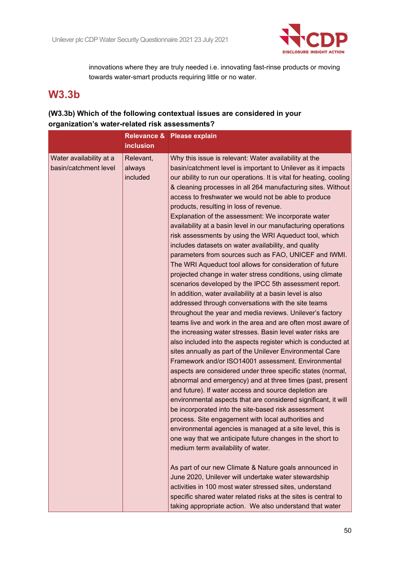

innovations where they are truly needed i.e. innovating fast-rinse products or moving towards water-smart products requiring little or no water.

# **W3.3b**

## **(W3.3b) Which of the following contextual issues are considered in your organization's water-related risk assessments?**

|                                                  | <b>inclusion</b>                | Relevance & Please explain                                                                                                                                                                                                                                                                                                                                                                                                                                                                                                                                                                                                                                                                                                                                                                                                                                                                                                                                                                                                                                                                                                                                                                                                                                                                                                                                                                                                                                                                                                                                                                                                                                                                                                                                                                                                                                                                     |
|--------------------------------------------------|---------------------------------|------------------------------------------------------------------------------------------------------------------------------------------------------------------------------------------------------------------------------------------------------------------------------------------------------------------------------------------------------------------------------------------------------------------------------------------------------------------------------------------------------------------------------------------------------------------------------------------------------------------------------------------------------------------------------------------------------------------------------------------------------------------------------------------------------------------------------------------------------------------------------------------------------------------------------------------------------------------------------------------------------------------------------------------------------------------------------------------------------------------------------------------------------------------------------------------------------------------------------------------------------------------------------------------------------------------------------------------------------------------------------------------------------------------------------------------------------------------------------------------------------------------------------------------------------------------------------------------------------------------------------------------------------------------------------------------------------------------------------------------------------------------------------------------------------------------------------------------------------------------------------------------------|
| Water availability at a<br>basin/catchment level | Relevant,<br>always<br>included | Why this issue is relevant: Water availability at the<br>basin/catchment level is important to Unilever as it impacts<br>our ability to run our operations. It is vital for heating, cooling<br>& cleaning processes in all 264 manufacturing sites. Without<br>access to freshwater we would not be able to produce<br>products, resulting in loss of revenue.<br>Explanation of the assessment: We incorporate water<br>availability at a basin level in our manufacturing operations<br>risk assessments by using the WRI Aqueduct tool, which<br>includes datasets on water availability, and quality<br>parameters from sources such as FAO, UNICEF and IWMI.<br>The WRI Aqueduct tool allows for consideration of future<br>projected change in water stress conditions, using climate<br>scenarios developed by the IPCC 5th assessment report.<br>In addition, water availability at a basin level is also<br>addressed through conversations with the site teams<br>throughout the year and media reviews. Unilever's factory<br>teams live and work in the area and are often most aware of<br>the increasing water stresses. Basin level water risks are<br>also included into the aspects register which is conducted at<br>sites annually as part of the Unilever Environmental Care<br>Framework and/or ISO14001 assessment. Environmental<br>aspects are considered under three specific states (normal,<br>abnormal and emergency) and at three times (past, present<br>and future). If water access and source depletion are<br>environmental aspects that are considered significant, it will<br>be incorporated into the site-based risk assessment<br>process. Site engagement with local authorities and<br>environmental agencies is managed at a site level, this is<br>one way that we anticipate future changes in the short to<br>medium term availability of water. |
|                                                  |                                 | As part of our new Climate & Nature goals announced in<br>June 2020, Unilever will undertake water stewardship<br>activities in 100 most water stressed sites, understand<br>specific shared water related risks at the sites is central to<br>taking appropriate action. We also understand that water                                                                                                                                                                                                                                                                                                                                                                                                                                                                                                                                                                                                                                                                                                                                                                                                                                                                                                                                                                                                                                                                                                                                                                                                                                                                                                                                                                                                                                                                                                                                                                                        |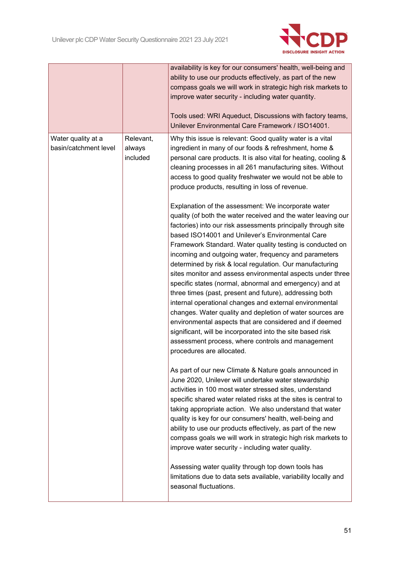

|                                             |                                 | availability is key for our consumers' health, well-being and<br>ability to use our products effectively, as part of the new<br>compass goals we will work in strategic high risk markets to<br>improve water security - including water quantity.<br>Tools used: WRI Aqueduct, Discussions with factory teams,<br>Unilever Environmental Care Framework / ISO14001.                                                                                                                                                                                                                                                                                                                                                                                                                                                                                                                                                                                                                                                                                                                                                                                                                                                                                                                                                                                                                                                                                                                                                                                                                                                                                                                             |
|---------------------------------------------|---------------------------------|--------------------------------------------------------------------------------------------------------------------------------------------------------------------------------------------------------------------------------------------------------------------------------------------------------------------------------------------------------------------------------------------------------------------------------------------------------------------------------------------------------------------------------------------------------------------------------------------------------------------------------------------------------------------------------------------------------------------------------------------------------------------------------------------------------------------------------------------------------------------------------------------------------------------------------------------------------------------------------------------------------------------------------------------------------------------------------------------------------------------------------------------------------------------------------------------------------------------------------------------------------------------------------------------------------------------------------------------------------------------------------------------------------------------------------------------------------------------------------------------------------------------------------------------------------------------------------------------------------------------------------------------------------------------------------------------------|
| Water quality at a<br>basin/catchment level | Relevant,<br>always<br>included | Why this issue is relevant: Good quality water is a vital<br>ingredient in many of our foods & refreshment, home &<br>personal care products. It is also vital for heating, cooling &<br>cleaning processes in all 261 manufacturing sites. Without<br>access to good quality freshwater we would not be able to<br>produce products, resulting in loss of revenue.<br>Explanation of the assessment: We incorporate water<br>quality (of both the water received and the water leaving our<br>factories) into our risk assessments principally through site<br>based ISO14001 and Unilever's Environmental Care<br>Framework Standard. Water quality testing is conducted on<br>incoming and outgoing water, frequency and parameters<br>determined by risk & local regulation. Our manufacturing<br>sites monitor and assess environmental aspects under three<br>specific states (normal, abnormal and emergency) and at<br>three times (past, present and future), addressing both<br>internal operational changes and external environmental<br>changes. Water quality and depletion of water sources are<br>environmental aspects that are considered and if deemed<br>significant, will be incorporated into the site based risk<br>assessment process, where controls and management<br>procedures are allocated.<br>As part of our new Climate & Nature goals announced in<br>June 2020, Unilever will undertake water stewardship<br>activities in 100 most water stressed sites, understand<br>specific shared water related risks at the sites is central to<br>taking appropriate action. We also understand that water<br>quality is key for our consumers' health, well-being and |
|                                             |                                 | ability to use our products effectively, as part of the new<br>compass goals we will work in strategic high risk markets to<br>improve water security - including water quality.<br>Assessing water quality through top down tools has<br>limitations due to data sets available, variability locally and<br>seasonal fluctuations.                                                                                                                                                                                                                                                                                                                                                                                                                                                                                                                                                                                                                                                                                                                                                                                                                                                                                                                                                                                                                                                                                                                                                                                                                                                                                                                                                              |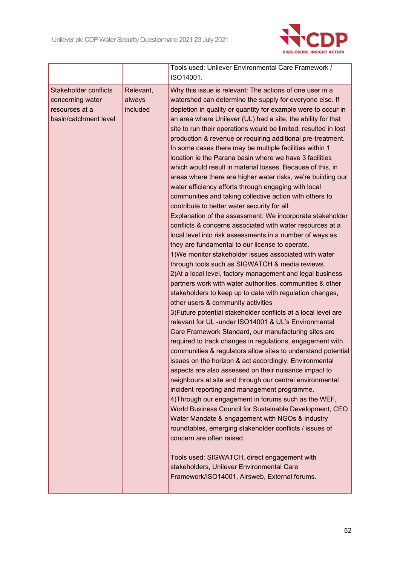

|                                                                                             |                                 | Tools used: Unilever Environmental Care Framework /<br>ISO14001.                                                                                                                                                                                                                                                                                                                                                                                                                                                                                                                                                                                                                                                                                                                                                                                                                                                                                                                                                                                                                                                                                                                                                                                                                                                                                                                                                                                                                                                                                                                                                                                                                                                                                                                                                                                                                                                                                                                                                                                                                                                                                                                                                                                                                                                                                            |
|---------------------------------------------------------------------------------------------|---------------------------------|-------------------------------------------------------------------------------------------------------------------------------------------------------------------------------------------------------------------------------------------------------------------------------------------------------------------------------------------------------------------------------------------------------------------------------------------------------------------------------------------------------------------------------------------------------------------------------------------------------------------------------------------------------------------------------------------------------------------------------------------------------------------------------------------------------------------------------------------------------------------------------------------------------------------------------------------------------------------------------------------------------------------------------------------------------------------------------------------------------------------------------------------------------------------------------------------------------------------------------------------------------------------------------------------------------------------------------------------------------------------------------------------------------------------------------------------------------------------------------------------------------------------------------------------------------------------------------------------------------------------------------------------------------------------------------------------------------------------------------------------------------------------------------------------------------------------------------------------------------------------------------------------------------------------------------------------------------------------------------------------------------------------------------------------------------------------------------------------------------------------------------------------------------------------------------------------------------------------------------------------------------------------------------------------------------------------------------------------------------------|
| <b>Stakeholder conflicts</b><br>concerning water<br>resources at a<br>basin/catchment level | Relevant,<br>always<br>included | Why this issue is relevant: The actions of one user in a<br>watershed can determine the supply for everyone else. If<br>depletion in quality or quantity for example were to occur in<br>an area where Unilever (UL) had a site, the ability for that<br>site to run their operations would be limited, resulted in lost<br>production & revenue or requiring additional pre-treatment.<br>In some cases there may be multiple facilities within 1<br>location ie the Parana basin where we have 3 facilities<br>which would result in material losses. Because of this, in<br>areas where there are higher water risks, we're building our<br>water efficiency efforts through engaging with local<br>communities and taking collective action with others to<br>contribute to better water security for all.<br>Explanation of the assessment: We incorporate stakeholder<br>conflicts & concerns associated with water resources at a<br>local level into risk assessments in a number of ways as<br>they are fundamental to our license to operate.<br>1) We monitor stakeholder issues associated with water<br>through tools such as SIGWATCH & media reviews.<br>2) At a local level, factory management and legal business<br>partners work with water authorities, communities & other<br>stakeholders to keep up to date with regulation changes,<br>other users & community activities<br>3) Future potential stakeholder conflicts at a local level are<br>relevant for UL -under ISO14001 & UL's Environmental<br>Care Framework Standard, our manufacturing sites are<br>required to track changes in regulations, engagement with<br>communities & regulators allow sites to understand potential<br>issues on the horizon & act accordingly. Environmental<br>aspects are also assessed on their nuisance impact to<br>neighbours at site and through our central environmental<br>incident reporting and management programme.<br>4) Through our engagement in forums such as the WEF,<br>World Business Council for Sustainable Development, CEO<br>Water Mandate & engagement with NGOs & industry<br>roundtables, emerging stakeholder conflicts / issues of<br>concern are often raised.<br>Tools used: SIGWATCH, direct engagement with<br>stakeholders, Unilever Environmental Care<br>Framework/ISO14001, Airsweb, External forums. |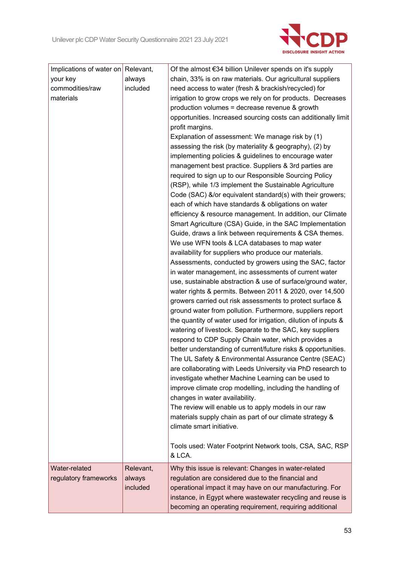

| Implications of water on Relevant, |           | Of the almost €34 billion Unilever spends on it's supply        |
|------------------------------------|-----------|-----------------------------------------------------------------|
| your key                           | always    | chain, 33% is on raw materials. Our agricultural suppliers      |
| commodities/raw                    | included  | need access to water (fresh & brackish/recycled) for            |
| materials                          |           | irrigation to grow crops we rely on for products. Decreases     |
|                                    |           | production volumes = decrease revenue & growth                  |
|                                    |           | opportunities. Increased sourcing costs can additionally limit  |
|                                    |           | profit margins.                                                 |
|                                    |           | Explanation of assessment: We manage risk by (1)                |
|                                    |           | assessing the risk (by materiality & geography), (2) by         |
|                                    |           | implementing policies & guidelines to encourage water           |
|                                    |           | management best practice. Suppliers & 3rd parties are           |
|                                    |           | required to sign up to our Responsible Sourcing Policy          |
|                                    |           | (RSP), while 1/3 implement the Sustainable Agriculture          |
|                                    |           | Code (SAC) &/or equivalent standard(s) with their growers;      |
|                                    |           | each of which have standards & obligations on water             |
|                                    |           | efficiency & resource management. In addition, our Climate      |
|                                    |           | Smart Agriculture (CSA) Guide, in the SAC Implementation        |
|                                    |           | Guide, draws a link between requirements & CSA themes.          |
|                                    |           | We use WFN tools & LCA databases to map water                   |
|                                    |           | availability for suppliers who produce our materials.           |
|                                    |           | Assessments, conducted by growers using the SAC, factor         |
|                                    |           | in water management, inc assessments of current water           |
|                                    |           | use, sustainable abstraction & use of surface/ground water,     |
|                                    |           | water rights & permits. Between 2011 & 2020, over 14,500        |
|                                    |           | growers carried out risk assessments to protect surface &       |
|                                    |           | ground water from pollution. Furthermore, suppliers report      |
|                                    |           | the quantity of water used for irrigation, dilution of inputs & |
|                                    |           | watering of livestock. Separate to the SAC, key suppliers       |
|                                    |           | respond to CDP Supply Chain water, which provides a             |
|                                    |           | better understanding of current/future risks & opportunities.   |
|                                    |           | The UL Safety & Environmental Assurance Centre (SEAC)           |
|                                    |           | are collaborating with Leeds University via PhD research to     |
|                                    |           | investigate whether Machine Learning can be used to             |
|                                    |           | improve climate crop modelling, including the handling of       |
|                                    |           | changes in water availability.                                  |
|                                    |           | The review will enable us to apply models in our raw            |
|                                    |           | materials supply chain as part of our climate strategy &        |
|                                    |           | climate smart initiative.                                       |
|                                    |           |                                                                 |
|                                    |           | Tools used: Water Footprint Network tools, CSA, SAC, RSP        |
|                                    |           | & LCA.                                                          |
| Water-related                      | Relevant, | Why this issue is relevant: Changes in water-related            |
| regulatory frameworks              | always    | regulation are considered due to the financial and              |
|                                    | included  | operational impact it may have on our manufacturing. For        |
|                                    |           | instance, in Egypt where wastewater recycling and reuse is      |
|                                    |           | becoming an operating requirement, requiring additional         |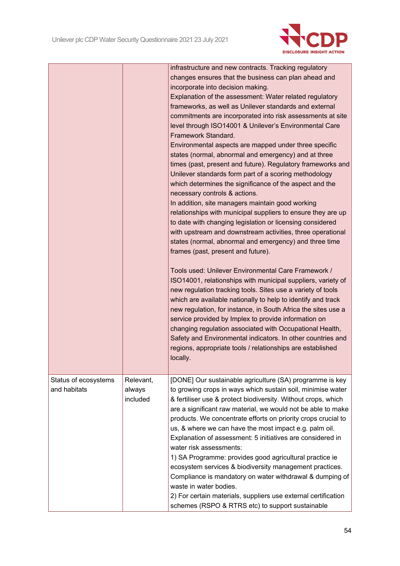

|                                      |                                 | infrastructure and new contracts. Tracking regulatory<br>changes ensures that the business can plan ahead and<br>incorporate into decision making.<br>Explanation of the assessment: Water related regulatory<br>frameworks, as well as Unilever standards and external<br>commitments are incorporated into risk assessments at site<br>level through ISO14001 & Unilever's Environmental Care<br>Framework Standard.<br>Environmental aspects are mapped under three specific<br>states (normal, abnormal and emergency) and at three<br>times (past, present and future). Regulatory frameworks and<br>Unilever standards form part of a scoring methodology<br>which determines the significance of the aspect and the<br>necessary controls & actions.<br>In addition, site managers maintain good working<br>relationships with municipal suppliers to ensure they are up<br>to date with changing legislation or licensing considered<br>with upstream and downstream activities, three operational<br>states (normal, abnormal and emergency) and three time<br>frames (past, present and future).<br>Tools used: Unilever Environmental Care Framework /<br>ISO14001, relationships with municipal suppliers, variety of<br>new regulation tracking tools. Sites use a variety of tools<br>which are available nationally to help to identify and track<br>new regulation, for instance, in South Africa the sites use a<br>service provided by Implex to provide information on<br>changing regulation associated with Occupational Health,<br>Safety and Environmental indicators. In other countries and<br>regions, appropriate tools / relationships are established<br>locally. |
|--------------------------------------|---------------------------------|------------------------------------------------------------------------------------------------------------------------------------------------------------------------------------------------------------------------------------------------------------------------------------------------------------------------------------------------------------------------------------------------------------------------------------------------------------------------------------------------------------------------------------------------------------------------------------------------------------------------------------------------------------------------------------------------------------------------------------------------------------------------------------------------------------------------------------------------------------------------------------------------------------------------------------------------------------------------------------------------------------------------------------------------------------------------------------------------------------------------------------------------------------------------------------------------------------------------------------------------------------------------------------------------------------------------------------------------------------------------------------------------------------------------------------------------------------------------------------------------------------------------------------------------------------------------------------------------------------------------------------------------------------------------------------------------|
| Status of ecosystems<br>and habitats | Relevant,<br>always<br>included | [DONE] Our sustainable agriculture (SA) programme is key<br>to growing crops in ways which sustain soil, minimise water<br>& fertiliser use & protect biodiversity. Without crops, which<br>are a significant raw material, we would not be able to make<br>products. We concentrate efforts on priority crops crucial to<br>us, & where we can have the most impact e.g. palm oil.<br>Explanation of assessment: 5 initiatives are considered in<br>water risk assessments:<br>1) SA Programme: provides good agricultural practice ie<br>ecosystem services & biodiversity management practices.<br>Compliance is mandatory on water withdrawal & dumping of<br>waste in water bodies.<br>2) For certain materials, suppliers use external certification<br>schemes (RSPO & RTRS etc) to support sustainable                                                                                                                                                                                                                                                                                                                                                                                                                                                                                                                                                                                                                                                                                                                                                                                                                                                                                 |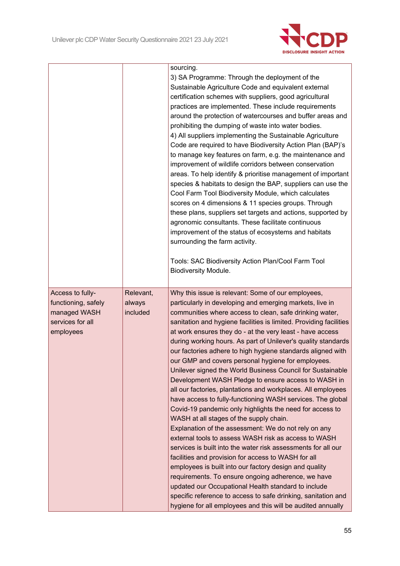

|                                                                                          |                                 | sourcing.<br>3) SA Programme: Through the deployment of the<br>Sustainable Agriculture Code and equivalent external<br>certification schemes with suppliers, good agricultural<br>practices are implemented. These include requirements<br>around the protection of watercourses and buffer areas and<br>prohibiting the dumping of waste into water bodies.<br>4) All suppliers implementing the Sustainable Agriculture<br>Code are required to have Biodiversity Action Plan (BAP)'s<br>to manage key features on farm, e.g. the maintenance and<br>improvement of wildlife corridors between conservation<br>areas. To help identify & prioritise management of important<br>species & habitats to design the BAP, suppliers can use the<br>Cool Farm Tool Biodiversity Module, which calculates<br>scores on 4 dimensions & 11 species groups. Through<br>these plans, suppliers set targets and actions, supported by<br>agronomic consultants. These facilitate continuous<br>improvement of the status of ecosystems and habitats<br>surrounding the farm activity.<br>Tools: SAC Biodiversity Action Plan/Cool Farm Tool<br><b>Biodiversity Module.</b> |
|------------------------------------------------------------------------------------------|---------------------------------|------------------------------------------------------------------------------------------------------------------------------------------------------------------------------------------------------------------------------------------------------------------------------------------------------------------------------------------------------------------------------------------------------------------------------------------------------------------------------------------------------------------------------------------------------------------------------------------------------------------------------------------------------------------------------------------------------------------------------------------------------------------------------------------------------------------------------------------------------------------------------------------------------------------------------------------------------------------------------------------------------------------------------------------------------------------------------------------------------------------------------------------------------------------|
| Access to fully-<br>functioning, safely<br>managed WASH<br>services for all<br>employees | Relevant,<br>always<br>included | Why this issue is relevant: Some of our employees,<br>particularly in developing and emerging markets, live in<br>communities where access to clean, safe drinking water,<br>sanitation and hygiene facilities is limited. Providing facilities<br>at work ensures they do - at the very least - have access                                                                                                                                                                                                                                                                                                                                                                                                                                                                                                                                                                                                                                                                                                                                                                                                                                                     |
|                                                                                          |                                 | during working hours. As part of Unilever's quality standards<br>our factories adhere to high hygiene standards aligned with<br>our GMP and covers personal hygiene for employees.<br>Unilever signed the World Business Council for Sustainable<br>Development WASH Pledge to ensure access to WASH in                                                                                                                                                                                                                                                                                                                                                                                                                                                                                                                                                                                                                                                                                                                                                                                                                                                          |
|                                                                                          |                                 | all our factories, plantations and workplaces. All employees<br>have access to fully-functioning WASH services. The global<br>Covid-19 pandemic only highlights the need for access to<br>WASH at all stages of the supply chain.                                                                                                                                                                                                                                                                                                                                                                                                                                                                                                                                                                                                                                                                                                                                                                                                                                                                                                                                |
|                                                                                          |                                 | Explanation of the assessment: We do not rely on any<br>external tools to assess WASH risk as access to WASH<br>services is built into the water risk assessments for all our<br>facilities and provision for access to WASH for all<br>employees is built into our factory design and quality                                                                                                                                                                                                                                                                                                                                                                                                                                                                                                                                                                                                                                                                                                                                                                                                                                                                   |
|                                                                                          |                                 | requirements. To ensure ongoing adherence, we have<br>updated our Occupational Health standard to include<br>specific reference to access to safe drinking, sanitation and<br>hygiene for all employees and this will be audited annually                                                                                                                                                                                                                                                                                                                                                                                                                                                                                                                                                                                                                                                                                                                                                                                                                                                                                                                        |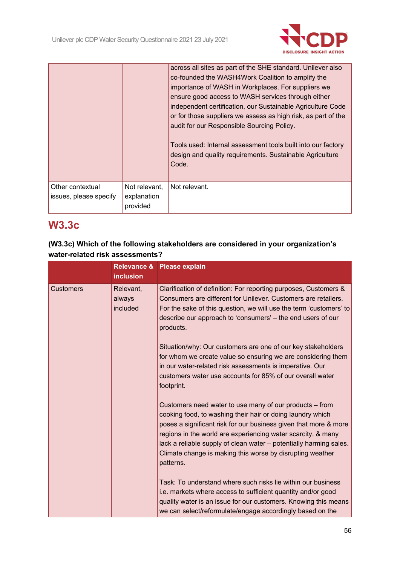

|                                            |                                          | across all sites as part of the SHE standard. Unilever also<br>co-founded the WASH4Work Coalition to amplify the<br>importance of WASH in Workplaces. For suppliers we<br>ensure good access to WASH services through either<br>independent certification, our Sustainable Agriculture Code<br>or for those suppliers we assess as high risk, as part of the<br>audit for our Responsible Sourcing Policy.<br>Tools used: Internal assessment tools built into our factory<br>design and quality requirements. Sustainable Agriculture<br>Code. |
|--------------------------------------------|------------------------------------------|-------------------------------------------------------------------------------------------------------------------------------------------------------------------------------------------------------------------------------------------------------------------------------------------------------------------------------------------------------------------------------------------------------------------------------------------------------------------------------------------------------------------------------------------------|
| Other contextual<br>issues, please specify | Not relevant,<br>explanation<br>provided | Not relevant.                                                                                                                                                                                                                                                                                                                                                                                                                                                                                                                                   |

# **W3.3c**

## **(W3.3c) Which of the following stakeholders are considered in your organization's water-related risk assessments?**

|                  | <b>inclusion</b>                | Relevance & Please explain                                                                                                                                                                                                                                                                                                                                                                                |
|------------------|---------------------------------|-----------------------------------------------------------------------------------------------------------------------------------------------------------------------------------------------------------------------------------------------------------------------------------------------------------------------------------------------------------------------------------------------------------|
| <b>Customers</b> | Relevant,<br>always<br>included | Clarification of definition: For reporting purposes, Customers &<br>Consumers are different for Unilever. Customers are retailers.<br>For the sake of this question, we will use the term 'customers' to<br>describe our approach to 'consumers' – the end users of our<br>products.                                                                                                                      |
|                  |                                 | Situation/why: Our customers are one of our key stakeholders<br>for whom we create value so ensuring we are considering them<br>in our water-related risk assessments is imperative. Our<br>customers water use accounts for 85% of our overall water<br>footprint.                                                                                                                                       |
|                  |                                 | Customers need water to use many of our products – from<br>cooking food, to washing their hair or doing laundry which<br>poses a significant risk for our business given that more & more<br>regions in the world are experiencing water scarcity, & many<br>lack a reliable supply of clean water - potentially harming sales.<br>Climate change is making this worse by disrupting weather<br>patterns. |
|                  |                                 | Task: To understand where such risks lie within our business<br>i.e. markets where access to sufficient quantity and/or good<br>quality water is an issue for our customers. Knowing this means<br>we can select/reformulate/engage accordingly based on the                                                                                                                                              |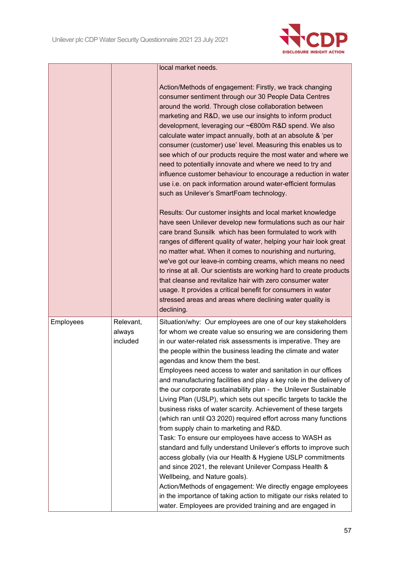

|           |                                 | local market needs.                                                                                                                                                                                                                                                                                                                                                                                                                                                                                                                                                                                                                                                                                                                                                                                                                                                                                                                                                                                                                                                                                                                                                                                                                                     |
|-----------|---------------------------------|---------------------------------------------------------------------------------------------------------------------------------------------------------------------------------------------------------------------------------------------------------------------------------------------------------------------------------------------------------------------------------------------------------------------------------------------------------------------------------------------------------------------------------------------------------------------------------------------------------------------------------------------------------------------------------------------------------------------------------------------------------------------------------------------------------------------------------------------------------------------------------------------------------------------------------------------------------------------------------------------------------------------------------------------------------------------------------------------------------------------------------------------------------------------------------------------------------------------------------------------------------|
|           |                                 | Action/Methods of engagement: Firstly, we track changing<br>consumer sentiment through our 30 People Data Centres<br>around the world. Through close collaboration between<br>marketing and R&D, we use our insights to inform product<br>development, leveraging our ~€800m R&D spend. We also<br>calculate water impact annually, both at an absolute & 'per<br>consumer (customer) use' level. Measuring this enables us to<br>see which of our products require the most water and where we<br>need to potentially innovate and where we need to try and<br>influence customer behaviour to encourage a reduction in water<br>use i.e. on pack information around water-efficient formulas<br>such as Unilever's SmartFoam technology.                                                                                                                                                                                                                                                                                                                                                                                                                                                                                                              |
|           |                                 | Results: Our customer insights and local market knowledge<br>have seen Unilever develop new formulations such as our hair<br>care brand Sunsilk which has been formulated to work with<br>ranges of different quality of water, helping your hair look great<br>no matter what. When it comes to nourishing and nurturing,<br>we've got our leave-in combing creams, which means no need<br>to rinse at all. Our scientists are working hard to create products<br>that cleanse and revitalize hair with zero consumer water<br>usage. It provides a critical benefit for consumers in water<br>stressed areas and areas where declining water quality is<br>declining.                                                                                                                                                                                                                                                                                                                                                                                                                                                                                                                                                                                 |
| Employees | Relevant,<br>always<br>included | Situation/why: Our employees are one of our key stakeholders<br>for whom we create value so ensuring we are considering them<br>in our water-related risk assessments is imperative. They are<br>the people within the business leading the climate and water<br>agendas and know them the best.<br>Employees need access to water and sanitation in our offices<br>and manufacturing facilities and play a key role in the delivery of<br>the our corporate sustainability plan - the Unilever Sustainable<br>Living Plan (USLP), which sets out specific targets to tackle the<br>business risks of water scarcity. Achievement of these targets<br>(which ran until Q3 2020) required effort across many functions<br>from supply chain to marketing and R&D.<br>Task: To ensure our employees have access to WASH as<br>standard and fully understand Unilever's efforts to improve such<br>access globally (via our Health & Hygiene USLP commitments<br>and since 2021, the relevant Unilever Compass Health &<br>Wellbeing, and Nature goals).<br>Action/Methods of engagement: We directly engage employees<br>in the importance of taking action to mitigate our risks related to<br>water. Employees are provided training and are engaged in |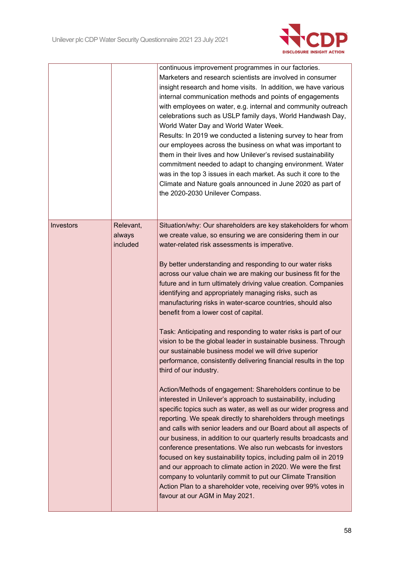

|           |                                 | continuous improvement programmes in our factories.<br>Marketers and research scientists are involved in consumer<br>insight research and home visits. In addition, we have various<br>internal communication methods and points of engagements<br>with employees on water, e.g. internal and community outreach<br>celebrations such as USLP family days, World Handwash Day,<br>World Water Day and World Water Week.<br>Results: In 2019 we conducted a listening survey to hear from<br>our employees across the business on what was important to<br>them in their lives and how Unilever's revised sustainability<br>commitment needed to adapt to changing environment. Water<br>was in the top 3 issues in each market. As such it core to the<br>Climate and Nature goals announced in June 2020 as part of<br>the 2020-2030 Unilever Compass. |
|-----------|---------------------------------|---------------------------------------------------------------------------------------------------------------------------------------------------------------------------------------------------------------------------------------------------------------------------------------------------------------------------------------------------------------------------------------------------------------------------------------------------------------------------------------------------------------------------------------------------------------------------------------------------------------------------------------------------------------------------------------------------------------------------------------------------------------------------------------------------------------------------------------------------------|
| Investors | Relevant,<br>always<br>included | Situation/why: Our shareholders are key stakeholders for whom<br>we create value, so ensuring we are considering them in our<br>water-related risk assessments is imperative.<br>By better understanding and responding to our water risks<br>across our value chain we are making our business fit for the<br>future and in turn ultimately driving value creation. Companies<br>identifying and appropriately managing risks, such as<br>manufacturing risks in water-scarce countries, should also<br>benefit from a lower cost of capital.<br>Task: Anticipating and responding to water risks is part of our<br>vision to be the global leader in sustainable business. Through<br>our sustainable business model we will drive superior<br>performance, consistently delivering financial results in the top<br>third of our industry.            |
|           |                                 | Action/Methods of engagement: Shareholders continue to be<br>interested in Unilever's approach to sustainability, including<br>specific topics such as water, as well as our wider progress and<br>reporting. We speak directly to shareholders through meetings<br>and calls with senior leaders and our Board about all aspects of<br>our business, in addition to our quarterly results broadcasts and<br>conference presentations. We also run webcasts for investors<br>focused on key sustainability topics, including palm oil in 2019<br>and our approach to climate action in 2020. We were the first<br>company to voluntarily commit to put our Climate Transition<br>Action Plan to a shareholder vote, receiving over 99% votes in<br>favour at our AGM in May 2021.                                                                       |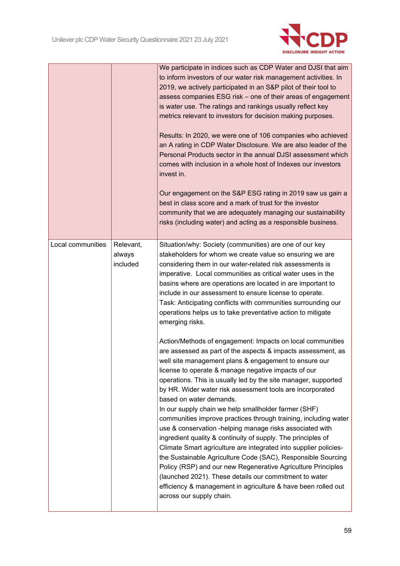

|                   |                                 | We participate in indices such as CDP Water and DJSI that aim<br>to inform investors of our water risk management activities. In<br>2019, we actively participated in an S&P pilot of their tool to<br>assess companies ESG risk - one of their areas of engagement<br>is water use. The ratings and rankings usually reflect key<br>metrics relevant to investors for decision making purposes.<br>Results: In 2020, we were one of 106 companies who achieved<br>an A rating in CDP Water Disclosure. We are also leader of the<br>Personal Products sector in the annual DJSI assessment which<br>comes with inclusion in a whole host of Indexes our investors<br>invest in.<br>Our engagement on the S&P ESG rating in 2019 saw us gain a<br>best in class score and a mark of trust for the investor<br>community that we are adequately managing our sustainability<br>risks (including water) and acting as a responsible business.              |
|-------------------|---------------------------------|----------------------------------------------------------------------------------------------------------------------------------------------------------------------------------------------------------------------------------------------------------------------------------------------------------------------------------------------------------------------------------------------------------------------------------------------------------------------------------------------------------------------------------------------------------------------------------------------------------------------------------------------------------------------------------------------------------------------------------------------------------------------------------------------------------------------------------------------------------------------------------------------------------------------------------------------------------|
| Local communities | Relevant,<br>always<br>included | Situation/why: Society (communities) are one of our key<br>stakeholders for whom we create value so ensuring we are<br>considering them in our water-related risk assessments is<br>imperative. Local communities as critical water uses in the<br>basins where are operations are located in are important to<br>include in our assessment to ensure license to operate.<br>Task: Anticipating conflicts with communities surrounding our<br>operations helps us to take preventative action to mitigate<br>emerging risks.<br>Action/Methods of engagement: Impacts on local communities                                                                                                                                                                                                                                                                                                                                                               |
|                   |                                 | are assessed as part of the aspects & impacts assessment, as<br>well site management plans & engagement to ensure our<br>license to operate & manage negative impacts of our<br>operations. This is usually led by the site manager, supported<br>by HR. Wider water risk assessment tools are incorporated<br>based on water demands.<br>In our supply chain we help smallholder farmer (SHF)<br>communities improve practices through training, including water<br>use & conservation -helping manage risks associated with<br>ingredient quality & continuity of supply. The principles of<br>Climate Smart agriculture are integrated into supplier policies-<br>the Sustainable Agriculture Code (SAC), Responsible Sourcing<br>Policy (RSP) and our new Regenerative Agriculture Principles<br>(launched 2021). These details our commitment to water<br>efficiency & management in agriculture & have been rolled out<br>across our supply chain. |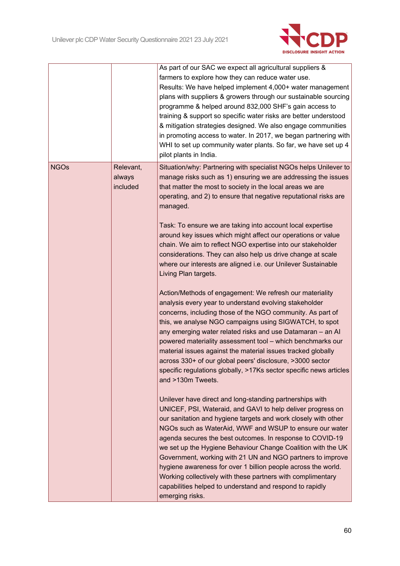

|             |                                 | As part of our SAC we expect all agricultural suppliers &<br>farmers to explore how they can reduce water use.<br>Results: We have helped implement 4,000+ water management<br>plans with suppliers & growers through our sustainable sourcing<br>programme & helped around 832,000 SHF's gain access to<br>training & support so specific water risks are better understood<br>& mitigation strategies designed. We also engage communities<br>in promoting access to water. In 2017, we began partnering with<br>WHI to set up community water plants. So far, we have set up 4<br>pilot plants in India.                                                                                                                                                                                                                                                                                                                                                                                                                                                                                                                                                                                                                                                                                                                                                                                                                                                                                                                                                                                                                                                                                                                                                                                                                                                                                             |
|-------------|---------------------------------|---------------------------------------------------------------------------------------------------------------------------------------------------------------------------------------------------------------------------------------------------------------------------------------------------------------------------------------------------------------------------------------------------------------------------------------------------------------------------------------------------------------------------------------------------------------------------------------------------------------------------------------------------------------------------------------------------------------------------------------------------------------------------------------------------------------------------------------------------------------------------------------------------------------------------------------------------------------------------------------------------------------------------------------------------------------------------------------------------------------------------------------------------------------------------------------------------------------------------------------------------------------------------------------------------------------------------------------------------------------------------------------------------------------------------------------------------------------------------------------------------------------------------------------------------------------------------------------------------------------------------------------------------------------------------------------------------------------------------------------------------------------------------------------------------------------------------------------------------------------------------------------------------------|
| <b>NGOs</b> | Relevant,<br>always<br>included | Situation/why: Partnering with specialist NGOs helps Unilever to<br>manage risks such as 1) ensuring we are addressing the issues<br>that matter the most to society in the local areas we are<br>operating, and 2) to ensure that negative reputational risks are<br>managed.<br>Task: To ensure we are taking into account local expertise<br>around key issues which might affect our operations or value<br>chain. We aim to reflect NGO expertise into our stakeholder<br>considerations. They can also help us drive change at scale<br>where our interests are aligned i.e. our Unilever Sustainable<br>Living Plan targets.<br>Action/Methods of engagement: We refresh our materiality<br>analysis every year to understand evolving stakeholder<br>concerns, including those of the NGO community. As part of<br>this, we analyse NGO campaigns using SIGWATCH, to spot<br>any emerging water related risks and use Datamaran - an Al<br>powered materiality assessment tool - which benchmarks our<br>material issues against the material issues tracked globally<br>across 330+ of our global peers' disclosure, >3000 sector<br>specific regulations globally, >17Ks sector specific news articles<br>and >130m Tweets.<br>Unilever have direct and long-standing partnerships with<br>UNICEF, PSI, Wateraid, and GAVI to help deliver progress on<br>our sanitation and hygiene targets and work closely with other<br>NGOs such as WaterAid, WWF and WSUP to ensure our water<br>agenda secures the best outcomes. In response to COVID-19<br>we set up the Hygiene Behaviour Change Coalition with the UK<br>Government, working with 21 UN and NGO partners to improve<br>hygiene awareness for over 1 billion people across the world.<br>Working collectively with these partners with complimentary<br>capabilities helped to understand and respond to rapidly<br>emerging risks. |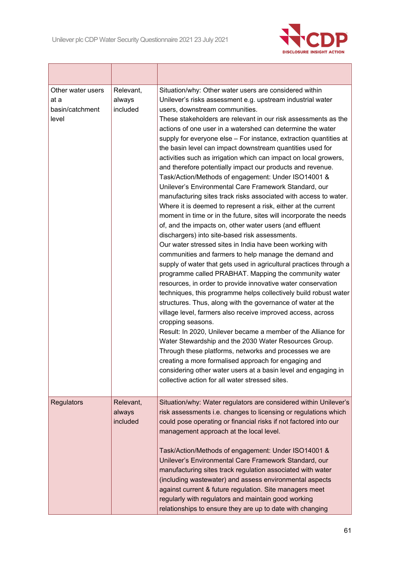Г



| Other water users<br>at a<br>basin/catchment<br>level | Relevant,<br>always<br>included | Situation/why: Other water users are considered within<br>Unilever's risks assessment e.g. upstream industrial water<br>users, downstream communities.<br>These stakeholders are relevant in our risk assessments as the<br>actions of one user in a watershed can determine the water<br>supply for everyone else - For instance, extraction quantities at<br>the basin level can impact downstream quantities used for<br>activities such as irrigation which can impact on local growers,<br>and therefore potentially impact our products and revenue.<br>Task/Action/Methods of engagement: Under ISO14001 &<br>Unilever's Environmental Care Framework Standard, our<br>manufacturing sites track risks associated with access to water.<br>Where it is deemed to represent a risk, either at the current<br>moment in time or in the future, sites will incorporate the needs<br>of, and the impacts on, other water users (and effluent<br>dischargers) into site-based risk assessments.<br>Our water stressed sites in India have been working with<br>communities and farmers to help manage the demand and<br>supply of water that gets used in agricultural practices through a<br>programme called PRABHAT. Mapping the community water<br>resources, in order to provide innovative water conservation<br>techniques, this programme helps collectively build robust water<br>structures. Thus, along with the governance of water at the<br>village level, farmers also receive improved access, across<br>cropping seasons.<br>Result: In 2020, Unilever became a member of the Alliance for<br>Water Stewardship and the 2030 Water Resources Group.<br>Through these platforms, networks and processes we are<br>creating a more formalised approach for engaging and<br>considering other water users at a basin level and engaging in<br>collective action for all water stressed sites. |
|-------------------------------------------------------|---------------------------------|---------------------------------------------------------------------------------------------------------------------------------------------------------------------------------------------------------------------------------------------------------------------------------------------------------------------------------------------------------------------------------------------------------------------------------------------------------------------------------------------------------------------------------------------------------------------------------------------------------------------------------------------------------------------------------------------------------------------------------------------------------------------------------------------------------------------------------------------------------------------------------------------------------------------------------------------------------------------------------------------------------------------------------------------------------------------------------------------------------------------------------------------------------------------------------------------------------------------------------------------------------------------------------------------------------------------------------------------------------------------------------------------------------------------------------------------------------------------------------------------------------------------------------------------------------------------------------------------------------------------------------------------------------------------------------------------------------------------------------------------------------------------------------------------------------------------------------------------------------------------------------------------------------------|
| <b>Regulators</b>                                     | Relevant,<br>always<br>included | Situation/why: Water regulators are considered within Unilever's<br>risk assessments i.e. changes to licensing or regulations which<br>could pose operating or financial risks if not factored into our<br>management approach at the local level.<br>Task/Action/Methods of engagement: Under ISO14001 &<br>Unilever's Environmental Care Framework Standard, our<br>manufacturing sites track regulation associated with water<br>(including wastewater) and assess environmental aspects<br>against current & future regulation. Site managers meet<br>regularly with regulators and maintain good working<br>relationships to ensure they are up to date with changing                                                                                                                                                                                                                                                                                                                                                                                                                                                                                                                                                                                                                                                                                                                                                                                                                                                                                                                                                                                                                                                                                                                                                                                                                                    |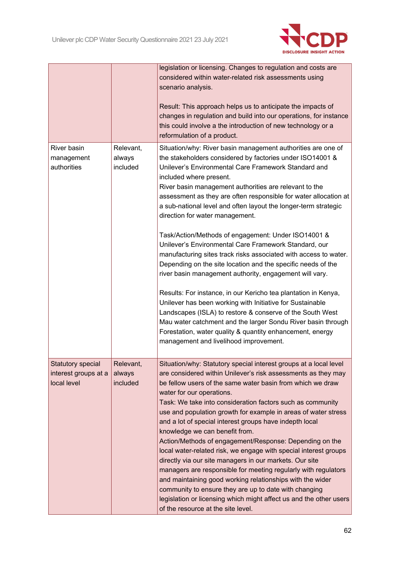

|                                                                 |                                 | legislation or licensing. Changes to regulation and costs are<br>considered within water-related risk assessments using<br>scenario analysis.<br>Result: This approach helps us to anticipate the impacts of<br>changes in regulation and build into our operations, for instance<br>this could involve a the introduction of new technology or a<br>reformulation of a product.                                                                                                                                                                                                                                                                                                                                                                                                                                                                                                                                                                                                                                                                                                                                                   |
|-----------------------------------------------------------------|---------------------------------|------------------------------------------------------------------------------------------------------------------------------------------------------------------------------------------------------------------------------------------------------------------------------------------------------------------------------------------------------------------------------------------------------------------------------------------------------------------------------------------------------------------------------------------------------------------------------------------------------------------------------------------------------------------------------------------------------------------------------------------------------------------------------------------------------------------------------------------------------------------------------------------------------------------------------------------------------------------------------------------------------------------------------------------------------------------------------------------------------------------------------------|
| River basin<br>management<br>authorities                        | Relevant,<br>always<br>included | Situation/why: River basin management authorities are one of<br>the stakeholders considered by factories under ISO14001 &<br>Unilever's Environmental Care Framework Standard and<br>included where present.<br>River basin management authorities are relevant to the<br>assessment as they are often responsible for water allocation at<br>a sub-national level and often layout the longer-term strategic<br>direction for water management.<br>Task/Action/Methods of engagement: Under ISO14001 &<br>Unilever's Environmental Care Framework Standard, our<br>manufacturing sites track risks associated with access to water.<br>Depending on the site location and the specific needs of the<br>river basin management authority, engagement will vary.<br>Results: For instance, in our Kericho tea plantation in Kenya,<br>Unilever has been working with Initiative for Sustainable<br>Landscapes (ISLA) to restore & conserve of the South West<br>Mau water catchment and the larger Sondu River basin through<br>Forestation, water quality & quantity enhancement, energy<br>management and livelihood improvement. |
| <b>Statutory special</b><br>interest groups at a<br>local level | Relevant,<br>always<br>included | Situation/why: Statutory special interest groups at a local level<br>are considered within Unilever's risk assessments as they may<br>be fellow users of the same water basin from which we draw<br>water for our operations.<br>Task: We take into consideration factors such as community<br>use and population growth for example in areas of water stress<br>and a lot of special interest groups have indepth local<br>knowledge we can benefit from.<br>Action/Methods of engagement/Response: Depending on the<br>local water-related risk, we engage with special interest groups<br>directly via our site managers in our markets. Our site<br>managers are responsible for meeting regularly with regulators<br>and maintaining good working relationships with the wider<br>community to ensure they are up to date with changing<br>legislation or licensing which might affect us and the other users<br>of the resource at the site level.                                                                                                                                                                           |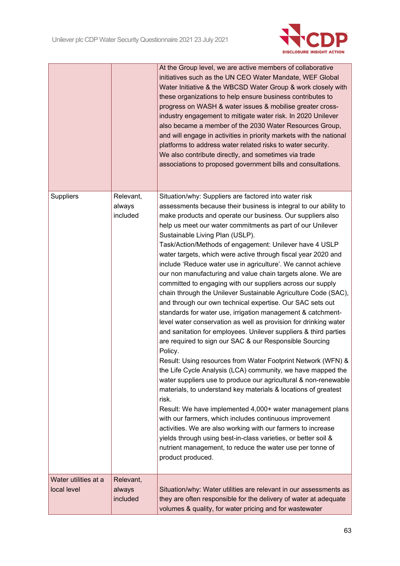

|                                     |                                 | At the Group level, we are active members of collaborative<br>initiatives such as the UN CEO Water Mandate, WEF Global<br>Water Initiative & the WBCSD Water Group & work closely with<br>these organizations to help ensure business contributes to<br>progress on WASH & water issues & mobilise greater cross-<br>industry engagement to mitigate water risk. In 2020 Unilever<br>also became a member of the 2030 Water Resources Group,<br>and will engage in activities in priority markets with the national<br>platforms to address water related risks to water security.<br>We also contribute directly, and sometimes via trade<br>associations to proposed government bills and consultations.                                                                                                                                                                                                                                                                                                                                                                                                                                                                                                                                                                                                                                                                                                                                                                                                                                                                                                                                             |
|-------------------------------------|---------------------------------|--------------------------------------------------------------------------------------------------------------------------------------------------------------------------------------------------------------------------------------------------------------------------------------------------------------------------------------------------------------------------------------------------------------------------------------------------------------------------------------------------------------------------------------------------------------------------------------------------------------------------------------------------------------------------------------------------------------------------------------------------------------------------------------------------------------------------------------------------------------------------------------------------------------------------------------------------------------------------------------------------------------------------------------------------------------------------------------------------------------------------------------------------------------------------------------------------------------------------------------------------------------------------------------------------------------------------------------------------------------------------------------------------------------------------------------------------------------------------------------------------------------------------------------------------------------------------------------------------------------------------------------------------------|
| <b>Suppliers</b>                    | Relevant,<br>always<br>included | Situation/why: Suppliers are factored into water risk<br>assessments because their business is integral to our ability to<br>make products and operate our business. Our suppliers also<br>help us meet our water commitments as part of our Unilever<br>Sustainable Living Plan (USLP).<br>Task/Action/Methods of engagement: Unilever have 4 USLP<br>water targets, which were active through fiscal year 2020 and<br>include 'Reduce water use in agriculture'. We cannot achieve<br>our non manufacturing and value chain targets alone. We are<br>committed to engaging with our suppliers across our supply<br>chain through the Unilever Sustainable Agriculture Code (SAC),<br>and through our own technical expertise. Our SAC sets out<br>standards for water use, irrigation management & catchment-<br>level water conservation as well as provision for drinking water<br>and sanitation for employees. Unilever suppliers & third parties<br>are required to sign our SAC & our Responsible Sourcing<br>Policy.<br>Result: Using resources from Water Footprint Network (WFN) &<br>the Life Cycle Analysis (LCA) community, we have mapped the<br>water suppliers use to produce our agricultural & non-renewable<br>materials, to understand key materials & locations of greatest<br>risk.<br>Result: We have implemented 4,000+ water management plans<br>with our farmers, which includes continuous improvement<br>activities. We are also working with our farmers to increase<br>yields through using best-in-class varieties, or better soil &<br>nutrient management, to reduce the water use per tonne of<br>product produced. |
| Water utilities at a<br>local level | Relevant,<br>always<br>included | Situation/why: Water utilities are relevant in our assessments as<br>they are often responsible for the delivery of water at adequate<br>volumes & quality, for water pricing and for wastewater                                                                                                                                                                                                                                                                                                                                                                                                                                                                                                                                                                                                                                                                                                                                                                                                                                                                                                                                                                                                                                                                                                                                                                                                                                                                                                                                                                                                                                                       |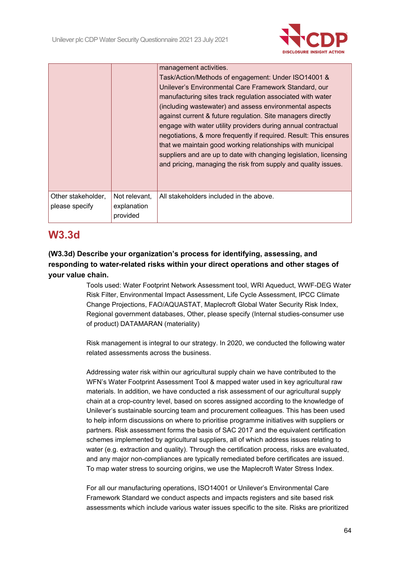

|                                      |                                          | management activities.<br>Task/Action/Methods of engagement: Under ISO14001 &<br>Unilever's Environmental Care Framework Standard, our<br>manufacturing sites track regulation associated with water<br>(including wastewater) and assess environmental aspects<br>against current & future regulation. Site managers directly<br>engage with water utility providers during annual contractual<br>negotiations, & more frequently if required. Result: This ensures<br>that we maintain good working relationships with municipal<br>suppliers and are up to date with changing legislation, licensing<br>and pricing, managing the risk from supply and quality issues. |
|--------------------------------------|------------------------------------------|---------------------------------------------------------------------------------------------------------------------------------------------------------------------------------------------------------------------------------------------------------------------------------------------------------------------------------------------------------------------------------------------------------------------------------------------------------------------------------------------------------------------------------------------------------------------------------------------------------------------------------------------------------------------------|
| Other stakeholder,<br>please specify | Not relevant,<br>explanation<br>provided | All stakeholders included in the above.                                                                                                                                                                                                                                                                                                                                                                                                                                                                                                                                                                                                                                   |

# **W3.3d**

## **(W3.3d) Describe your organization's process for identifying, assessing, and responding to water-related risks within your direct operations and other stages of your value chain.**

Tools used: Water Footprint Network Assessment tool, WRI Aqueduct, WWF-DEG Water Risk Filter, Environmental Impact Assessment, Life Cycle Assessment, IPCC Climate Change Projections, FAO/AQUASTAT, Maplecroft Global Water Security Risk Index, Regional government databases, Other, please specify (Internal studies-consumer use of product) DATAMARAN (materiality)

Risk management is integral to our strategy. In 2020, we conducted the following water related assessments across the business.

Addressing water risk within our agricultural supply chain we have contributed to the WFN's Water Footprint Assessment Tool & mapped water used in key agricultural raw materials. In addition, we have conducted a risk assessment of our agricultural supply chain at a crop-country level, based on scores assigned according to the knowledge of Unilever's sustainable sourcing team and procurement colleagues. This has been used to help inform discussions on where to prioritise programme initiatives with suppliers or partners. Risk assessment forms the basis of SAC 2017 and the equivalent certification schemes implemented by agricultural suppliers, all of which address issues relating to water (e.g. extraction and quality). Through the certification process, risks are evaluated, and any major non-compliances are typically remediated before certificates are issued. To map water stress to sourcing origins, we use the Maplecroft Water Stress Index.

For all our manufacturing operations, ISO14001 or Unilever's Environmental Care Framework Standard we conduct aspects and impacts registers and site based risk assessments which include various water issues specific to the site. Risks are prioritized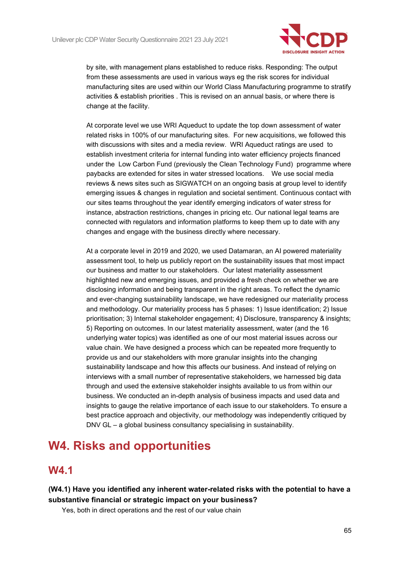

by site, with management plans established to reduce risks. Responding: The output from these assessments are used in various ways eg the risk scores for individual manufacturing sites are used within our World Class Manufacturing programme to stratify activities & establish priorities . This is revised on an annual basis, or where there is change at the facility.

At corporate level we use WRI Aqueduct to update the top down assessment of water related risks in 100% of our manufacturing sites. For new acquisitions, we followed this with discussions with sites and a media review. WRI Aqueduct ratings are used to establish investment criteria for internal funding into water efficiency projects financed under the Low Carbon Fund (previously the Clean Technology Fund) programme where paybacks are extended for sites in water stressed locations. We use social media reviews & news sites such as SIGWATCH on an ongoing basis at group level to identify emerging issues & changes in regulation and societal sentiment. Continuous contact with our sites teams throughout the year identify emerging indicators of water stress for instance, abstraction restrictions, changes in pricing etc. Our national legal teams are connected with regulators and information platforms to keep them up to date with any changes and engage with the business directly where necessary.

At a corporate level in 2019 and 2020, we used Datamaran, an AI powered materiality assessment tool, to help us publicly report on the sustainability issues that most impact our business and matter to our stakeholders. Our latest materiality assessment highlighted new and emerging issues, and provided a fresh check on whether we are disclosing information and being transparent in the right areas. To reflect the dynamic and ever-changing sustainability landscape, we have redesigned our materiality process and methodology. Our materiality process has 5 phases: 1) Issue identification; 2) Issue prioritisation; 3) Internal stakeholder engagement; 4) Disclosure, transparency & insights; 5) Reporting on outcomes. In our latest materiality assessment, water (and the 16 underlying water topics) was identified as one of our most material issues across our value chain. We have designed a process which can be repeated more frequently to provide us and our stakeholders with more granular insights into the changing sustainability landscape and how this affects our business. And instead of relying on interviews with a small number of representative stakeholders, we harnessed big data through and used the extensive stakeholder insights available to us from within our business. We conducted an in-depth analysis of business impacts and used data and insights to gauge the relative importance of each issue to our stakeholders. To ensure a best practice approach and objectivity, our methodology was independently critiqued by DNV GL – a global business consultancy specialising in sustainability.

# **W4. Risks and opportunities**

# **W4.1**

## **(W4.1) Have you identified any inherent water-related risks with the potential to have a substantive financial or strategic impact on your business?**

Yes, both in direct operations and the rest of our value chain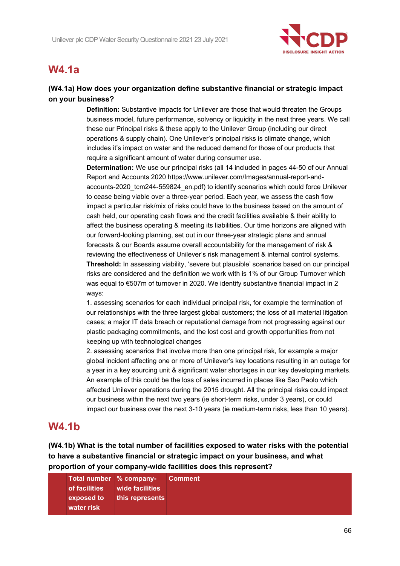

# **W4.1a**

## **(W4.1a) How does your organization define substantive financial or strategic impact on your business?**

**Definition:** Substantive impacts for Unilever are those that would threaten the Groups business model, future performance, solvency or liquidity in the next three years. We call these our Principal risks & these apply to the Unilever Group (including our direct operations & supply chain). One Unilever's principal risks is climate change, which includes it's impact on water and the reduced demand for those of our products that require a significant amount of water during consumer use.

**Determination:** We use our principal risks (all 14 included in pages 44-50 of our Annual Report and Accounts 2020 https://www.unilever.com/Images/annual-report-andaccounts-2020\_tcm244-559824\_en.pdf) to identify scenarios which could force Unilever to cease being viable over a three-year period. Each year, we assess the cash flow impact a particular risk/mix of risks could have to the business based on the amount of cash held, our operating cash flows and the credit facilities available & their ability to affect the business operating & meeting its liabilities. Our time horizons are aligned with our forward-looking planning, set out in our three-year strategic plans and annual forecasts & our Boards assume overall accountability for the management of risk & reviewing the effectiveness of Unilever's risk management & internal control systems. **Threshold:** In assessing viability, 'severe but plausible' scenarios based on our principal risks are considered and the definition we work with is 1% of our Group Turnover which was equal to €507m of turnover in 2020. We identify substantive financial impact in 2 ways:

1. assessing scenarios for each individual principal risk, for example the termination of our relationships with the three largest global customers; the loss of all material litigation cases; a major IT data breach or reputational damage from not progressing against our plastic packaging commitments, and the lost cost and growth opportunities from not keeping up with technological changes

2. assessing scenarios that involve more than one principal risk, for example a major global incident affecting one or more of Unilever's key locations resulting in an outage for a year in a key sourcing unit & significant water shortages in our key developing markets. An example of this could be the loss of sales incurred in places like Sao Paolo which affected Unilever operations during the 2015 drought. All the principal risks could impact our business within the next two years (ie short-term risks, under 3 years), or could impact our business over the next 3-10 years (ie medium-term risks, less than 10 years).

# **W4.1b**

**(W4.1b) What is the total number of facilities exposed to water risks with the potential to have a substantive financial or strategic impact on your business, and what proportion of your company-wide facilities does this represent?**

|            | Total number % company- Comment |  |
|------------|---------------------------------|--|
|            | of facilities wide facilities   |  |
|            | exposed to this represents      |  |
| water risk |                                 |  |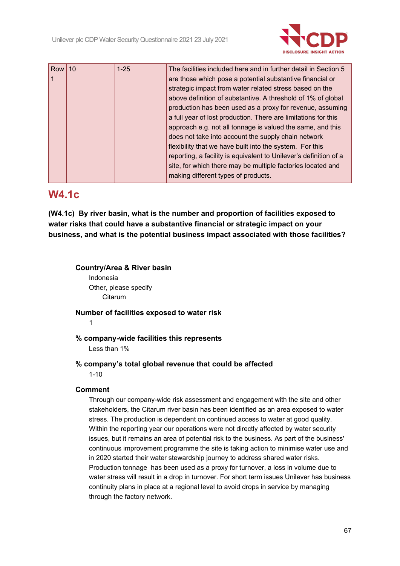

| Row | 10 | $1 - 25$ | The facilities included here and in further detail in Section 5   |
|-----|----|----------|-------------------------------------------------------------------|
|     |    |          | are those which pose a potential substantive financial or         |
|     |    |          | strategic impact from water related stress based on the           |
|     |    |          | above definition of substantive. A threshold of 1% of global      |
|     |    |          | production has been used as a proxy for revenue, assuming         |
|     |    |          | a full year of lost production. There are limitations for this    |
|     |    |          | approach e.g. not all tonnage is valued the same, and this        |
|     |    |          | does not take into account the supply chain network               |
|     |    |          | flexibility that we have built into the system. For this          |
|     |    |          | reporting, a facility is equivalent to Unilever's definition of a |
|     |    |          | site, for which there may be multiple factories located and       |
|     |    |          | making different types of products.                               |

# **W4.1c**

**(W4.1c) By river basin, what is the number and proportion of facilities exposed to water risks that could have a substantive financial or strategic impact on your business, and what is the potential business impact associated with those facilities?**

## **Country/Area & River basin**

Indonesia Other, please specify Citarum

**Number of facilities exposed to water risk**

1

**% company-wide facilities this represents**

Less than 1%

### **% company's total global revenue that could be affected**

1-10

### **Comment**

Through our company-wide risk assessment and engagement with the site and other stakeholders, the Citarum river basin has been identified as an area exposed to water stress. The production is dependent on continued access to water at good quality. Within the reporting year our operations were not directly affected by water security issues, but it remains an area of potential risk to the business. As part of the business' continuous improvement programme the site is taking action to minimise water use and in 2020 started their water stewardship journey to address shared water risks. Production tonnage has been used as a proxy for turnover, a loss in volume due to water stress will result in a drop in turnover. For short term issues Unilever has business continuity plans in place at a regional level to avoid drops in service by managing through the factory network.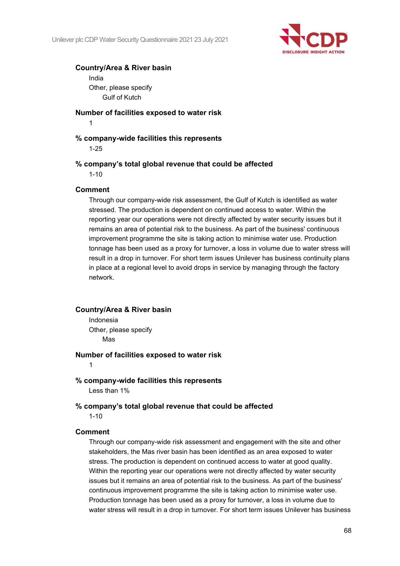

#### **Country/Area & River basin**

India Other, please specify Gulf of Kutch

#### **Number of facilities exposed to water risk**

1

### **% company-wide facilities this represents**

1-25

#### **% company's total global revenue that could be affected**

1-10

#### **Comment**

Through our company-wide risk assessment, the Gulf of Kutch is identified as water stressed. The production is dependent on continued access to water. Within the reporting year our operations were not directly affected by water security issues but it remains an area of potential risk to the business. As part of the business' continuous improvement programme the site is taking action to minimise water use. Production tonnage has been used as a proxy for turnover, a loss in volume due to water stress will result in a drop in turnover. For short term issues Unilever has business continuity plans in place at a regional level to avoid drops in service by managing through the factory network.

#### **Country/Area & River basin**

Indonesia Other, please specify Mas

#### **Number of facilities exposed to water risk**

1

#### **% company-wide facilities this represents**

Less than 1%

#### **% company's total global revenue that could be affected**

1-10

#### **Comment**

Through our company-wide risk assessment and engagement with the site and other stakeholders, the Mas river basin has been identified as an area exposed to water stress. The production is dependent on continued access to water at good quality. Within the reporting year our operations were not directly affected by water security issues but it remains an area of potential risk to the business. As part of the business' continuous improvement programme the site is taking action to minimise water use. Production tonnage has been used as a proxy for turnover, a loss in volume due to water stress will result in a drop in turnover. For short term issues Unilever has business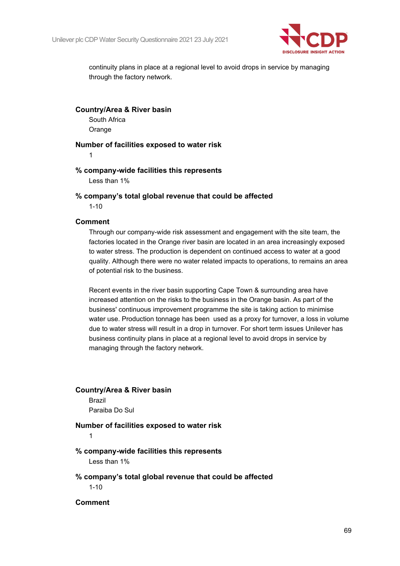

continuity plans in place at a regional level to avoid drops in service by managing through the factory network.

**Country/Area & River basin** South Africa **Orange** 

**Number of facilities exposed to water risk**

1

#### **% company-wide facilities this represents** Less than 1%

**% company's total global revenue that could be affected**

1-10

### **Comment**

Through our company-wide risk assessment and engagement with the site team, the factories located in the Orange river basin are located in an area increasingly exposed to water stress. The production is dependent on continued access to water at a good quality. Although there were no water related impacts to operations, to remains an area of potential risk to the business.

Recent events in the river basin supporting Cape Town & surrounding area have increased attention on the risks to the business in the Orange basin. As part of the business' continuous improvement programme the site is taking action to minimise water use. Production tonnage has been used as a proxy for turnover, a loss in volume due to water stress will result in a drop in turnover. For short term issues Unilever has business continuity plans in place at a regional level to avoid drops in service by managing through the factory network.

### **Country/Area & River basin**

Brazil Paraiba Do Sul

#### **Number of facilities exposed to water risk**

1

### **% company-wide facilities this represents**

Less than 1%

#### **% company's total global revenue that could be affected** 1-10

**Comment**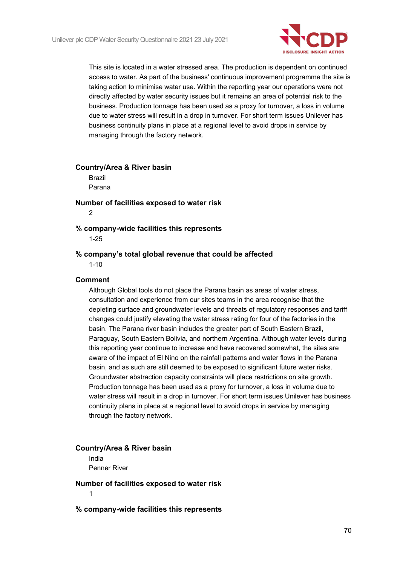

This site is located in a water stressed area. The production is dependent on continued access to water. As part of the business' continuous improvement programme the site is taking action to minimise water use. Within the reporting year our operations were not directly affected by water security issues but it remains an area of potential risk to the business. Production tonnage has been used as a proxy for turnover, a loss in volume due to water stress will result in a drop in turnover. For short term issues Unilever has business continuity plans in place at a regional level to avoid drops in service by managing through the factory network.

### **Country/Area & River basin** Brazil

Parana

## **Number of facilities exposed to water risk**

 $\mathfrak{D}$ 

#### **% company-wide facilities this represents**

1-25

#### **% company's total global revenue that could be affected**

1-10

#### **Comment**

Although Global tools do not place the Parana basin as areas of water stress, consultation and experience from our sites teams in the area recognise that the depleting surface and groundwater levels and threats of regulatory responses and tariff changes could justify elevating the water stress rating for four of the factories in the basin. The Parana river basin includes the greater part of South Eastern Brazil, Paraguay, South Eastern Bolivia, and northern Argentina. Although water levels during this reporting year continue to increase and have recovered somewhat, the sites are aware of the impact of El Nino on the rainfall patterns and water flows in the Parana basin, and as such are still deemed to be exposed to significant future water risks. Groundwater abstraction capacity constraints will place restrictions on site growth. Production tonnage has been used as a proxy for turnover, a loss in volume due to water stress will result in a drop in turnover. For short term issues Unilever has business continuity plans in place at a regional level to avoid drops in service by managing through the factory network.

#### **Country/Area & River basin**

India Penner River

**Number of facilities exposed to water risk** 1

**% company-wide facilities this represents**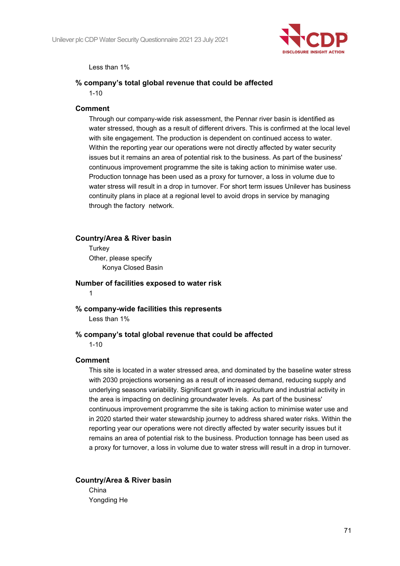

Less than 1%

#### **% company's total global revenue that could be affected**

 $1 - 10$ 

#### **Comment**

Through our company-wide risk assessment, the Pennar river basin is identified as water stressed, though as a result of different drivers. This is confirmed at the local level with site engagement. The production is dependent on continued access to water. Within the reporting year our operations were not directly affected by water security issues but it remains an area of potential risk to the business. As part of the business' continuous improvement programme the site is taking action to minimise water use. Production tonnage has been used as a proxy for turnover, a loss in volume due to water stress will result in a drop in turnover. For short term issues Unilever has business continuity plans in place at a regional level to avoid drops in service by managing through the factory network.

#### **Country/Area & River basin**

**Turkey** Other, please specify Konya Closed Basin

**Number of facilities exposed to water risk** 1

## **% company-wide facilities this represents**

Less than 1%

#### **% company's total global revenue that could be affected**

1-10

#### **Comment**

This site is located in a water stressed area, and dominated by the baseline water stress with 2030 projections worsening as a result of increased demand, reducing supply and underlying seasons variability. Significant growth in agriculture and industrial activity in the area is impacting on declining groundwater levels. As part of the business' continuous improvement programme the site is taking action to minimise water use and in 2020 started their water stewardship journey to address shared water risks. Within the reporting year our operations were not directly affected by water security issues but it remains an area of potential risk to the business. Production tonnage has been used as a proxy for turnover, a loss in volume due to water stress will result in a drop in turnover.

**Country/Area & River basin** China Yongding He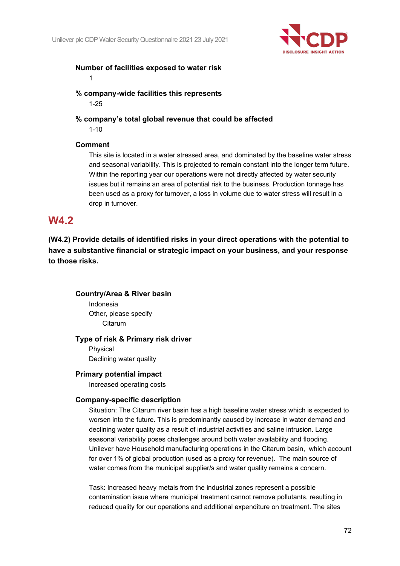

### **Number of facilities exposed to water risk**

1

**% company-wide facilities this represents** 1-25

**% company's total global revenue that could be affected**

1-10

### **Comment**

This site is located in a water stressed area, and dominated by the baseline water stress and seasonal variability. This is projected to remain constant into the longer term future. Within the reporting year our operations were not directly affected by water security issues but it remains an area of potential risk to the business. Production tonnage has been used as a proxy for turnover, a loss in volume due to water stress will result in a drop in turnover.

## **W4.2**

**(W4.2) Provide details of identified risks in your direct operations with the potential to have a substantive financial or strategic impact on your business, and your response to those risks.**

**Country/Area & River basin** Indonesia Other, please specify **Citarum** 

### **Type of risk & Primary risk driver**

Physical Declining water quality

### **Primary potential impact**

Increased operating costs

### **Company-specific description**

Situation: The Citarum river basin has a high baseline water stress which is expected to worsen into the future. This is predominantly caused by increase in water demand and declining water quality as a result of industrial activities and saline intrusion. Large seasonal variability poses challenges around both water availability and flooding. Unilever have Household manufacturing operations in the Citarum basin, which account for over 1% of global production (used as a proxy for revenue). The main source of water comes from the municipal supplier/s and water quality remains a concern.

Task: Increased heavy metals from the industrial zones represent a possible contamination issue where municipal treatment cannot remove pollutants, resulting in reduced quality for our operations and additional expenditure on treatment. The sites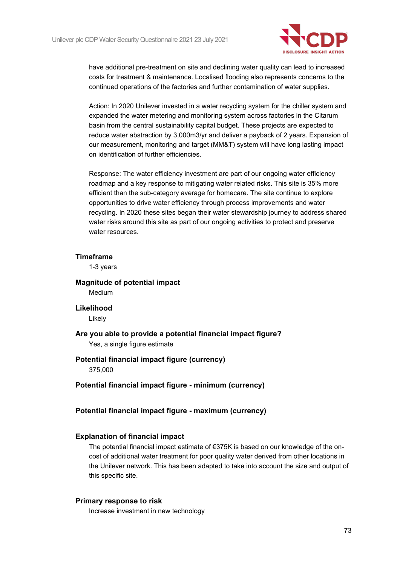

have additional pre-treatment on site and declining water quality can lead to increased costs for treatment & maintenance. Localised flooding also represents concerns to the continued operations of the factories and further contamination of water supplies.

Action: In 2020 Unilever invested in a water recycling system for the chiller system and expanded the water metering and monitoring system across factories in the Citarum basin from the central sustainability capital budget. These projects are expected to reduce water abstraction by 3,000m3/yr and deliver a payback of 2 years. Expansion of our measurement, monitoring and target (MM&T) system will have long lasting impact on identification of further efficiencies.

Response: The water efficiency investment are part of our ongoing water efficiency roadmap and a key response to mitigating water related risks. This site is 35% more efficient than the sub-category average for homecare. The site continue to explore opportunities to drive water efficiency through process improvements and water recycling. In 2020 these sites began their water stewardship journey to address shared water risks around this site as part of our ongoing activities to protect and preserve water resources.

#### **Timeframe**

1-3 years

**Magnitude of potential impact** Medium

#### **Likelihood**

Likely

**Are you able to provide a potential financial impact figure?** Yes, a single figure estimate

# **Potential financial impact figure (currency)**

375,000

**Potential financial impact figure - minimum (currency)**

#### **Potential financial impact figure - maximum (currency)**

#### **Explanation of financial impact**

The potential financial impact estimate of  $E$ 375K is based on our knowledge of the oncost of additional water treatment for poor quality water derived from other locations in the Unilever network. This has been adapted to take into account the size and output of this specific site.

#### **Primary response to risk**

Increase investment in new technology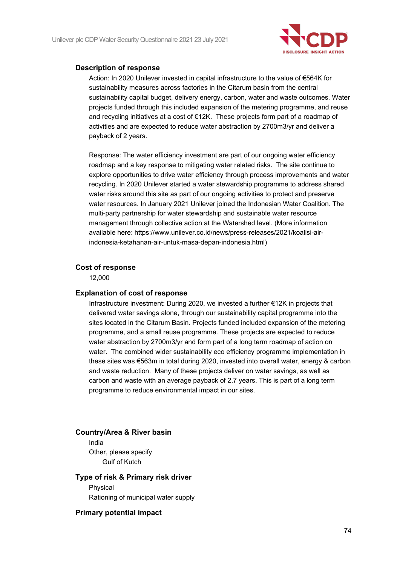

#### **Description of response**

Action: In 2020 Unilever invested in capital infrastructure to the value of €564K for sustainability measures across factories in the Citarum basin from the central sustainability capital budget, delivery energy, carbon, water and waste outcomes. Water projects funded through this included expansion of the metering programme, and reuse and recycling initiatives at a cost of €12K. These projects form part of a roadmap of activities and are expected to reduce water abstraction by 2700m3/yr and deliver a payback of 2 years.

Response: The water efficiency investment are part of our ongoing water efficiency roadmap and a key response to mitigating water related risks. The site continue to explore opportunities to drive water efficiency through process improvements and water recycling. In 2020 Unilever started a water stewardship programme to address shared water risks around this site as part of our ongoing activities to protect and preserve water resources. In January 2021 Unilever joined the Indonesian Water Coalition. The multi-party partnership for water stewardship and sustainable water resource management through collective action at the Watershed level. (More information available here: https://www.unilever.co.id/news/press-releases/2021/koalisi-airindonesia-ketahanan-air-untuk-masa-depan-indonesia.html)

#### **Cost of response**

12,000

#### **Explanation of cost of response**

Infrastructure investment: During 2020, we invested a further €12K in projects that delivered water savings alone, through our sustainability capital programme into the sites located in the Citarum Basin. Projects funded included expansion of the metering programme, and a small reuse programme. These projects are expected to reduce water abstraction by 2700m3/yr and form part of a long term roadmap of action on water. The combined wider sustainability eco efficiency programme implementation in these sites was €563m in total during 2020, invested into overall water, energy & carbon and waste reduction. Many of these projects deliver on water savings, as well as carbon and waste with an average payback of 2.7 years. This is part of a long term programme to reduce environmental impact in our sites.

#### **Country/Area & River basin**

India Other, please specify Gulf of Kutch

#### **Type of risk & Primary risk driver**

Physical Rationing of municipal water supply

#### **Primary potential impact**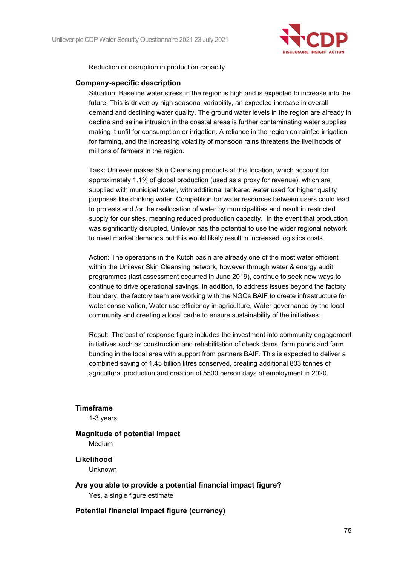

Reduction or disruption in production capacity

#### **Company-specific description**

Situation: Baseline water stress in the region is high and is expected to increase into the future. This is driven by high seasonal variability, an expected increase in overall demand and declining water quality. The ground water levels in the region are already in decline and saline intrusion in the coastal areas is further contaminating water supplies making it unfit for consumption or irrigation. A reliance in the region on rainfed irrigation for farming, and the increasing volatility of monsoon rains threatens the livelihoods of millions of farmers in the region.

Task: Unilever makes Skin Cleansing products at this location, which account for approximately 1.1% of global production (used as a proxy for revenue), which are supplied with municipal water, with additional tankered water used for higher quality purposes like drinking water. Competition for water resources between users could lead to protests and /or the reallocation of water by municipalities and result in restricted supply for our sites, meaning reduced production capacity. In the event that production was significantly disrupted, Unilever has the potential to use the wider regional network to meet market demands but this would likely result in increased logistics costs.

Action: The operations in the Kutch basin are already one of the most water efficient within the Unilever Skin Cleansing network, however through water & energy audit programmes (last assessment occurred in June 2019), continue to seek new ways to continue to drive operational savings. In addition, to address issues beyond the factory boundary, the factory team are working with the NGOs BAIF to create infrastructure for water conservation, Water use efficiency in agriculture, Water governance by the local community and creating a local cadre to ensure sustainability of the initiatives.

Result: The cost of response figure includes the investment into community engagement initiatives such as construction and rehabilitation of check dams, farm ponds and farm bunding in the local area with support from partners BAIF. This is expected to deliver a combined saving of 1.45 billion litres conserved, creating additional 803 tonnes of agricultural production and creation of 5500 person days of employment in 2020.

#### **Timeframe**

1-3 years

#### **Magnitude of potential impact** Medium

**Likelihood**

Unknown

**Are you able to provide a potential financial impact figure?** Yes, a single figure estimate

#### **Potential financial impact figure (currency)**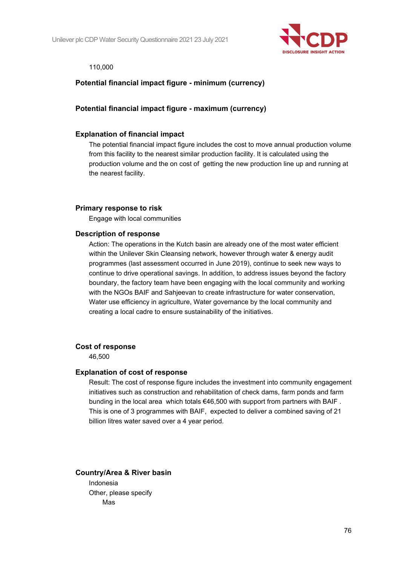

#### 110,000

### **Potential financial impact figure - minimum (currency)**

#### **Potential financial impact figure - maximum (currency)**

#### **Explanation of financial impact**

The potential financial impact figure includes the cost to move annual production volume from this facility to the nearest similar production facility. It is calculated using the production volume and the on cost of getting the new production line up and running at the nearest facility.

#### **Primary response to risk**

Engage with local communities

#### **Description of response**

Action: The operations in the Kutch basin are already one of the most water efficient within the Unilever Skin Cleansing network, however through water & energy audit programmes (last assessment occurred in June 2019), continue to seek new ways to continue to drive operational savings. In addition, to address issues beyond the factory boundary, the factory team have been engaging with the local community and working with the NGOs BAIF and Sahjeevan to create infrastructure for water conservation, Water use efficiency in agriculture, Water governance by the local community and creating a local cadre to ensure sustainability of the initiatives.

#### **Cost of response**

46,500

#### **Explanation of cost of response**

Result: The cost of response figure includes the investment into community engagement initiatives such as construction and rehabilitation of check dams, farm ponds and farm bunding in the local area which totals €46,500 with support from partners with BAIF . This is one of 3 programmes with BAIF, expected to deliver a combined saving of 21 billion litres water saved over a 4 year period.

#### **Country/Area & River basin**

Indonesia Other, please specify Mas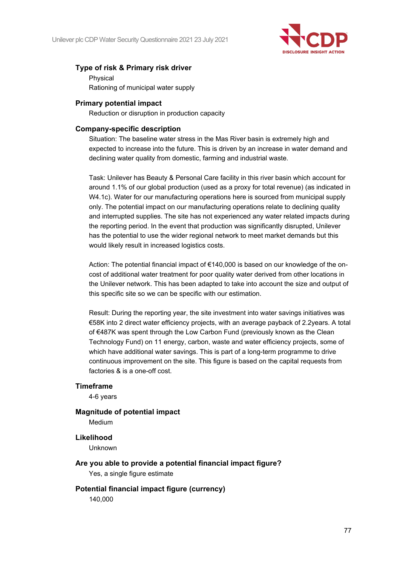

### **Type of risk & Primary risk driver**

Physical Rationing of municipal water supply

#### **Primary potential impact**

Reduction or disruption in production capacity

#### **Company-specific description**

Situation: The baseline water stress in the Mas River basin is extremely high and expected to increase into the future. This is driven by an increase in water demand and declining water quality from domestic, farming and industrial waste.

Task: Unilever has Beauty & Personal Care facility in this river basin which account for around 1.1% of our global production (used as a proxy for total revenue) (as indicated in W4.1c). Water for our manufacturing operations here is sourced from municipal supply only. The potential impact on our manufacturing operations relate to declining quality and interrupted supplies. The site has not experienced any water related impacts during the reporting period. In the event that production was significantly disrupted, Unilever has the potential to use the wider regional network to meet market demands but this would likely result in increased logistics costs.

Action: The potential financial impact of €140,000 is based on our knowledge of the oncost of additional water treatment for poor quality water derived from other locations in the Unilever network. This has been adapted to take into account the size and output of this specific site so we can be specific with our estimation.

Result: During the reporting year, the site investment into water savings initiatives was €58K into 2 direct water efficiency projects, with an average payback of 2.2years. A total of €487K was spent through the Low Carbon Fund (previously known as the Clean Technology Fund) on 11 energy, carbon, waste and water efficiency projects, some of which have additional water savings. This is part of a long-term programme to drive continuous improvement on the site. This figure is based on the capital requests from factories & is a one-off cost.

#### **Timeframe**

4-6 years

#### **Magnitude of potential impact**

Medium

#### **Likelihood**

Unknown

- **Are you able to provide a potential financial impact figure?** Yes, a single figure estimate
- **Potential financial impact figure (currency)** 140,000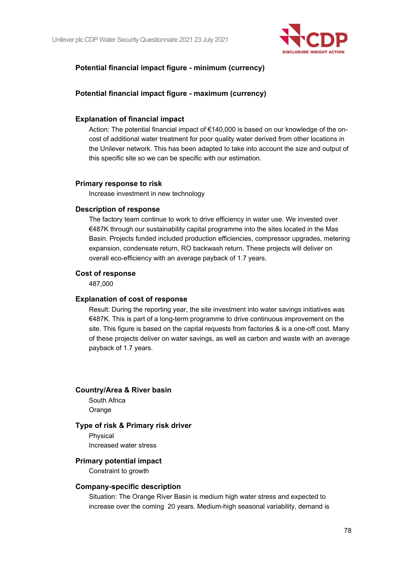

# **Potential financial impact figure - minimum (currency)**

### **Potential financial impact figure - maximum (currency)**

#### **Explanation of financial impact**

Action: The potential financial impact of €140,000 is based on our knowledge of the oncost of additional water treatment for poor quality water derived from other locations in the Unilever network. This has been adapted to take into account the size and output of this specific site so we can be specific with our estimation.

#### **Primary response to risk**

Increase investment in new technology

#### **Description of response**

The factory team continue to work to drive efficiency in water use. We invested over €487K through our sustainability capital programme into the sites located in the Mas Basin. Projects funded included production efficiencies, compressor upgrades, metering expansion, condensate return, RO backwash return. These projects will deliver on overall eco-efficiency with an average payback of 1.7 years.

#### **Cost of response**

487,000

#### **Explanation of cost of response**

Result: During the reporting year, the site investment into water savings initiatives was €487K. This is part of a long-term programme to drive continuous improvement on the site. This figure is based on the capital requests from factories & is a one-off cost. Many of these projects deliver on water savings, as well as carbon and waste with an average payback of 1.7 years.

#### **Country/Area & River basin**

South Africa **Orange** 

#### **Type of risk & Primary risk driver**

Physical Increased water stress

#### **Primary potential impact**

Constraint to growth

#### **Company-specific description**

Situation: The Orange River Basin is medium high water stress and expected to increase over the coming 20 years. Medium-high seasonal variability, demand is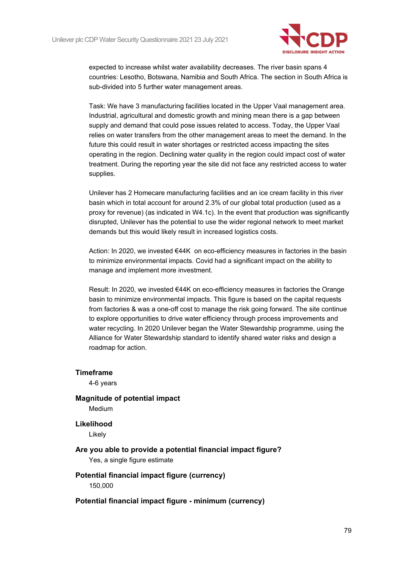

expected to increase whilst water availability decreases. The river basin spans 4 countries: Lesotho, Botswana, Namibia and South Africa. The section in South Africa is sub-divided into 5 further water management areas.

Task: We have 3 manufacturing facilities located in the Upper Vaal management area. Industrial, agricultural and domestic growth and mining mean there is a gap between supply and demand that could pose issues related to access. Today, the Upper Vaal relies on water transfers from the other management areas to meet the demand. In the future this could result in water shortages or restricted access impacting the sites operating in the region. Declining water quality in the region could impact cost of water treatment. During the reporting year the site did not face any restricted access to water supplies.

Unilever has 2 Homecare manufacturing facilities and an ice cream facility in this river basin which in total account for around 2.3% of our global total production (used as a proxy for revenue) (as indicated in W4.1c). In the event that production was significantly disrupted, Unilever has the potential to use the wider regional network to meet market demands but this would likely result in increased logistics costs.

Action: In 2020, we invested €44K on eco-efficiency measures in factories in the basin to minimize environmental impacts. Covid had a significant impact on the ability to manage and implement more investment.

Result: In 2020, we invested €44K on eco-efficiency measures in factories the Orange basin to minimize environmental impacts. This figure is based on the capital requests from factories & was a one-off cost to manage the risk going forward. The site continue to explore opportunities to drive water efficiency through process improvements and water recycling. In 2020 Unilever began the Water Stewardship programme, using the Alliance for Water Stewardship standard to identify shared water risks and design a roadmap for action.

#### **Timeframe**

4-6 years

**Magnitude of potential impact** Medium

**Likelihood**

Likely

# **Are you able to provide a potential financial impact figure?**

Yes, a single figure estimate

#### **Potential financial impact figure (currency)** 150,000

#### **Potential financial impact figure - minimum (currency)**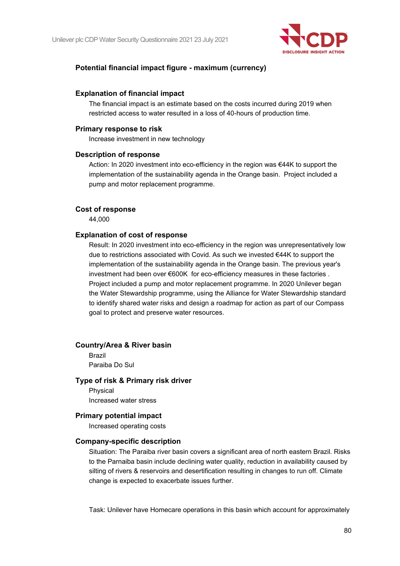

### **Potential financial impact figure - maximum (currency)**

#### **Explanation of financial impact**

The financial impact is an estimate based on the costs incurred during 2019 when restricted access to water resulted in a loss of 40-hours of production time.

#### **Primary response to risk**

Increase investment in new technology

#### **Description of response**

Action: In 2020 investment into eco-efficiency in the region was €44K to support the implementation of the sustainability agenda in the Orange basin. Project included a pump and motor replacement programme.

#### **Cost of response**

44,000

#### **Explanation of cost of response**

Result: In 2020 investment into eco-efficiency in the region was unrepresentatively low due to restrictions associated with Covid. As such we invested €44K to support the implementation of the sustainability agenda in the Orange basin. The previous year's investment had been over €600K for eco-efficiency measures in these factories . Project included a pump and motor replacement programme. In 2020 Unilever began the Water Stewardship programme, using the Alliance for Water Stewardship standard to identify shared water risks and design a roadmap for action as part of our Compass goal to protect and preserve water resources.

#### **Country/Area & River basin**

Brazil Paraiba Do Sul

#### **Type of risk & Primary risk driver**

Physical Increased water stress

#### **Primary potential impact**

Increased operating costs

#### **Company-specific description**

Situation: The Paraiba river basin covers a significant area of north eastern Brazil. Risks to the Parnaiba basin include declining water quality, reduction in availability caused by silting of rivers & reservoirs and desertification resulting in changes to run off. Climate change is expected to exacerbate issues further.

Task: Unilever have Homecare operations in this basin which account for approximately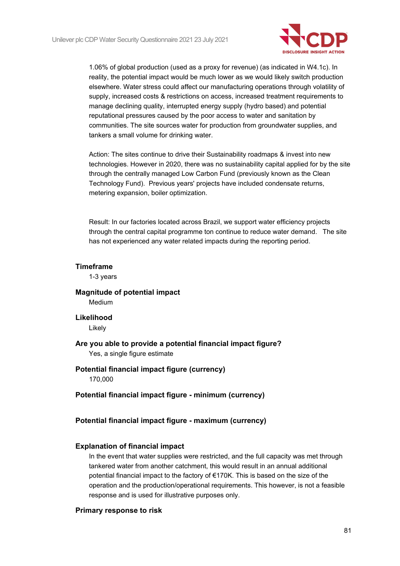

1.06% of global production (used as a proxy for revenue) (as indicated in W4.1c). In reality, the potential impact would be much lower as we would likely switch production elsewhere. Water stress could affect our manufacturing operations through volatility of supply, increased costs & restrictions on access, increased treatment requirements to manage declining quality, interrupted energy supply (hydro based) and potential reputational pressures caused by the poor access to water and sanitation by communities. The site sources water for production from groundwater supplies, and tankers a small volume for drinking water.

Action: The sites continue to drive their Sustainability roadmaps & invest into new technologies. However in 2020, there was no sustainability capital applied for by the site through the centrally managed Low Carbon Fund (previously known as the Clean Technology Fund). Previous years' projects have included condensate returns, metering expansion, boiler optimization.

Result: In our factories located across Brazil, we support water efficiency projects through the central capital programme ton continue to reduce water demand. The site has not experienced any water related impacts during the reporting period.

#### **Timeframe**

1-3 years

# **Magnitude of potential impact** Medium

#### **Likelihood**

Likely

# **Are you able to provide a potential financial impact figure?**

Yes, a single figure estimate

# **Potential financial impact figure (currency)**

170,000

#### **Potential financial impact figure - minimum (currency)**

#### **Potential financial impact figure - maximum (currency)**

#### **Explanation of financial impact**

In the event that water supplies were restricted, and the full capacity was met through tankered water from another catchment, this would result in an annual additional potential financial impact to the factory of €170K. This is based on the size of the operation and the production/operational requirements. This however, is not a feasible response and is used for illustrative purposes only.

#### **Primary response to risk**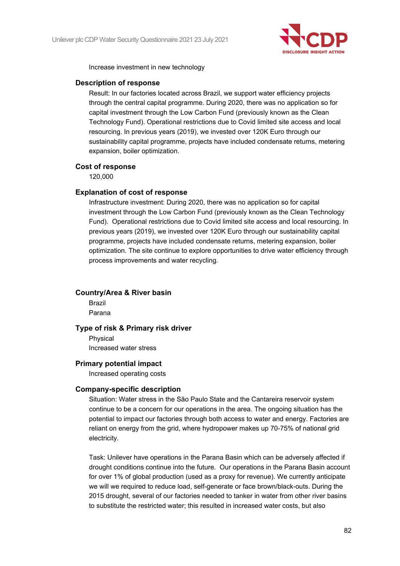

Increase investment in new technology

#### **Description of response**

Result: In our factories located across Brazil, we support water efficiency projects through the central capital programme. During 2020, there was no application so for capital investment through the Low Carbon Fund (previously known as the Clean Technology Fund). Operational restrictions due to Covid limited site access and local resourcing. In previous years (2019), we invested over 120K Euro through our sustainability capital programme, projects have included condensate returns, metering expansion, boiler optimization.

#### **Cost of response**

120,000

#### **Explanation of cost of response**

Infrastructure investment: During 2020, there was no application so for capital investment through the Low Carbon Fund (previously known as the Clean Technology Fund). Operational restrictions due to Covid limited site access and local resourcing. In previous years (2019), we invested over 120K Euro through our sustainability capital programme, projects have included condensate returns, metering expansion, boiler optimization. The site continue to explore opportunities to drive water efficiency through process improvements and water recycling.

#### **Country/Area & River basin**

Brazil Parana

#### **Type of risk & Primary risk driver**

Physical Increased water stress

#### **Primary potential impact**

Increased operating costs

#### **Company-specific description**

Situation: Water stress in the São Paulo State and the Cantareira reservoir system continue to be a concern for our operations in the area. The ongoing situation has the potential to impact our factories through both access to water and energy. Factories are reliant on energy from the grid, where hydropower makes up 70-75% of national grid electricity.

Task: Unilever have operations in the Parana Basin which can be adversely affected if drought conditions continue into the future. Our operations in the Parana Basin account for over 1% of global production (used as a proxy for revenue). We currently anticipate we will we required to reduce load, self-generate or face brown/black-outs. During the 2015 drought, several of our factories needed to tanker in water from other river basins to substitute the restricted water; this resulted in increased water costs, but also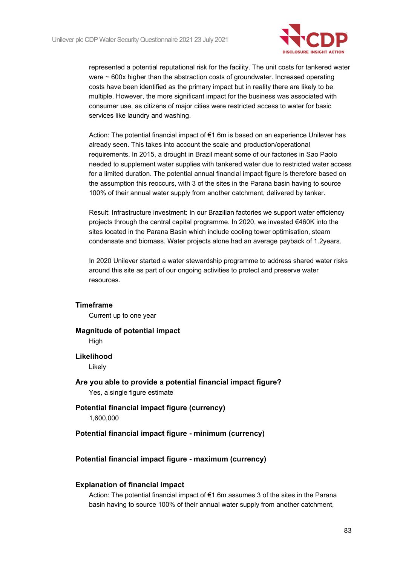

represented a potential reputational risk for the facility. The unit costs for tankered water were ~ 600x higher than the abstraction costs of groundwater. Increased operating costs have been identified as the primary impact but in reality there are likely to be multiple. However, the more significant impact for the business was associated with consumer use, as citizens of major cities were restricted access to water for basic services like laundry and washing.

Action: The potential financial impact of €1.6m is based on an experience Unilever has already seen. This takes into account the scale and production/operational requirements. In 2015, a drought in Brazil meant some of our factories in Sao Paolo needed to supplement water supplies with tankered water due to restricted water access for a limited duration. The potential annual financial impact figure is therefore based on the assumption this reoccurs, with 3 of the sites in the Parana basin having to source 100% of their annual water supply from another catchment, delivered by tanker.

Result: Infrastructure investment: In our Brazilian factories we support water efficiency projects through the central capital programme. In 2020, we invested €460K into the sites located in the Parana Basin which include cooling tower optimisation, steam condensate and biomass. Water projects alone had an average payback of 1.2years.

In 2020 Unilever started a water stewardship programme to address shared water risks around this site as part of our ongoing activities to protect and preserve water resources.

#### **Timeframe**

Current up to one year

#### **Magnitude of potential impact**

**High** 

#### **Likelihood**

Likely

# **Are you able to provide a potential financial impact figure?**

Yes, a single figure estimate

# **Potential financial impact figure (currency)**

1,600,000

#### **Potential financial impact figure - minimum (currency)**

#### **Potential financial impact figure - maximum (currency)**

#### **Explanation of financial impact**

Action: The potential financial impact of €1.6m assumes 3 of the sites in the Parana basin having to source 100% of their annual water supply from another catchment,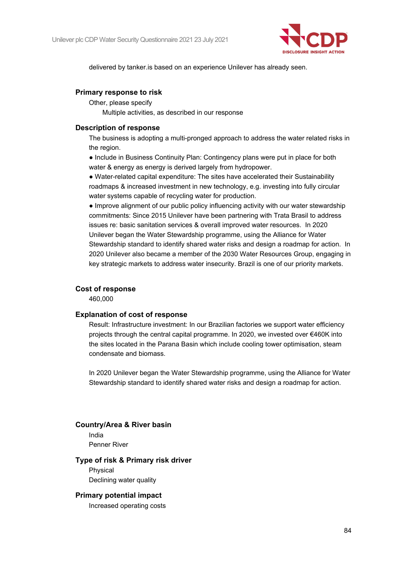

delivered by tanker.is based on an experience Unilever has already seen.

#### **Primary response to risk**

Other, please specify

Multiple activities, as described in our response

#### **Description of response**

The business is adopting a multi-pronged approach to address the water related risks in the region.

● Include in Business Continuity Plan: Contingency plans were put in place for both water & energy as energy is derived largely from hydropower.

● Water-related capital expenditure: The sites have accelerated their Sustainability roadmaps & increased investment in new technology, e.g. investing into fully circular water systems capable of recycling water for production.

● Improve alignment of our public policy influencing activity with our water stewardship commitments: Since 2015 Unilever have been partnering with Trata Brasil to address issues re: basic sanitation services & overall improved water resources. In 2020 Unilever began the Water Stewardship programme, using the Alliance for Water Stewardship standard to identify shared water risks and design a roadmap for action. In 2020 Unilever also became a member of the 2030 Water Resources Group, engaging in key strategic markets to address water insecurity. Brazil is one of our priority markets.

#### **Cost of response**

460,000

#### **Explanation of cost of response**

Result: Infrastructure investment: In our Brazilian factories we support water efficiency projects through the central capital programme. In 2020, we invested over €460K into the sites located in the Parana Basin which include cooling tower optimisation, steam condensate and biomass.

In 2020 Unilever began the Water Stewardship programme, using the Alliance for Water Stewardship standard to identify shared water risks and design a roadmap for action.

#### **Country/Area & River basin**

India Penner River

#### **Type of risk & Primary risk driver**

Physical Declining water quality

#### **Primary potential impact**

Increased operating costs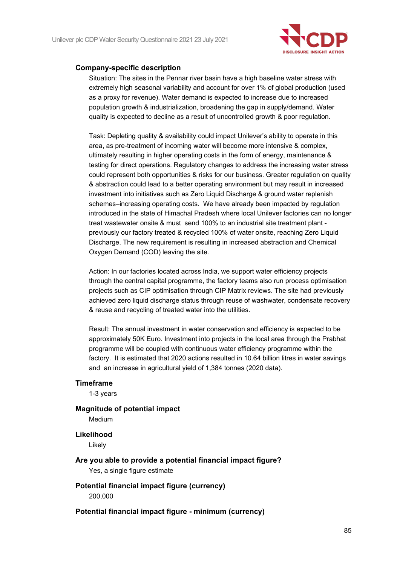

#### **Company-specific description**

Situation: The sites in the Pennar river basin have a high baseline water stress with extremely high seasonal variability and account for over 1% of global production (used as a proxy for revenue). Water demand is expected to increase due to increased population growth & industrialization, broadening the gap in supply/demand. Water quality is expected to decline as a result of uncontrolled growth & poor regulation.

Task: Depleting quality & availability could impact Unilever's ability to operate in this area, as pre-treatment of incoming water will become more intensive & complex, ultimately resulting in higher operating costs in the form of energy, maintenance & testing for direct operations. Regulatory changes to address the increasing water stress could represent both opportunities & risks for our business. Greater regulation on quality & abstraction could lead to a better operating environment but may result in increased investment into initiatives such as Zero Liquid Discharge & ground water replenish schemes–increasing operating costs. We have already been impacted by regulation introduced in the state of Himachal Pradesh where local Unilever factories can no longer treat wastewater onsite & must send 100% to an industrial site treatment plant previously our factory treated & recycled 100% of water onsite, reaching Zero Liquid Discharge. The new requirement is resulting in increased abstraction and Chemical Oxygen Demand (COD) leaving the site.

Action: In our factories located across India, we support water efficiency projects through the central capital programme, the factory teams also run process optimisation projects such as CIP optimisation through CIP Matrix reviews. The site had previously achieved zero liquid discharge status through reuse of washwater, condensate recovery & reuse and recycling of treated water into the utilities.

Result: The annual investment in water conservation and efficiency is expected to be approximately 50K Euro. Investment into projects in the local area through the Prabhat programme will be coupled with continuous water efficiency programme within the factory. It is estimated that 2020 actions resulted in 10.64 billion litres in water savings and an increase in agricultural yield of 1,384 tonnes (2020 data).

#### **Timeframe**

1-3 years

#### **Magnitude of potential impact**

Medium

#### **Likelihood**

Likely

- **Are you able to provide a potential financial impact figure?** Yes, a single figure estimate
- **Potential financial impact figure (currency)** 200,000

**Potential financial impact figure - minimum (currency)**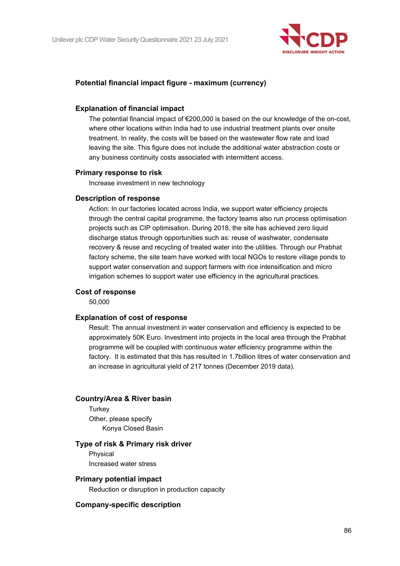

### **Potential financial impact figure - maximum (currency)**

#### **Explanation of financial impact**

The potential financial impact of  $\epsilon$ 200,000 is based on the our knowledge of the on-cost, where other locations within India had to use industrial treatment plants over onsite treatment. In reality, the costs will be based on the wastewater flow rate and load leaving the site. This figure does not include the additional water abstraction costs or any business continuity costs associated with intermittent access.

#### **Primary response to risk**

Increase investment in new technology

#### **Description of response**

Action: In our factories located across India, we support water efficiency projects through the central capital programme, the factory teams also run process optimisation projects such as CIP optimisation. During 2018, the site has achieved zero liquid discharge status through opportunities such as: reuse of washwater, condensate recovery & reuse and recycling of treated water into the utilities. Through our Prabhat factory scheme, the site team have worked with local NGOs to restore village ponds to support water conservation and support farmers with rice intensification and micro irrigation schemes to support water use efficiency in the agricultural practices.

#### **Cost of response**

50,000

#### **Explanation of cost of response**

Result: The annual investment in water conservation and efficiency is expected to be approximately 50K Euro. Investment into projects in the local area through the Prabhat programme will be coupled with continuous water efficiency programme within the factory. It is estimated that this has resulted in 1.7billion litres of water conservation and an increase in agricultural yield of 217 tonnes (December 2019 data).

#### **Country/Area & River basin**

**Turkey** Other, please specify Konya Closed Basin

#### **Type of risk & Primary risk driver**

Physical Increased water stress

#### **Primary potential impact**

Reduction or disruption in production capacity

#### **Company-specific description**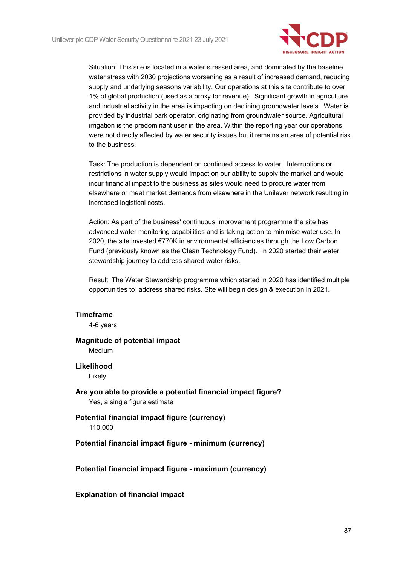

Situation: This site is located in a water stressed area, and dominated by the baseline water stress with 2030 projections worsening as a result of increased demand, reducing supply and underlying seasons variability. Our operations at this site contribute to over 1% of global production (used as a proxy for revenue). Significant growth in agriculture and industrial activity in the area is impacting on declining groundwater levels. Water is provided by industrial park operator, originating from groundwater source. Agricultural irrigation is the predominant user in the area. Within the reporting year our operations were not directly affected by water security issues but it remains an area of potential risk to the business.

Task: The production is dependent on continued access to water. Interruptions or restrictions in water supply would impact on our ability to supply the market and would incur financial impact to the business as sites would need to procure water from elsewhere or meet market demands from elsewhere in the Unilever network resulting in increased logistical costs.

Action: As part of the business' continuous improvement programme the site has advanced water monitoring capabilities and is taking action to minimise water use. In 2020, the site invested €770K in environmental efficiencies through the Low Carbon Fund (previously known as the Clean Technology Fund). In 2020 started their water stewardship journey to address shared water risks.

Result: The Water Stewardship programme which started in 2020 has identified multiple opportunities to address shared risks. Site will begin design & execution in 2021.

#### **Timeframe**

4-6 years

#### **Magnitude of potential impact** Medium

**Likelihood**

Likely

**Are you able to provide a potential financial impact figure?** Yes, a single figure estimate

#### **Potential financial impact figure (currency)** 110,000

**Potential financial impact figure - minimum (currency)**

**Potential financial impact figure - maximum (currency)**

**Explanation of financial impact**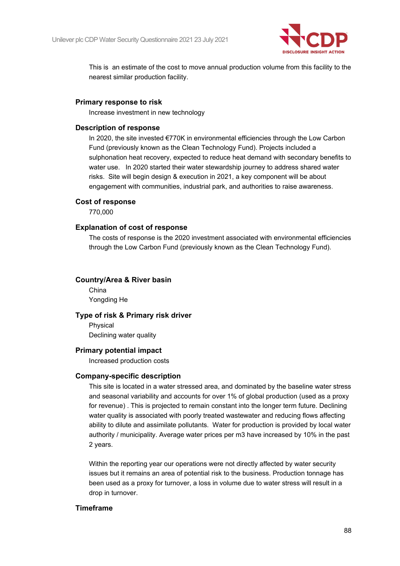

This is an estimate of the cost to move annual production volume from this facility to the nearest similar production facility.

### **Primary response to risk**

Increase investment in new technology

### **Description of response**

In 2020, the site invested €770K in environmental efficiencies through the Low Carbon Fund (previously known as the Clean Technology Fund). Projects included a sulphonation heat recovery, expected to reduce heat demand with secondary benefits to water use. In 2020 started their water stewardship journey to address shared water risks. Site will begin design & execution in 2021, a key component will be about engagement with communities, industrial park, and authorities to raise awareness.

### **Cost of response**

770,000

### **Explanation of cost of response**

The costs of response is the 2020 investment associated with environmental efficiencies through the Low Carbon Fund (previously known as the Clean Technology Fund).

### **Country/Area & River basin**

China Yongding He

#### **Type of risk & Primary risk driver**

Physical Declining water quality

#### **Primary potential impact**

Increased production costs

#### **Company-specific description**

This site is located in a water stressed area, and dominated by the baseline water stress and seasonal variability and accounts for over 1% of global production (used as a proxy for revenue) . This is projected to remain constant into the longer term future. Declining water quality is associated with poorly treated wastewater and reducing flows affecting ability to dilute and assimilate pollutants. Water for production is provided by local water authority / municipality. Average water prices per m3 have increased by 10% in the past 2 years.

Within the reporting year our operations were not directly affected by water security issues but it remains an area of potential risk to the business. Production tonnage has been used as a proxy for turnover, a loss in volume due to water stress will result in a drop in turnover.

#### **Timeframe**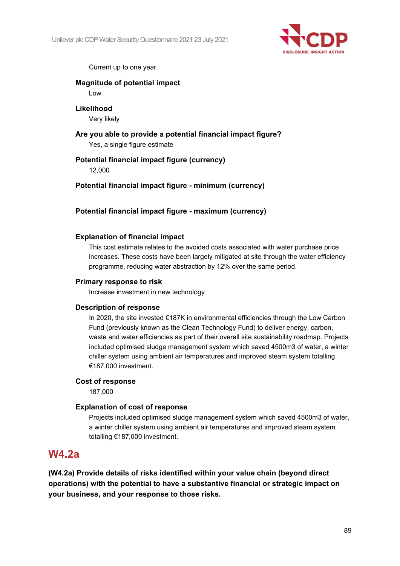

Current up to one year

# **Magnitude of potential impact**

Low

#### **Likelihood** Very likely

**Are you able to provide a potential financial impact figure?** Yes, a single figure estimate

# **Potential financial impact figure (currency)** 12,000

**Potential financial impact figure - minimum (currency)**

# **Potential financial impact figure - maximum (currency)**

# **Explanation of financial impact**

This cost estimate relates to the avoided costs associated with water purchase price increases. These costs have been largely mitigated at site through the water efficiency programme, reducing water abstraction by 12% over the same period.

# **Primary response to risk**

Increase investment in new technology

# **Description of response**

In 2020, the site invested €187K in environmental efficiencies through the Low Carbon Fund (previously known as the Clean Technology Fund) to deliver energy, carbon, waste and water efficiencies as part of their overall site sustainability roadmap. Projects included optimised sludge management system which saved 4500m3 of water, a winter chiller system using ambient air temperatures and improved steam system totalling €187,000 investment.

# **Cost of response**

187,000

# **Explanation of cost of response**

Projects included optimised sludge management system which saved 4500m3 of water, a winter chiller system using ambient air temperatures and improved steam system totalling €187,000 investment.

# **W4.2a**

**(W4.2a) Provide details of risks identified within your value chain (beyond direct operations) with the potential to have a substantive financial or strategic impact on your business, and your response to those risks.**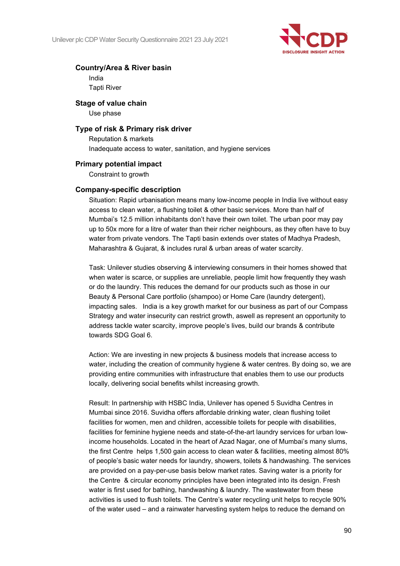

#### **Country/Area & River basin**

India Tapti River

**Stage of value chain**

Use phase

#### **Type of risk & Primary risk driver**

Reputation & markets Inadequate access to water, sanitation, and hygiene services

### **Primary potential impact**

Constraint to growth

#### **Company-specific description**

Situation: Rapid urbanisation means many low-income people in India live without easy access to clean water, a flushing toilet & other basic services. More than half of Mumbai's 12.5 million inhabitants don't have their own toilet. The urban poor may pay up to 50x more for a litre of water than their richer neighbours, as they often have to buy water from private vendors. The Tapti basin extends over states of Madhya Pradesh, Maharashtra & Gujarat, & includes rural & urban areas of water scarcity.

Task: Unilever studies observing & interviewing consumers in their homes showed that when water is scarce, or supplies are unreliable, people limit how frequently they wash or do the laundry. This reduces the demand for our products such as those in our Beauty & Personal Care portfolio (shampoo) or Home Care (laundry detergent), impacting sales. India is a key growth market for our business as part of our Compass Strategy and water insecurity can restrict growth, aswell as represent an opportunity to address tackle water scarcity, improve people's lives, build our brands & contribute towards SDG Goal 6.

Action: We are investing in new projects & business models that increase access to water, including the creation of community hygiene & water centres. By doing so, we are providing entire communities with infrastructure that enables them to use our products locally, delivering social benefits whilst increasing growth.

Result: In partnership with HSBC India, Unilever has opened 5 Suvidha Centres in Mumbai since 2016. Suvidha offers affordable drinking water, clean flushing toilet facilities for women, men and children, accessible toilets for people with disabilities, facilities for feminine hygiene needs and state-of-the-art laundry services for urban lowincome households. Located in the heart of Azad Nagar, one of Mumbai's many slums, the first Centre helps 1,500 gain access to clean water & facilities, meeting almost 80% of people's basic water needs for laundry, showers, toilets & handwashing. The services are provided on a pay-per-use basis below market rates. Saving water is a priority for the Centre & circular economy principles have been integrated into its design. Fresh water is first used for bathing, handwashing & laundry. The wastewater from these activities is used to flush toilets. The Centre's water recycling unit helps to recycle 90% of the water used – and a rainwater harvesting system helps to reduce the demand on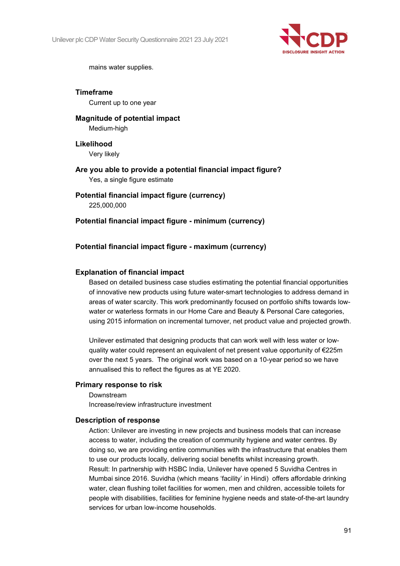

mains water supplies.

**Timeframe** Current up to one year

**Magnitude of potential impact** Medium-high

**Likelihood** Very likely

**Are you able to provide a potential financial impact figure?** Yes, a single figure estimate

**Potential financial impact figure (currency)** 225,000,000

**Potential financial impact figure - minimum (currency)**

#### **Potential financial impact figure - maximum (currency)**

#### **Explanation of financial impact**

Based on detailed business case studies estimating the potential financial opportunities of innovative new products using future water-smart technologies to address demand in areas of water scarcity. This work predominantly focused on portfolio shifts towards lowwater or waterless formats in our Home Care and Beauty & Personal Care categories, using 2015 information on incremental turnover, net product value and projected growth.

Unilever estimated that designing products that can work well with less water or lowquality water could represent an equivalent of net present value opportunity of  $\epsilon$ 225m over the next 5 years. The original work was based on a 10-year period so we have annualised this to reflect the figures as at YE 2020.

#### **Primary response to risk**

Downstream Increase/review infrastructure investment

#### **Description of response**

Action: Unilever are investing in new projects and business models that can increase access to water, including the creation of community hygiene and water centres. By doing so, we are providing entire communities with the infrastructure that enables them to use our products locally, delivering social benefits whilst increasing growth. Result: In partnership with HSBC India, Unilever have opened 5 Suvidha Centres in Mumbai since 2016. Suvidha (which means 'facility' in Hindi) offers affordable drinking water, clean flushing toilet facilities for women, men and children, accessible toilets for people with disabilities, facilities for feminine hygiene needs and state-of-the-art laundry services for urban low-income households.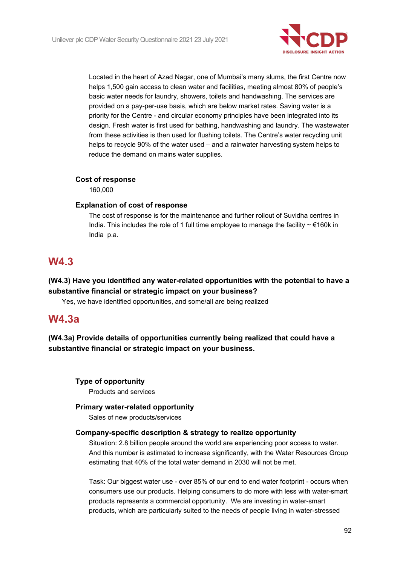

Located in the heart of Azad Nagar, one of Mumbai's many slums, the first Centre now helps 1,500 gain access to clean water and facilities, meeting almost 80% of people's basic water needs for laundry, showers, toilets and handwashing. The services are provided on a pay-per-use basis, which are below market rates. Saving water is a priority for the Centre - and circular economy principles have been integrated into its design. Fresh water is first used for bathing, handwashing and laundry. The wastewater from these activities is then used for flushing toilets. The Centre's water recycling unit helps to recycle 90% of the water used – and a rainwater harvesting system helps to reduce the demand on mains water supplies.

#### **Cost of response**

160,000

#### **Explanation of cost of response**

The cost of response is for the maintenance and further rollout of Suvidha centres in India. This includes the role of 1 full time employee to manage the facility  $\sim \epsilon$  160k in India p.a.

# **W4.3**

# **(W4.3) Have you identified any water-related opportunities with the potential to have a substantive financial or strategic impact on your business?**

Yes, we have identified opportunities, and some/all are being realized

# **W4.3a**

**(W4.3a) Provide details of opportunities currently being realized that could have a substantive financial or strategic impact on your business.**

#### **Type of opportunity**

Products and services

#### **Primary water-related opportunity**

Sales of new products/services

#### **Company-specific description & strategy to realize opportunity**

Situation: 2.8 billion people around the world are experiencing poor access to water. And this number is estimated to increase significantly, with the Water Resources Group estimating that 40% of the total water demand in 2030 will not be met.

Task: Our biggest water use - over 85% of our end to end water footprint - occurs when consumers use our products. Helping consumers to do more with less with water-smart products represents a commercial opportunity. We are investing in water-smart products, which are particularly suited to the needs of people living in water-stressed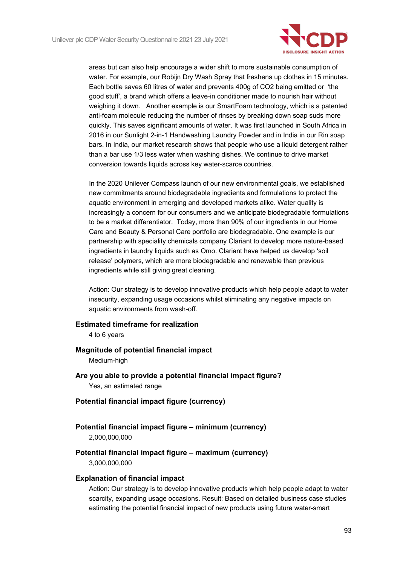

areas but can also help encourage a wider shift to more sustainable consumption of water. For example, our Robijn Dry Wash Spray that freshens up clothes in 15 minutes. Each bottle saves 60 litres of water and prevents 400g of CO2 being emitted or 'the good stuff', a brand which offers a leave-in conditioner made to nourish hair without weighing it down. Another example is our SmartFoam technology, which is a patented anti-foam molecule reducing the number of rinses by breaking down soap suds more quickly. This saves significant amounts of water. It was first launched in South Africa in 2016 in our Sunlight 2-in-1 Handwashing Laundry Powder and in India in our Rin soap bars. In India, our market research shows that people who use a liquid detergent rather than a bar use 1/3 less water when washing dishes. We continue to drive market conversion towards liquids across key water-scarce countries.

In the 2020 Unilever Compass launch of our new environmental goals, we established new commitments around biodegradable ingredients and formulations to protect the aquatic environment in emerging and developed markets alike. Water quality is increasingly a concern for our consumers and we anticipate biodegradable formulations to be a market differentiator. Today, more than 90% of our ingredients in our Home Care and Beauty & Personal Care portfolio are biodegradable. One example is our partnership with speciality chemicals company Clariant to develop more nature-based ingredients in laundry liquids such as Omo. Clariant have helped us develop 'soil release' polymers, which are more biodegradable and renewable than previous ingredients while still giving great cleaning.

Action: Our strategy is to develop innovative products which help people adapt to water insecurity, expanding usage occasions whilst eliminating any negative impacts on aquatic environments from wash-off.

#### **Estimated timeframe for realization**

4 to 6 years

#### **Magnitude of potential financial impact**

Medium-high

- **Are you able to provide a potential financial impact figure?** Yes, an estimated range
- **Potential financial impact figure (currency)**
- **Potential financial impact figure – minimum (currency)** 2,000,000,000

#### **Potential financial impact figure – maximum (currency)** 3,000,000,000

#### **Explanation of financial impact**

Action: Our strategy is to develop innovative products which help people adapt to water scarcity, expanding usage occasions. Result: Based on detailed business case studies estimating the potential financial impact of new products using future water-smart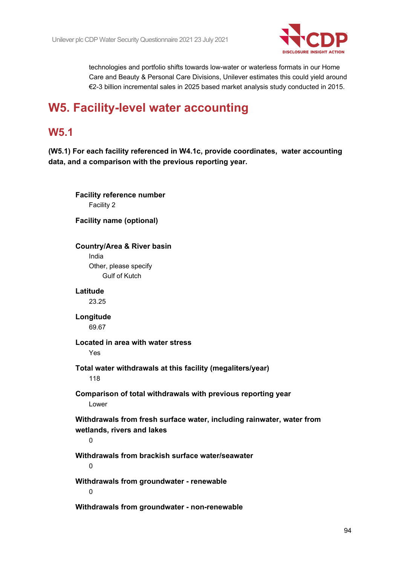

technologies and portfolio shifts towards low-water or waterless formats in our Home Care and Beauty & Personal Care Divisions, Unilever estimates this could yield around €2-3 billion incremental sales in 2025 based market analysis study conducted in 2015.

# **W5. Facility-level water accounting**

# **W5.1**

**(W5.1) For each facility referenced in W4.1c, provide coordinates, water accounting data, and a comparison with the previous reporting year.**

**Facility reference number** Facility 2 **Facility name (optional) Country/Area & River basin** India Other, please specify Gulf of Kutch **Latitude** 23.25 **Longitude** 69.67 **Located in area with water stress** Yes **Total water withdrawals at this facility (megaliters/year)** 118 **Comparison of total withdrawals with previous reporting year** Lower **Withdrawals from fresh surface water, including rainwater, water from wetlands, rivers and lakes**  $\Omega$ **Withdrawals from brackish surface water/seawater**  $\Omega$ **Withdrawals from groundwater - renewable**  $\Omega$ **Withdrawals from groundwater - non-renewable**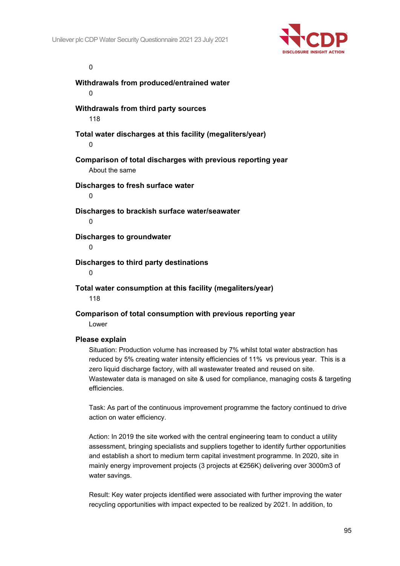

#### $\Omega$

**Withdrawals from produced/entrained water**  $\Omega$ **Withdrawals from third party sources** 118 **Total water discharges at this facility (megaliters/year)**  $\Omega$ **Comparison of total discharges with previous reporting year** About the same **Discharges to fresh surface water**  $\theta$ **Discharges to brackish surface water/seawater**  $\Omega$ **Discharges to groundwater**  $\Omega$ **Discharges to third party destinations**  $\Omega$ **Total water consumption at this facility (megaliters/year)**

118

**Comparison of total consumption with previous reporting year** Lower

#### **Please explain**

Situation: Production volume has increased by 7% whilst total water abstraction has reduced by 5% creating water intensity efficiencies of 11% vs previous year. This is a zero liquid discharge factory, with all wastewater treated and reused on site. Wastewater data is managed on site & used for compliance, managing costs & targeting efficiencies.

Task: As part of the continuous improvement programme the factory continued to drive action on water efficiency.

Action: In 2019 the site worked with the central engineering team to conduct a utility assessment, bringing specialists and suppliers together to identify further opportunities and establish a short to medium term capital investment programme. In 2020, site in mainly energy improvement projects (3 projects at €256K) delivering over 3000m3 of water savings.

Result: Key water projects identified were associated with further improving the water recycling opportunities with impact expected to be realized by 2021. In addition, to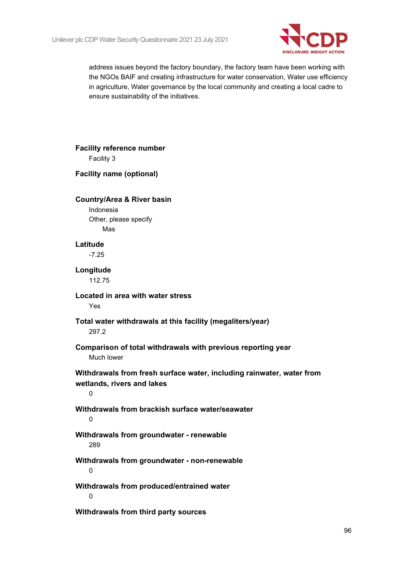

address issues beyond the factory boundary, the factory team have been working with the NGOs BAIF and creating infrastructure for water conservation, Water use efficiency in agriculture, Water governance by the local community and creating a local cadre to ensure sustainability of the initiatives.

| <b>Facility reference number</b>                                                                         |  |
|----------------------------------------------------------------------------------------------------------|--|
| Facility 3                                                                                               |  |
| <b>Facility name (optional)</b>                                                                          |  |
| <b>Country/Area &amp; River basin</b><br>Indonesia<br>Other, please specify                              |  |
| Mas                                                                                                      |  |
| Latitude                                                                                                 |  |
| $-7.25$                                                                                                  |  |
| Longitude<br>112.75                                                                                      |  |
| Located in area with water stress<br>Yes                                                                 |  |
| Total water withdrawals at this facility (megaliters/year)<br>297.2                                      |  |
| Comparison of total withdrawals with previous reporting year<br>Much lower                               |  |
| Withdrawals from fresh surface water, including rainwater, water from<br>wetlands, rivers and lakes<br>0 |  |
| Withdrawals from brackish surface water/seawater<br>$\mathbf 0$                                          |  |
| Withdrawals from groundwater - renewable<br>289                                                          |  |
| Withdrawals from groundwater - non-renewable<br>0                                                        |  |
| Withdrawals from produced/entrained water<br>0                                                           |  |
| Withdrawals from third party sources                                                                     |  |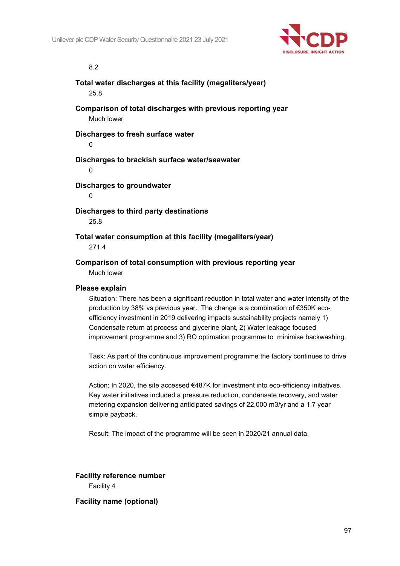

8.2

# **Total water discharges at this facility (megaliters/year)** 25.8 **Comparison of total discharges with previous reporting year** Much lower **Discharges to fresh surface water**  $\theta$ **Discharges to brackish surface water/seawater**  $\Omega$ **Discharges to groundwater**

 $\theta$ 

**Discharges to third party destinations** 25.8

**Total water consumption at this facility (megaliters/year)**

271.4

**Comparison of total consumption with previous reporting year** Much lower

#### **Please explain**

Situation: There has been a significant reduction in total water and water intensity of the production by 38% vs previous year. The change is a combination of €350K ecoefficiency investment in 2019 delivering impacts sustainability projects namely 1) Condensate return at process and glycerine plant, 2) Water leakage focused improvement programme and 3) RO optimation programme to minimise backwashing.

Task: As part of the continuous improvement programme the factory continues to drive action on water efficiency.

Action: In 2020, the site accessed €487K for investment into eco-efficiency initiatives. Key water initiatives included a pressure reduction, condensate recovery, and water metering expansion delivering anticipated savings of 22,000 m3/yr and a 1.7 year simple payback.

Result: The impact of the programme will be seen in 2020/21 annual data.

**Facility reference number** Facility 4

**Facility name (optional)**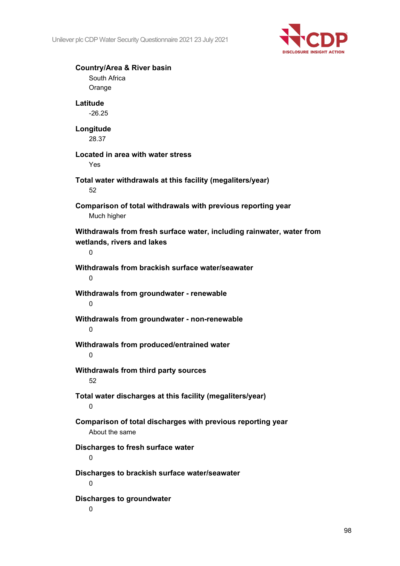

| <b>Country/Area &amp; River basin</b><br>South Africa<br>Orange                                          |
|----------------------------------------------------------------------------------------------------------|
| Latitude<br>$-26.25$                                                                                     |
| Longitude<br>28.37                                                                                       |
| Located in area with water stress<br>Yes                                                                 |
| Total water withdrawals at this facility (megaliters/year)<br>52                                         |
| Comparison of total withdrawals with previous reporting year<br>Much higher                              |
| Withdrawals from fresh surface water, including rainwater, water from<br>wetlands, rivers and lakes<br>0 |
| Withdrawals from brackish surface water/seawater<br>0                                                    |
| Withdrawals from groundwater - renewable<br>0                                                            |
| Withdrawals from groundwater - non-renewable<br>0                                                        |
| Withdrawals from produced/entrained water<br>0                                                           |
| Withdrawals from third party sources<br>52                                                               |
| Total water discharges at this facility (megaliters/year)<br>0                                           |
| Comparison of total discharges with previous reporting year<br>About the same                            |
| Discharges to fresh surface water<br>0                                                                   |
| Discharges to brackish surface water/seawater<br>0                                                       |
| <b>Discharges to groundwater</b>                                                                         |

0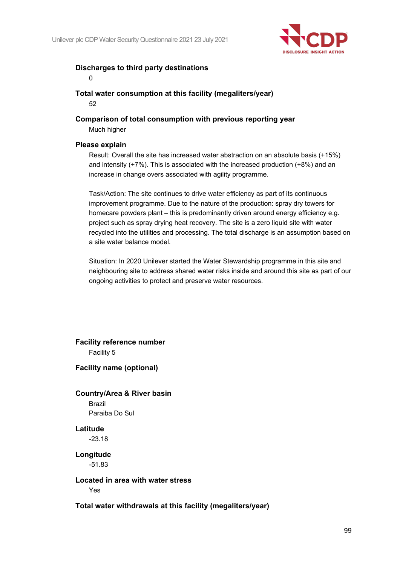

### **Discharges to third party destinations**

 $\Omega$ 

**Total water consumption at this facility (megaliters/year)** 52

**Comparison of total consumption with previous reporting year**

Much higher

#### **Please explain**

Result: Overall the site has increased water abstraction on an absolute basis (+15%) and intensity (+7%). This is associated with the increased production (+8%) and an increase in change overs associated with agility programme.

Task/Action: The site continues to drive water efficiency as part of its continuous improvement programme. Due to the nature of the production: spray dry towers for homecare powders plant – this is predominantly driven around energy efficiency e.g. project such as spray drying heat recovery. The site is a zero liquid site with water recycled into the utilities and processing. The total discharge is an assumption based on a site water balance model.

Situation: In 2020 Unilever started the Water Stewardship programme in this site and neighbouring site to address shared water risks inside and around this site as part of our ongoing activities to protect and preserve water resources.

**Facility reference number** Facility 5

**Facility name (optional)**

# **Country/Area & River basin** Brazil Paraiba Do Sul

**Latitude** -23.18

**Longitude** -51.83

#### **Located in area with water stress** Yes

**Total water withdrawals at this facility (megaliters/year)**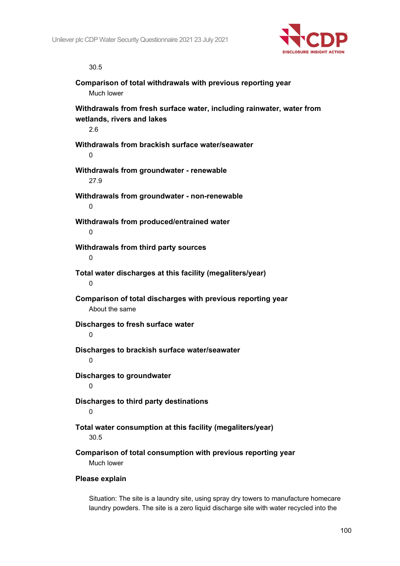

30.5

| Comparison of total withdrawals with previous reporting year<br>Much lower                                 |
|------------------------------------------------------------------------------------------------------------|
| Withdrawals from fresh surface water, including rainwater, water from<br>wetlands, rivers and lakes<br>2.6 |
| Withdrawals from brackish surface water/seawater<br>0                                                      |
| Withdrawals from groundwater - renewable<br>27.9                                                           |
| Withdrawals from groundwater - non-renewable<br>0                                                          |
| Withdrawals from produced/entrained water<br>$\Omega$                                                      |
| Withdrawals from third party sources<br>0                                                                  |
| Total water discharges at this facility (megaliters/year)<br>0                                             |
| Comparison of total discharges with previous reporting year<br>About the same                              |
| Discharges to fresh surface water<br>0                                                                     |
| Discharges to brackish surface water/seawater<br>0                                                         |
| <b>Discharges to groundwater</b><br>0                                                                      |
| Discharges to third party destinations<br>0                                                                |
| Total water consumption at this facility (megaliters/year)<br>30.5                                         |
| Comparison of total consumption with previous reporting year<br>Much lower                                 |
| Please explain                                                                                             |

Situation: The site is a laundry site, using spray dry towers to manufacture homecare laundry powders. The site is a zero liquid discharge site with water recycled into the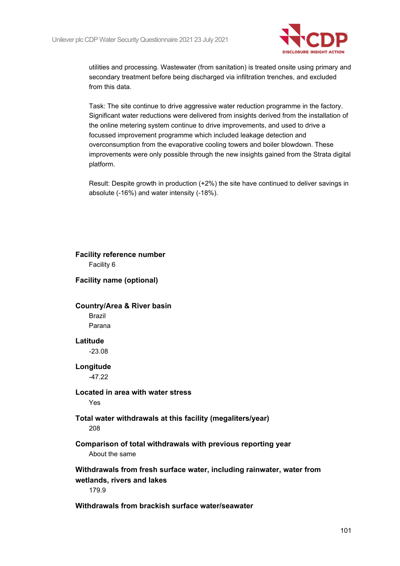

utilities and processing. Wastewater (from sanitation) is treated onsite using primary and secondary treatment before being discharged via infiltration trenches, and excluded from this data.

Task: The site continue to drive aggressive water reduction programme in the factory. Significant water reductions were delivered from insights derived from the installation of the online metering system continue to drive improvements, and used to drive a focussed improvement programme which included leakage detection and overconsumption from the evaporative cooling towers and boiler blowdown. These improvements were only possible through the new insights gained from the Strata digital platform.

Result: Despite growth in production (+2%) the site have continued to deliver savings in absolute (-16%) and water intensity (-18%).

# **Facility reference number** Facility 6 **Facility name (optional) Country/Area & River basin** Brazil Parana **Latitude** -23.08 **Longitude** -47.22 **Located in area with water stress** Yes **Total water withdrawals at this facility (megaliters/year)** 208 **Comparison of total withdrawals with previous reporting year** About the same **Withdrawals from fresh surface water, including rainwater, water from wetlands, rivers and lakes** 179.9 **Withdrawals from brackish surface water/seawater**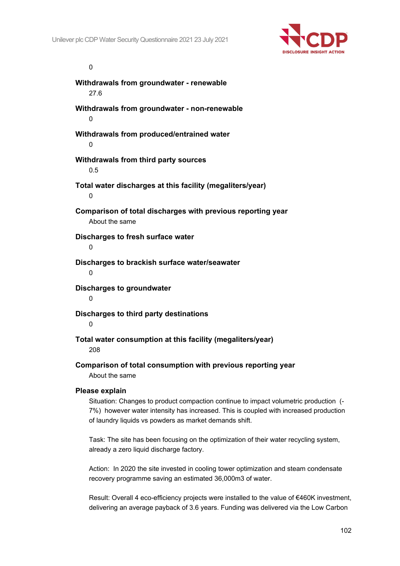

#### $\Omega$

**Withdrawals from groundwater - renewable** 27.6 **Withdrawals from groundwater - non-renewable**  $\Omega$ **Withdrawals from produced/entrained water**  $\Omega$ **Withdrawals from third party sources** 0.5 **Total water discharges at this facility (megaliters/year)**  $\theta$ **Comparison of total discharges with previous reporting year** About the same **Discharges to fresh surface water** 0 **Discharges to brackish surface water/seawater**  $\Omega$ **Discharges to groundwater**  $\Omega$ **Discharges to third party destinations** 0 **Total water consumption at this facility (megaliters/year)** 208

**Comparison of total consumption with previous reporting year** About the same

#### **Please explain**

Situation: Changes to product compaction continue to impact volumetric production (- 7%) however water intensity has increased. This is coupled with increased production of laundry liquids vs powders as market demands shift.

Task: The site has been focusing on the optimization of their water recycling system, already a zero liquid discharge factory.

Action: In 2020 the site invested in cooling tower optimization and steam condensate recovery programme saving an estimated 36,000m3 of water.

Result: Overall 4 eco-efficiency projects were installed to the value of €460K investment, delivering an average payback of 3.6 years. Funding was delivered via the Low Carbon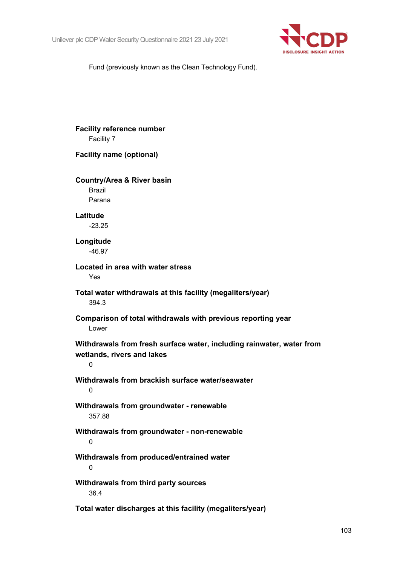

Fund (previously known as the Clean Technology Fund).

| <b>Facility reference number</b><br>Facility 7                                                           |
|----------------------------------------------------------------------------------------------------------|
| <b>Facility name (optional)</b>                                                                          |
| <b>Country/Area &amp; River basin</b><br><b>Brazil</b><br>Parana                                         |
| Latitude<br>$-23.25$                                                                                     |
| Longitude<br>$-46.97$                                                                                    |
| Located in area with water stress<br>Yes                                                                 |
| Total water withdrawals at this facility (megaliters/year)<br>394.3                                      |
| Comparison of total withdrawals with previous reporting year<br>Lower                                    |
| Withdrawals from fresh surface water, including rainwater, water from<br>wetlands, rivers and lakes<br>0 |
| Withdrawals from brackish surface water/seawater<br>0                                                    |
| Withdrawals from groundwater - renewable<br>357.88                                                       |
| Withdrawals from groundwater - non-renewable<br>0                                                        |
| Withdrawals from produced/entrained water<br>0                                                           |
| Withdrawals from third party sources<br>36.4                                                             |
| Total water discharges at this facility (megaliters/year)                                                |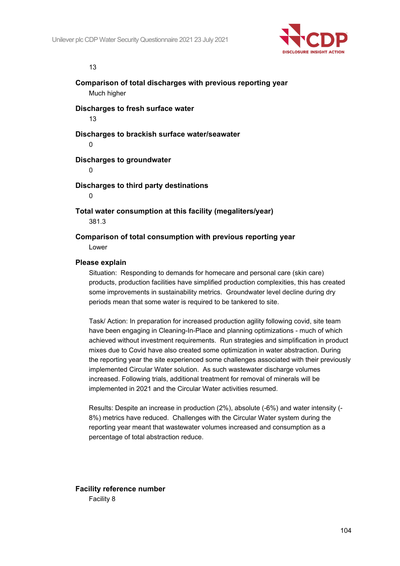

#### 13

**Comparison of total discharges with previous reporting year** Much higher

**Discharges to fresh surface water**

13

**Discharges to brackish surface water/seawater**

 $\Omega$ 

#### **Discharges to groundwater**

 $\Omega$ 

#### **Discharges to third party destinations**

 $\theta$ 

**Total water consumption at this facility (megaliters/year)** 381.3

**Comparison of total consumption with previous reporting year**

Lower

#### **Please explain**

Situation: Responding to demands for homecare and personal care (skin care) products, production facilities have simplified production complexities, this has created some improvements in sustainability metrics. Groundwater level decline during dry periods mean that some water is required to be tankered to site.

Task/ Action: In preparation for increased production agility following covid, site team have been engaging in Cleaning-In-Place and planning optimizations - much of which achieved without investment requirements. Run strategies and simplification in product mixes due to Covid have also created some optimization in water abstraction. During the reporting year the site experienced some challenges associated with their previously implemented Circular Water solution. As such wastewater discharge volumes increased. Following trials, additional treatment for removal of minerals will be implemented in 2021 and the Circular Water activities resumed.

Results: Despite an increase in production (2%), absolute (-6%) and water intensity (- 8%) metrics have reduced. Challenges with the Circular Water system during the reporting year meant that wastewater volumes increased and consumption as a percentage of total abstraction reduce.

**Facility reference number** Facility 8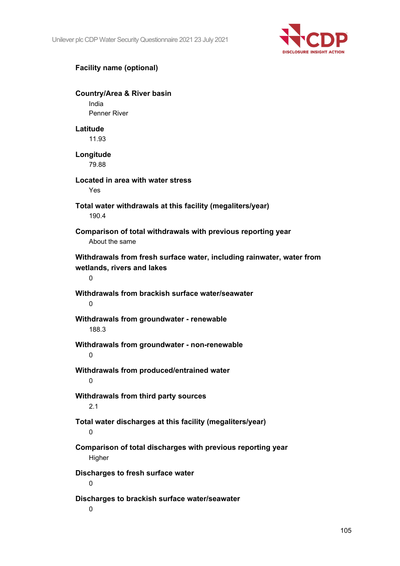

# **Facility name (optional)**

**Country/Area & River basin** India Penner River **Latitude** 11.93 **Longitude** 79.88 **Located in area with water stress** Yes **Total water withdrawals at this facility (megaliters/year)** 190.4 **Comparison of total withdrawals with previous reporting year** About the same **Withdrawals from fresh surface water, including rainwater, water from wetlands, rivers and lakes**  $\Omega$ **Withdrawals from brackish surface water/seawater**  $\Omega$ **Withdrawals from groundwater - renewable** 188.3 **Withdrawals from groundwater - non-renewable** 0 **Withdrawals from produced/entrained water**  $\Omega$ **Withdrawals from third party sources** 2.1 **Total water discharges at this facility (megaliters/year)**  $\Omega$ **Comparison of total discharges with previous reporting year Higher Discharges to fresh surface water**  $\Omega$ **Discharges to brackish surface water/seawater**  $\Omega$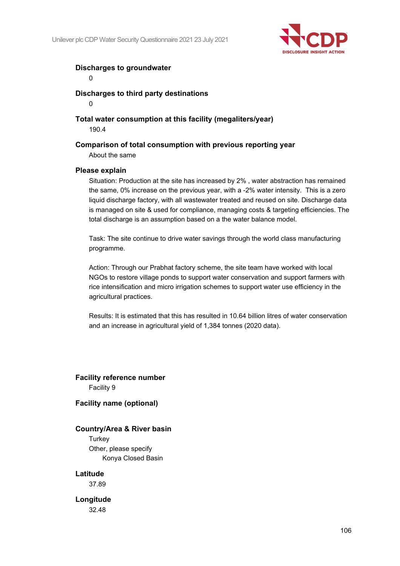

### **Discharges to groundwater**

 $\theta$ 

 $\Omega$ 

**Discharges to third party destinations**

**Total water consumption at this facility (megaliters/year)** 190.4

### **Comparison of total consumption with previous reporting year**

About the same

#### **Please explain**

Situation: Production at the site has increased by 2% , water abstraction has remained the same, 0% increase on the previous year, with a -2% water intensity. This is a zero liquid discharge factory, with all wastewater treated and reused on site. Discharge data is managed on site & used for compliance, managing costs & targeting efficiencies. The total discharge is an assumption based on a the water balance model.

Task: The site continue to drive water savings through the world class manufacturing programme.

Action: Through our Prabhat factory scheme, the site team have worked with local NGOs to restore village ponds to support water conservation and support farmers with rice intensification and micro irrigation schemes to support water use efficiency in the agricultural practices.

Results: It is estimated that this has resulted in 10.64 billion litres of water conservation and an increase in agricultural yield of 1,384 tonnes (2020 data).

**Facility reference number** Facility 9

#### **Facility name (optional)**

#### **Country/Area & River basin**

**Turkey** Other, please specify Konya Closed Basin

#### **Latitude**

37.89

# **Longitude**

32.48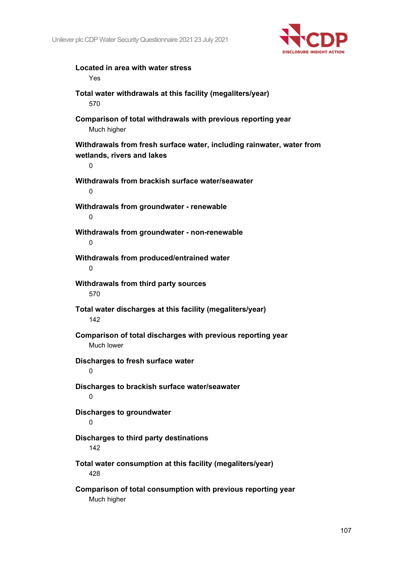

| Located in area with water stress<br>Yes                                                                 |
|----------------------------------------------------------------------------------------------------------|
| Total water withdrawals at this facility (megaliters/year)<br>570                                        |
| Comparison of total withdrawals with previous reporting year<br>Much higher                              |
| Withdrawals from fresh surface water, including rainwater, water from<br>wetlands, rivers and lakes<br>0 |
| Withdrawals from brackish surface water/seawater<br>0                                                    |
| Withdrawals from groundwater - renewable<br>0                                                            |
| Withdrawals from groundwater - non-renewable<br>0                                                        |
| Withdrawals from produced/entrained water<br>0                                                           |
| Withdrawals from third party sources<br>570                                                              |
| Total water discharges at this facility (megaliters/year)<br>142                                         |
| Comparison of total discharges with previous reporting year<br>Much lower                                |
| Discharges to fresh surface water<br>0                                                                   |
| Discharges to brackish surface water/seawater<br>0                                                       |
| Discharges to groundwater<br>0                                                                           |
| Discharges to third party destinations<br>142                                                            |
| Total water consumption at this facility (megaliters/year)<br>428                                        |
| Comparison of total consumption with previous reporting year                                             |

Much higher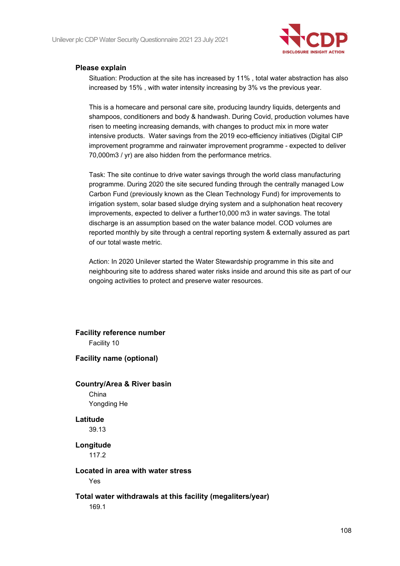

#### **Please explain**

Situation: Production at the site has increased by 11% , total water abstraction has also increased by 15% , with water intensity increasing by 3% vs the previous year.

This is a homecare and personal care site, producing laundry liquids, detergents and shampoos, conditioners and body & handwash. During Covid, production volumes have risen to meeting increasing demands, with changes to product mix in more water intensive products. Water savings from the 2019 eco-efficiency initiatives (Digital CIP improvement programme and rainwater improvement programme - expected to deliver 70,000m3 / yr) are also hidden from the performance metrics.

Task: The site continue to drive water savings through the world class manufacturing programme. During 2020 the site secured funding through the centrally managed Low Carbon Fund (previously known as the Clean Technology Fund) for improvements to irrigation system, solar based sludge drying system and a sulphonation heat recovery improvements, expected to deliver a further10,000 m3 in water savings. The total discharge is an assumption based on the water balance model. COD volumes are reported monthly by site through a central reporting system & externally assured as part of our total waste metric.

Action: In 2020 Unilever started the Water Stewardship programme in this site and neighbouring site to address shared water risks inside and around this site as part of our ongoing activities to protect and preserve water resources.

**Facility reference number** Facility 10 **Facility name (optional) Country/Area & River basin** China Yongding He **Latitude** 39.13 **Longitude** 117.2

#### **Located in area with water stress**

Yes

#### **Total water withdrawals at this facility (megaliters/year)**

169.1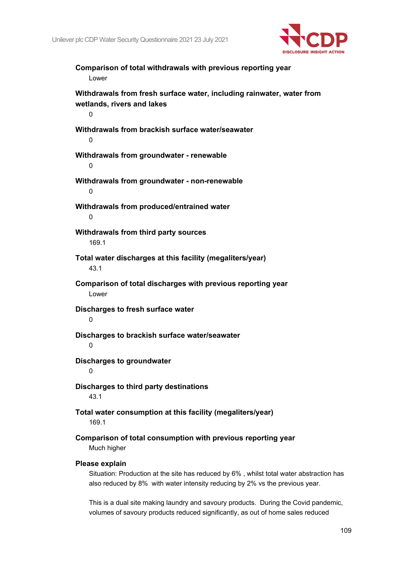

**Comparison of total withdrawals with previous reporting year** Lower **Withdrawals from fresh surface water, including rainwater, water from wetlands, rivers and lakes**  $\Omega$ **Withdrawals from brackish surface water/seawater**  $\Omega$ **Withdrawals from groundwater - renewable**  $\Omega$ **Withdrawals from groundwater - non-renewable**  $\Omega$ **Withdrawals from produced/entrained water**  $\Omega$ **Withdrawals from third party sources** 169.1 **Total water discharges at this facility (megaliters/year)** 43.1 **Comparison of total discharges with previous reporting year** Lower **Discharges to fresh surface water**  $\Omega$ **Discharges to brackish surface water/seawater**  $\Omega$ **Discharges to groundwater**  $\Omega$ **Discharges to third party destinations** 43.1 **Total water consumption at this facility (megaliters/year)** 169.1 **Comparison of total consumption with previous reporting year** Much higher **Please explain**

Situation: Production at the site has reduced by 6% , whilst total water abstraction has also reduced by 8% with water intensity reducing by 2% vs the previous year.

This is a dual site making laundry and savoury products. During the Covid pandemic, volumes of savoury products reduced significantly, as out of home sales reduced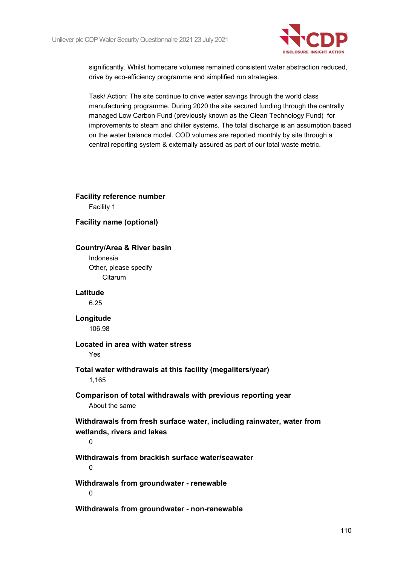

significantly. Whilst homecare volumes remained consistent water abstraction reduced, drive by eco-efficiency programme and simplified run strategies.

Task/ Action: The site continue to drive water savings through the world class manufacturing programme. During 2020 the site secured funding through the centrally managed Low Carbon Fund (previously known as the Clean Technology Fund) for improvements to steam and chiller systems. The total discharge is an assumption based on the water balance model. COD volumes are reported monthly by site through a central reporting system & externally assured as part of our total waste metric.

**Facility reference number** Facility 1 **Facility name (optional)**

#### **Country/Area & River basin**

Indonesia Other, please specify Citarum

**Latitude**

6.25

### **Longitude**

106.98

#### **Located in area with water stress**

Yes

#### **Total water withdrawals at this facility (megaliters/year)** 1,165

#### **Comparison of total withdrawals with previous reporting year** About the same

### **Withdrawals from fresh surface water, including rainwater, water from wetlands, rivers and lakes**

 $\Omega$ 

# **Withdrawals from brackish surface water/seawater**

0

**Withdrawals from groundwater - renewable**  $\Omega$ 

**Withdrawals from groundwater - non-renewable**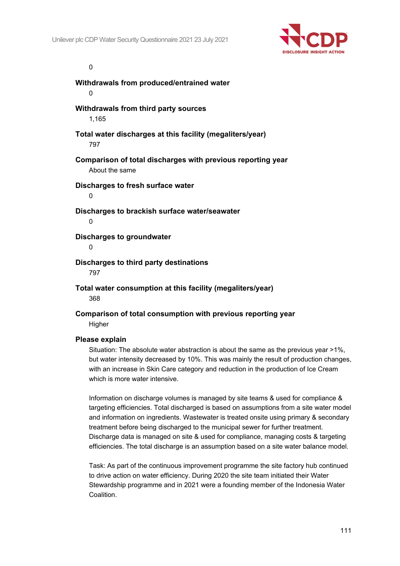

#### $\Omega$

**Withdrawals from produced/entrained water**  $\Omega$ **Withdrawals from third party sources** 1,165 **Total water discharges at this facility (megaliters/year)** 797 **Comparison of total discharges with previous reporting year** About the same **Discharges to fresh surface water**  $\theta$ **Discharges to brackish surface water/seawater**  $\Omega$ **Discharges to groundwater**  $\Omega$ **Discharges to third party destinations** 797 **Total water consumption at this facility (megaliters/year)** 368

**Comparison of total consumption with previous reporting year Higher** 

#### **Please explain**

Situation: The absolute water abstraction is about the same as the previous year >1%, but water intensity decreased by 10%. This was mainly the result of production changes, with an increase in Skin Care category and reduction in the production of Ice Cream which is more water intensive.

Information on discharge volumes is managed by site teams & used for compliance & targeting efficiencies. Total discharged is based on assumptions from a site water model and information on ingredients. Wastewater is treated onsite using primary & secondary treatment before being discharged to the municipal sewer for further treatment. Discharge data is managed on site & used for compliance, managing costs & targeting efficiencies. The total discharge is an assumption based on a site water balance model.

Task: As part of the continuous improvement programme the site factory hub continued to drive action on water efficiency. During 2020 the site team initiated their Water Stewardship programme and in 2021 were a founding member of the Indonesia Water Coalition.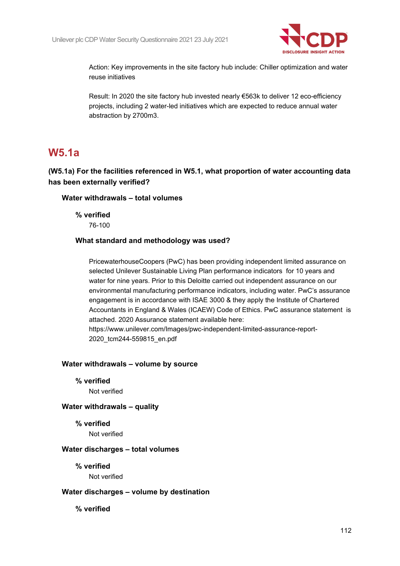

Action: Key improvements in the site factory hub include: Chiller optimization and water reuse initiatives

Result: In 2020 the site factory hub invested nearly €563k to deliver 12 eco-efficiency projects, including 2 water-led initiatives which are expected to reduce annual water abstraction by 2700m3.

### **W5.1a**

### **(W5.1a) For the facilities referenced in W5.1, what proportion of water accounting data has been externally verified?**

#### **Water withdrawals – total volumes**

**% verified** 76-100

#### **What standard and methodology was used?**

PricewaterhouseCoopers (PwC) has been providing independent limited assurance on selected Unilever Sustainable Living Plan performance indicators for 10 years and water for nine years. Prior to this Deloitte carried out independent assurance on our environmental manufacturing performance indicators, including water. PwC's assurance engagement is in accordance with ISAE 3000 & they apply the Institute of Chartered Accountants in England & Wales (ICAEW) Code of Ethics. PwC assurance statement is attached. 2020 Assurance statement available here: https://www.unilever.com/Images/pwc-independent-limited-assurance-report-

2020\_tcm244-559815\_en.pdf

#### **Water withdrawals – volume by source**

**% verified**

Not verified

#### **Water withdrawals – quality**

**% verified** Not verified

#### **Water discharges – total volumes**

**% verified** Not verified

#### **Water discharges – volume by destination**

**% verified**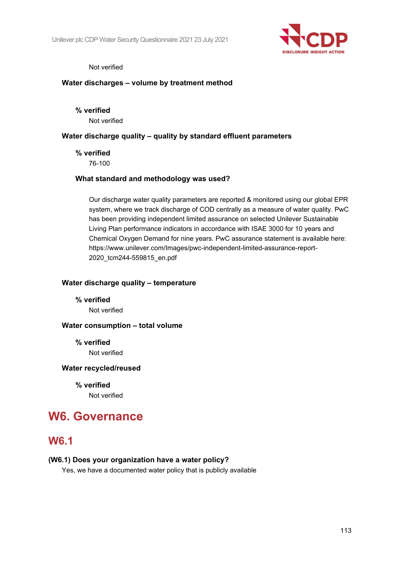

#### Not verified

#### **Water discharges – volume by treatment method**

**% verified** Not verified

#### **Water discharge quality – quality by standard effluent parameters**

#### **% verified**

76-100

#### **What standard and methodology was used?**

Our discharge water quality parameters are reported & monitored using our global EPR system, where we track discharge of COD centrally as a measure of water quality. PwC has been providing independent limited assurance on selected Unilever Sustainable Living Plan performance indicators in accordance with ISAE 3000 for 10 years and Chemical Oxygen Demand for nine years. PwC assurance statement is available here: https://www.unilever.com/Images/pwc-independent-limited-assurance-report-2020\_tcm244-559815\_en.pdf

#### **Water discharge quality – temperature**

**% verified** Not verified

#### **Water consumption – total volume**

**% verified** Not verified

#### **Water recycled/reused**

**% verified**

Not verified

# **W6. Governance**

### **W6.1**

#### **(W6.1) Does your organization have a water policy?**

Yes, we have a documented water policy that is publicly available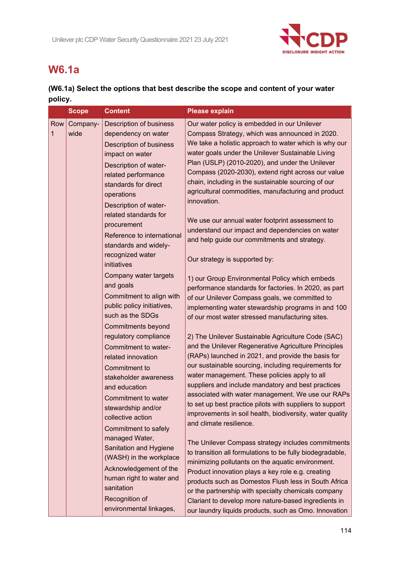

# **W6.1a**

### **(W6.1a) Select the options that best describe the scope and content of your water policy.**

|          | <b>Scope</b>     | <b>Content</b>                                                                                                                                                                                                                                                                                                                               | <b>Please explain</b>                                                                                                                                                                                                                                                                                                                                                                                                                                                                                                                                                                                                                     |
|----------|------------------|----------------------------------------------------------------------------------------------------------------------------------------------------------------------------------------------------------------------------------------------------------------------------------------------------------------------------------------------|-------------------------------------------------------------------------------------------------------------------------------------------------------------------------------------------------------------------------------------------------------------------------------------------------------------------------------------------------------------------------------------------------------------------------------------------------------------------------------------------------------------------------------------------------------------------------------------------------------------------------------------------|
| Row<br>1 | Company-<br>wide | <b>Description of business</b><br>dependency on water<br><b>Description of business</b><br>impact on water<br>Description of water-<br>related performance<br>standards for direct<br>operations<br>Description of water-<br>related standards for<br>procurement<br>Reference to international<br>standards and widely-<br>recognized water | Our water policy is embedded in our Unilever<br>Compass Strategy, which was announced in 2020.<br>We take a holistic approach to water which is why our<br>water goals under the Unilever Sustainable Living<br>Plan (USLP) (2010-2020), and under the Unilever<br>Compass (2020-2030), extend right across our value<br>chain, including in the sustainable sourcing of our<br>agricultural commodities, manufacturing and product<br>innovation.<br>We use our annual water footprint assessment to<br>understand our impact and dependencies on water<br>and help guide our commitments and strategy.<br>Our strategy is supported by: |
|          |                  | initiatives<br>Company water targets<br>and goals<br>Commitment to align with<br>public policy initiatives,<br>such as the SDGs<br><b>Commitments beyond</b><br>regulatory compliance<br>Commitment to water-                                                                                                                                | 1) our Group Environmental Policy which embeds<br>performance standards for factories. In 2020, as part<br>of our Unilever Compass goals, we committed to<br>implementing water stewardship programs in and 100<br>of our most water stressed manufacturing sites.<br>2) The Unilever Sustainable Agriculture Code (SAC)<br>and the Unilever Regenerative Agriculture Principles                                                                                                                                                                                                                                                          |
|          |                  | related innovation<br>Commitment to<br>stakeholder awareness<br>and education<br>Commitment to water<br>stewardship and/or<br>collective action<br>Commitment to safely                                                                                                                                                                      | (RAPs) launched in 2021, and provide the basis for<br>our sustainable sourcing, including requirements for<br>water management. These policies apply to all<br>suppliers and include mandatory and best practices<br>associated with water management. We use our RAPs<br>to set up best practice pilots with suppliers to support<br>improvements in soil health, biodiversity, water quality<br>and climate resilience.                                                                                                                                                                                                                 |
|          |                  | managed Water,<br>Sanitation and Hygiene<br>(WASH) in the workplace<br>Acknowledgement of the<br>human right to water and<br>sanitation<br>Recognition of<br>environmental linkages,                                                                                                                                                         | The Unilever Compass strategy includes commitments<br>to transition all formulations to be fully biodegradable,<br>minimizing pollutants on the aquatic environment.<br>Product innovation plays a key role e.g. creating<br>products such as Domestos Flush less in South Africa<br>or the partnership with specialty chemicals company<br>Clariant to develop more nature-based ingredients in<br>our laundry liquids products, such as Omo. Innovation                                                                                                                                                                                 |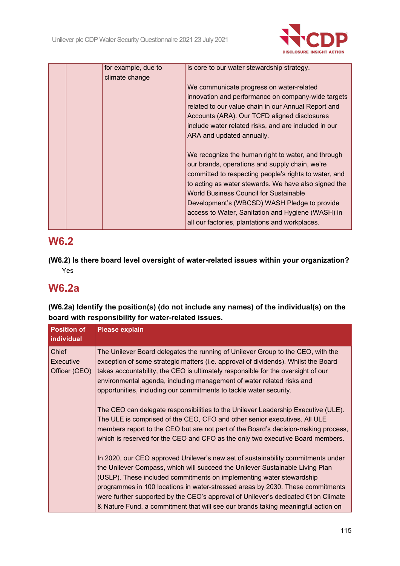

|  | for example, due to | is core to our water stewardship strategy.                                                                                                                                                                                                                                                                                                                                                                             |
|--|---------------------|------------------------------------------------------------------------------------------------------------------------------------------------------------------------------------------------------------------------------------------------------------------------------------------------------------------------------------------------------------------------------------------------------------------------|
|  | climate change      | We communicate progress on water-related<br>innovation and performance on company-wide targets<br>related to our value chain in our Annual Report and                                                                                                                                                                                                                                                                  |
|  |                     | Accounts (ARA). Our TCFD aligned disclosures                                                                                                                                                                                                                                                                                                                                                                           |
|  |                     | include water related risks, and are included in our                                                                                                                                                                                                                                                                                                                                                                   |
|  |                     | ARA and updated annually.                                                                                                                                                                                                                                                                                                                                                                                              |
|  |                     | We recognize the human right to water, and through<br>our brands, operations and supply chain, we're<br>committed to respecting people's rights to water, and<br>to acting as water stewards. We have also signed the<br>World Business Council for Sustainable<br>Development's (WBCSD) WASH Pledge to provide<br>access to Water, Sanitation and Hygiene (WASH) in<br>all our factories, plantations and workplaces. |

# **W6.2**

**(W6.2) Is there board level oversight of water-related issues within your organization?** Yes

# **W6.2a**

**(W6.2a) Identify the position(s) (do not include any names) of the individual(s) on the board with responsibility for water-related issues.**

| <b>Position of</b><br>individual    | <b>Please explain</b>                                                                                                                                                                                                                                                                                                                                                                                                                                                                                |
|-------------------------------------|------------------------------------------------------------------------------------------------------------------------------------------------------------------------------------------------------------------------------------------------------------------------------------------------------------------------------------------------------------------------------------------------------------------------------------------------------------------------------------------------------|
| Chief<br>Executive<br>Officer (CEO) | The Unilever Board delegates the running of Unilever Group to the CEO, with the<br>exception of some strategic matters (i.e. approval of dividends). Whilst the Board<br>takes accountability, the CEO is ultimately responsible for the oversight of our<br>environmental agenda, including management of water related risks and<br>opportunities, including our commitments to tackle water security.                                                                                             |
|                                     | The CEO can delegate responsibilities to the Unilever Leadership Executive (ULE).<br>The ULE is comprised of the CEO, CFO and other senior executives. All ULE<br>members report to the CEO but are not part of the Board's decision-making process,<br>which is reserved for the CEO and CFO as the only two executive Board members.                                                                                                                                                               |
|                                     | In 2020, our CEO approved Unilever's new set of sustainability commitments under<br>the Unilever Compass, which will succeed the Unilever Sustainable Living Plan<br>(USLP). These included commitments on implementing water stewardship<br>programmes in 100 locations in water-stressed areas by 2030. These commitments<br>were further supported by the CEO's approval of Unilever's dedicated €1bn Climate<br>& Nature Fund, a commitment that will see our brands taking meaningful action on |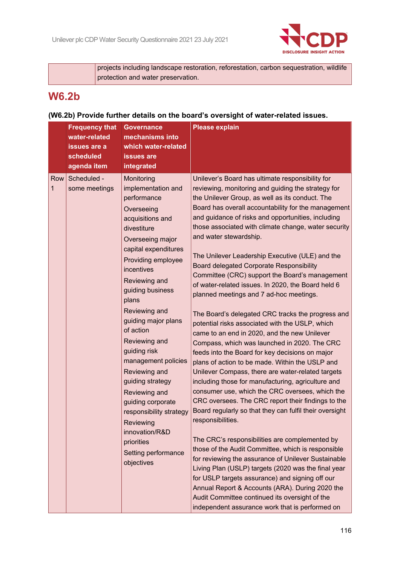

projects including landscape restoration, reforestation, carbon sequestration, wildlife protection and water preservation.

# **W6.2b**

### **(W6.2b) Provide further details on the board's oversight of water-related issues.**

|          | <b>Frequency that</b><br>water-related<br>issues are a<br>scheduled<br>agenda item | <b>Governance</b><br>mechanisms into<br>which water-related<br><b>issues are</b><br>integrated                                                                                                                                                                                                                                                                                                                                                                                                                                      | <b>Please explain</b>                                                                                                                                                                                                                                                                                                                                                                                                                                                                                                                                                                                                                                                                                                                                                                                                                                                                                                                                                                                                                                                                                                                                                                                                                                                                                                                                                                                                                                                                                                                                                                                                                                                |
|----------|------------------------------------------------------------------------------------|-------------------------------------------------------------------------------------------------------------------------------------------------------------------------------------------------------------------------------------------------------------------------------------------------------------------------------------------------------------------------------------------------------------------------------------------------------------------------------------------------------------------------------------|----------------------------------------------------------------------------------------------------------------------------------------------------------------------------------------------------------------------------------------------------------------------------------------------------------------------------------------------------------------------------------------------------------------------------------------------------------------------------------------------------------------------------------------------------------------------------------------------------------------------------------------------------------------------------------------------------------------------------------------------------------------------------------------------------------------------------------------------------------------------------------------------------------------------------------------------------------------------------------------------------------------------------------------------------------------------------------------------------------------------------------------------------------------------------------------------------------------------------------------------------------------------------------------------------------------------------------------------------------------------------------------------------------------------------------------------------------------------------------------------------------------------------------------------------------------------------------------------------------------------------------------------------------------------|
| Row<br>1 | Scheduled -<br>some meetings                                                       | Monitoring<br>implementation and<br>performance<br>Overseeing<br>acquisitions and<br>divestiture<br>Overseeing major<br>capital expenditures<br>Providing employee<br>incentives<br>Reviewing and<br>guiding business<br>plans<br>Reviewing and<br>guiding major plans<br>of action<br>Reviewing and<br>guiding risk<br>management policies<br>Reviewing and<br>guiding strategy<br>Reviewing and<br>guiding corporate<br>responsibility strategy<br>Reviewing<br>innovation/R&D<br>priorities<br>Setting performance<br>objectives | Unilever's Board has ultimate responsibility for<br>reviewing, monitoring and guiding the strategy for<br>the Unilever Group, as well as its conduct. The<br>Board has overall accountability for the management<br>and guidance of risks and opportunities, including<br>those associated with climate change, water security<br>and water stewardship.<br>The Unilever Leadership Executive (ULE) and the<br><b>Board delegated Corporate Responsibility</b><br>Committee (CRC) support the Board's management<br>of water-related issues. In 2020, the Board held 6<br>planned meetings and 7 ad-hoc meetings.<br>The Board's delegated CRC tracks the progress and<br>potential risks associated with the USLP, which<br>came to an end in 2020, and the new Unilever<br>Compass, which was launched in 2020. The CRC<br>feeds into the Board for key decisions on major<br>plans of action to be made. Within the USLP and<br>Unilever Compass, there are water-related targets<br>including those for manufacturing, agriculture and<br>consumer use, which the CRC oversees, which the<br>CRC oversees. The CRC report their findings to the<br>Board regularly so that they can fulfil their oversight<br>responsibilities.<br>The CRC's responsibilities are complemented by<br>those of the Audit Committee, which is responsible<br>for reviewing the assurance of Unilever Sustainable<br>Living Plan (USLP) targets (2020 was the final year<br>for USLP targets assurance) and signing off our<br>Annual Report & Accounts (ARA). During 2020 the<br>Audit Committee continued its oversight of the<br>independent assurance work that is performed on |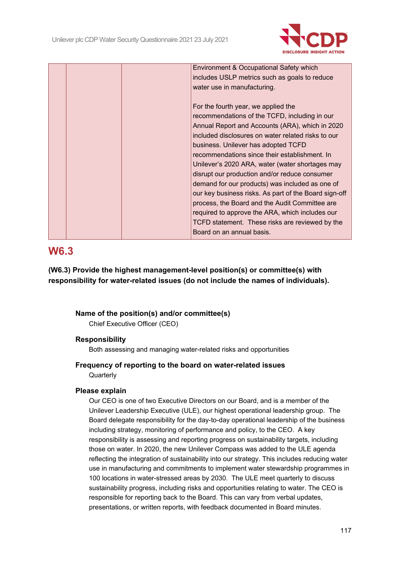

|  | Environment & Occupational Safety which               |
|--|-------------------------------------------------------|
|  | includes USLP metrics such as goals to reduce         |
|  | water use in manufacturing.                           |
|  |                                                       |
|  | For the fourth year, we applied the                   |
|  | recommendations of the TCFD, including in our         |
|  | Annual Report and Accounts (ARA), which in 2020       |
|  | included disclosures on water related risks to our    |
|  | business. Unilever has adopted TCFD                   |
|  | recommendations since their establishment. In         |
|  | Unilever's 2020 ARA, water (water shortages may       |
|  | disrupt our production and/or reduce consumer         |
|  | demand for our products) was included as one of       |
|  | our key business risks. As part of the Board sign-off |
|  | process, the Board and the Audit Committee are        |
|  | required to approve the ARA, which includes our       |
|  | TCFD statement. These risks are reviewed by the       |
|  | Board on an annual basis.                             |
|  |                                                       |

### **W6.3**

**(W6.3) Provide the highest management-level position(s) or committee(s) with responsibility for water-related issues (do not include the names of individuals).**

#### **Name of the position(s) and/or committee(s)**

Chief Executive Officer (CEO)

#### **Responsibility**

Both assessing and managing water-related risks and opportunities

### **Frequency of reporting to the board on water-related issues**

**Quarterly** 

#### **Please explain**

Our CEO is one of two Executive Directors on our Board, and is a member of the Unilever Leadership Executive (ULE), our highest operational leadership group. The Board delegate responsibility for the day-to-day operational leadership of the business including strategy, monitoring of performance and policy, to the CEO. A key responsibility is assessing and reporting progress on sustainability targets, including those on water. In 2020, the new Unilever Compass was added to the ULE agenda reflecting the integration of sustainability into our strategy. This includes reducing water use in manufacturing and commitments to implement water stewardship programmes in 100 locations in water-stressed areas by 2030. The ULE meet quarterly to discuss sustainability progress, including risks and opportunities relating to water. The CEO is responsible for reporting back to the Board. This can vary from verbal updates, presentations, or written reports, with feedback documented in Board minutes.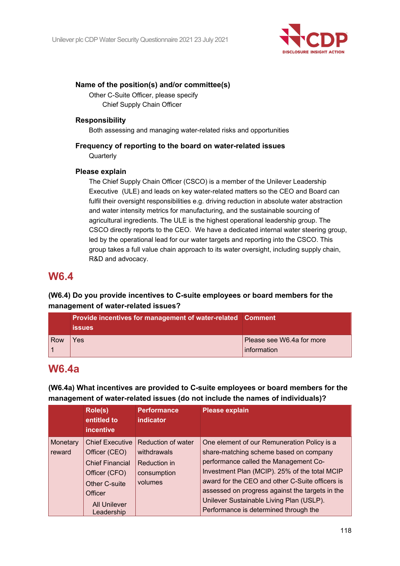

#### **Name of the position(s) and/or committee(s)**

Other C-Suite Officer, please specify Chief Supply Chain Officer

#### **Responsibility**

Both assessing and managing water-related risks and opportunities

### **Frequency of reporting to the board on water-related issues Quarterly**

#### **Please explain**

The Chief Supply Chain Officer (CSCO) is a member of the Unilever Leadership Executive (ULE) and leads on key water-related matters so the CEO and Board can fulfil their oversight responsibilities e.g. driving reduction in absolute water abstraction and water intensity metrics for manufacturing, and the sustainable sourcing of agricultural ingredients. The ULE is the highest operational leadership group. The CSCO directly reports to the CEO. We have a dedicated internal water steering group, led by the operational lead for our water targets and reporting into the CSCO. This group takes a full value chain approach to its water oversight, including supply chain, R&D and advocacy.

### **W6.4**

### **(W6.4) Do you provide incentives to C-suite employees or board members for the management of water-related issues?**

|     | <b>Provide incentives for management of water-related Comment</b><br><b>issues</b> |                                          |
|-----|------------------------------------------------------------------------------------|------------------------------------------|
| Row | 'es                                                                                | Please see W6.4a for more<br>information |

## **W6.4a**

**(W6.4a) What incentives are provided to C-suite employees or board members for the management of water-related issues (do not include the names of individuals)?**

|          | Role(s)<br>entitled to<br><b>incentive</b> | <b>Performance</b><br><b>indicator</b> | <b>Please explain</b>                           |
|----------|--------------------------------------------|----------------------------------------|-------------------------------------------------|
| Monetary | <b>Chief Executive</b>                     | Reduction of water                     | One element of our Remuneration Policy is a     |
| reward   | Officer (CEO)                              | withdrawals                            | share-matching scheme based on company          |
|          | <b>Chief Financial</b>                     | Reduction in                           | performance called the Management Co-           |
|          | Officer (CFO)                              | consumption                            | Investment Plan (MCIP). 25% of the total MCIP   |
|          | Other C-suite                              | volumes                                | award for the CEO and other C-Suite officers is |
|          | Officer                                    |                                        | assessed on progress against the targets in the |
|          | <b>All Unilever</b>                        |                                        | Unilever Sustainable Living Plan (USLP).        |
|          | Leadership                                 |                                        | Performance is determined through the           |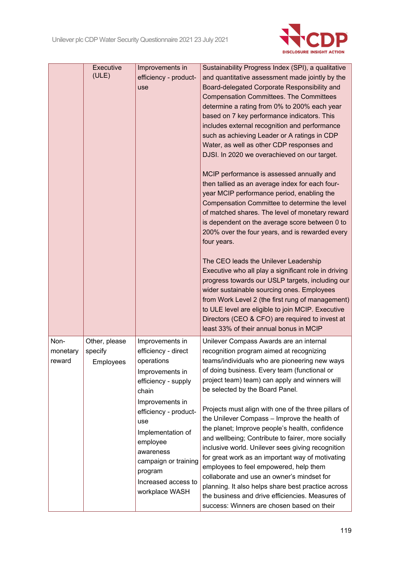

|                            | Executive<br>(ULE)                    | Improvements in<br>efficiency - product-<br>use                                                                                                                                                                                                                                      | Sustainability Progress Index (SPI), a qualitative<br>and quantitative assessment made jointly by the<br>Board-delegated Corporate Responsibility and<br><b>Compensation Committees. The Committees</b><br>determine a rating from 0% to 200% each year<br>based on 7 key performance indicators. This<br>includes external recognition and performance<br>such as achieving Leader or A ratings in CDP<br>Water, as well as other CDP responses and<br>DJSI. In 2020 we overachieved on our target.<br>MCIP performance is assessed annually and<br>then tallied as an average index for each four-<br>year MCIP performance period, enabling the<br>Compensation Committee to determine the level<br>of matched shares. The level of monetary reward<br>is dependent on the average score between 0 to<br>200% over the four years, and is rewarded every<br>four years.<br>The CEO leads the Unilever Leadership<br>Executive who all play a significant role in driving<br>progress towards our USLP targets, including our<br>wider sustainable sourcing ones. Employees<br>from Work Level 2 (the first rung of management)<br>to ULE level are eligible to join MCIP. Executive |
|----------------------------|---------------------------------------|--------------------------------------------------------------------------------------------------------------------------------------------------------------------------------------------------------------------------------------------------------------------------------------|----------------------------------------------------------------------------------------------------------------------------------------------------------------------------------------------------------------------------------------------------------------------------------------------------------------------------------------------------------------------------------------------------------------------------------------------------------------------------------------------------------------------------------------------------------------------------------------------------------------------------------------------------------------------------------------------------------------------------------------------------------------------------------------------------------------------------------------------------------------------------------------------------------------------------------------------------------------------------------------------------------------------------------------------------------------------------------------------------------------------------------------------------------------------------------------|
|                            |                                       |                                                                                                                                                                                                                                                                                      | Directors (CEO & CFO) are required to invest at<br>least 33% of their annual bonus in MCIP                                                                                                                                                                                                                                                                                                                                                                                                                                                                                                                                                                                                                                                                                                                                                                                                                                                                                                                                                                                                                                                                                             |
| Non-<br>monetary<br>reward | Other, please<br>specify<br>Employees | Improvements in<br>efficiency - direct<br>operations<br>Improvements in<br>efficiency - supply<br>chain<br>Improvements in<br>efficiency - product-<br>use<br>Implementation of<br>employee<br>awareness<br>campaign or training<br>program<br>Increased access to<br>workplace WASH | Unilever Compass Awards are an internal<br>recognition program aimed at recognizing<br>teams/individuals who are pioneering new ways<br>of doing business. Every team (functional or<br>project team) team) can apply and winners will<br>be selected by the Board Panel.<br>Projects must align with one of the three pillars of<br>the Unilever Compass - Improve the health of<br>the planet; Improve people's health, confidence<br>and wellbeing; Contribute to fairer, more socially<br>inclusive world. Unilever sees giving recognition<br>for great work as an important way of motivating<br>employees to feel empowered, help them<br>collaborate and use an owner's mindset for<br>planning. It also helps share best practice across<br>the business and drive efficiencies. Measures of<br>success: Winners are chosen based on their                                                                                                                                                                                                                                                                                                                                    |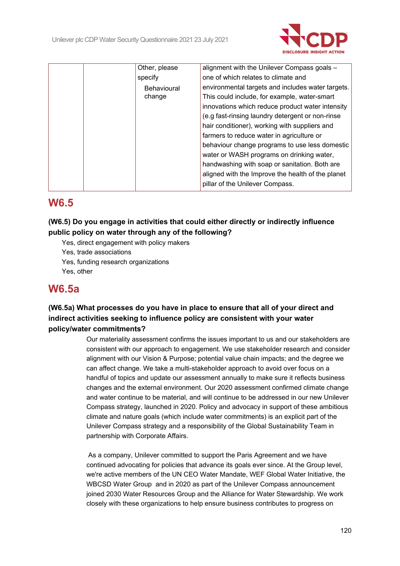

| Other, please | alignment with the Unilever Compass goals -       |
|---------------|---------------------------------------------------|
| specify       | one of which relates to climate and               |
| Behavioural   | environmental targets and includes water targets. |
| change        | This could include, for example, water-smart      |
|               | innovations which reduce product water intensity  |
|               | (e.g fast-rinsing laundry detergent or non-rinse  |
|               | hair conditioner), working with suppliers and     |
|               | farmers to reduce water in agriculture or         |
|               | behaviour change programs to use less domestic    |
|               | water or WASH programs on drinking water,         |
|               | handwashing with soap or sanitation. Both are     |
|               | aligned with the Improve the health of the planet |
|               | pillar of the Unilever Compass.                   |

# **W6.5**

### **(W6.5) Do you engage in activities that could either directly or indirectly influence public policy on water through any of the following?**

- Yes, direct engagement with policy makers
- Yes, trade associations
- Yes, funding research organizations
- Yes, other

### **W6.5a**

### **(W6.5a) What processes do you have in place to ensure that all of your direct and indirect activities seeking to influence policy are consistent with your water policy/water commitments?**

Our materiality assessment confirms the issues important to us and our stakeholders are consistent with our approach to engagement. We use stakeholder research and consider alignment with our Vision & Purpose; potential value chain impacts; and the degree we can affect change. We take a multi-stakeholder approach to avoid over focus on a handful of topics and update our assessment annually to make sure it reflects business changes and the external environment. Our 2020 assessment confirmed climate change and water continue to be material, and will continue to be addressed in our new Unilever Compass strategy, launched in 2020. Policy and advocacy in support of these ambitious climate and nature goals (which include water commitments) is an explicit part of the Unilever Compass strategy and a responsibility of the Global Sustainability Team in partnership with Corporate Affairs.

As a company, Unilever committed to support the Paris Agreement and we have continued advocating for policies that advance its goals ever since. At the Group level, we're active members of the UN CEO Water Mandate, WEF Global Water Initiative, the WBCSD Water Group and in 2020 as part of the Unilever Compass announcement joined 2030 Water Resources Group and the Alliance for Water Stewardship. We work closely with these organizations to help ensure business contributes to progress on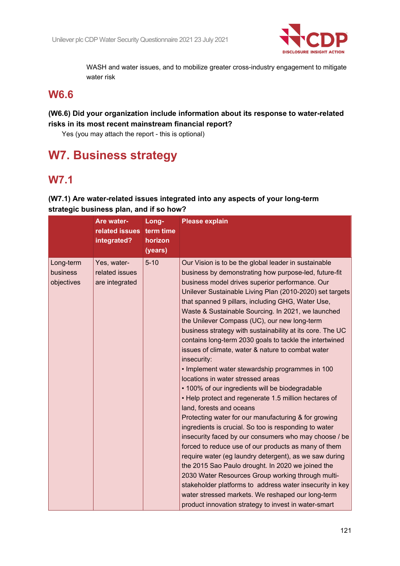

WASH and water issues, and to mobilize greater cross-industry engagement to mitigate water risk

### **W6.6**

### **(W6.6) Did your organization include information about its response to water-related risks in its most recent mainstream financial report?**

Yes (you may attach the report - this is optional)

# **W7. Business strategy**

# **W7.1**

|                                     | Are water-<br>related issues<br>integrated?     | Long-<br>term time<br>horizon<br>(years) | <b>Please explain</b>                                                                                                                                                                                                                                                                                                                                                                                                                                                                                                                                                                                                                                                                                                                                                                                                                                                                                                                                                                                                                                                                                                                                                                                                                                                                                                                                                                              |
|-------------------------------------|-------------------------------------------------|------------------------------------------|----------------------------------------------------------------------------------------------------------------------------------------------------------------------------------------------------------------------------------------------------------------------------------------------------------------------------------------------------------------------------------------------------------------------------------------------------------------------------------------------------------------------------------------------------------------------------------------------------------------------------------------------------------------------------------------------------------------------------------------------------------------------------------------------------------------------------------------------------------------------------------------------------------------------------------------------------------------------------------------------------------------------------------------------------------------------------------------------------------------------------------------------------------------------------------------------------------------------------------------------------------------------------------------------------------------------------------------------------------------------------------------------------|
| Long-term<br>business<br>objectives | Yes, water-<br>related issues<br>are integrated | $5 - 10$                                 | Our Vision is to be the global leader in sustainable<br>business by demonstrating how purpose-led, future-fit<br>business model drives superior performance. Our<br>Unilever Sustainable Living Plan (2010-2020) set targets<br>that spanned 9 pillars, including GHG, Water Use,<br>Waste & Sustainable Sourcing. In 2021, we launched<br>the Unilever Compass (UC), our new long-term<br>business strategy with sustainability at its core. The UC<br>contains long-term 2030 goals to tackle the intertwined<br>issues of climate, water & nature to combat water<br>insecurity:<br>• Implement water stewardship programmes in 100<br>locations in water stressed areas<br>• 100% of our ingredients will be biodegradable<br>• Help protect and regenerate 1.5 million hectares of<br>land, forests and oceans<br>Protecting water for our manufacturing & for growing<br>ingredients is crucial. So too is responding to water<br>insecurity faced by our consumers who may choose / be<br>forced to reduce use of our products as many of them<br>require water (eg laundry detergent), as we saw during<br>the 2015 Sao Paulo drought. In 2020 we joined the<br>2030 Water Resources Group working through multi-<br>stakeholder platforms to address water insecurity in key<br>water stressed markets. We reshaped our long-term<br>product innovation strategy to invest in water-smart |

**(W7.1) Are water-related issues integrated into any aspects of your long-term strategic business plan, and if so how?**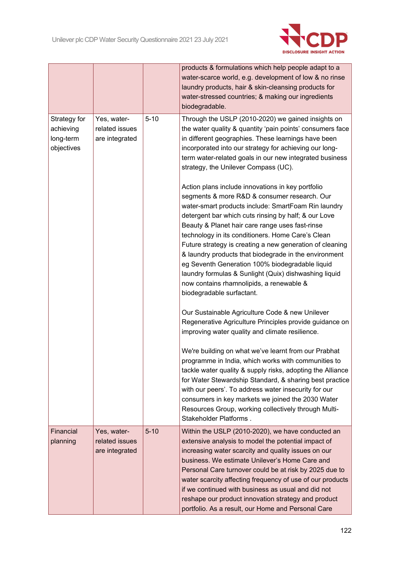

|                                                      |                                                 |          | products & formulations which help people adapt to a<br>water-scarce world, e.g. development of low & no rinse<br>laundry products, hair & skin-cleansing products for<br>water-stressed countries; & making our ingredients<br>biodegradable.                                                                                                                                                                                                                                                                                                                                                                                                                                                                                                                                                                                                                                                                                               |
|------------------------------------------------------|-------------------------------------------------|----------|----------------------------------------------------------------------------------------------------------------------------------------------------------------------------------------------------------------------------------------------------------------------------------------------------------------------------------------------------------------------------------------------------------------------------------------------------------------------------------------------------------------------------------------------------------------------------------------------------------------------------------------------------------------------------------------------------------------------------------------------------------------------------------------------------------------------------------------------------------------------------------------------------------------------------------------------|
| Strategy for<br>achieving<br>long-term<br>objectives | Yes, water-<br>related issues<br>are integrated | $5 - 10$ | Through the USLP (2010-2020) we gained insights on<br>the water quality & quantity 'pain points' consumers face<br>in different geographies. These learnings have been<br>incorporated into our strategy for achieving our long-<br>term water-related goals in our new integrated business<br>strategy, the Unilever Compass (UC).<br>Action plans include innovations in key portfolio<br>segments & more R&D & consumer research. Our<br>water-smart products include: SmartFoam Rin laundry<br>detergent bar which cuts rinsing by half; & our Love<br>Beauty & Planet hair care range uses fast-rinse<br>technology in its conditioners. Home Care's Clean<br>Future strategy is creating a new generation of cleaning<br>& laundry products that biodegrade in the environment<br>eg Seventh Generation 100% biodegradable liquid<br>laundry formulas & Sunlight (Quix) dishwashing liquid<br>now contains rhamnolipids, a renewable & |
|                                                      |                                                 |          | biodegradable surfactant.<br>Our Sustainable Agriculture Code & new Unilever<br>Regenerative Agriculture Principles provide guidance on<br>improving water quality and climate resilience.<br>We're building on what we've learnt from our Prabhat<br>programme in India, which works with communities to<br>tackle water quality & supply risks, adopting the Alliance<br>for Water Stewardship Standard, & sharing best practice<br>with our peers'. To address water insecurity for our<br>consumers in key markets we joined the 2030 Water<br>Resources Group, working collectively through Multi-<br>Stakeholder Platforms.                                                                                                                                                                                                                                                                                                            |
| Financial<br>planning                                | Yes, water-<br>related issues<br>are integrated | $5 - 10$ | Within the USLP (2010-2020), we have conducted an<br>extensive analysis to model the potential impact of<br>increasing water scarcity and quality issues on our<br>business. We estimate Unilever's Home Care and<br>Personal Care turnover could be at risk by 2025 due to<br>water scarcity affecting frequency of use of our products<br>if we continued with business as usual and did not<br>reshape our product innovation strategy and product<br>portfolio. As a result, our Home and Personal Care                                                                                                                                                                                                                                                                                                                                                                                                                                  |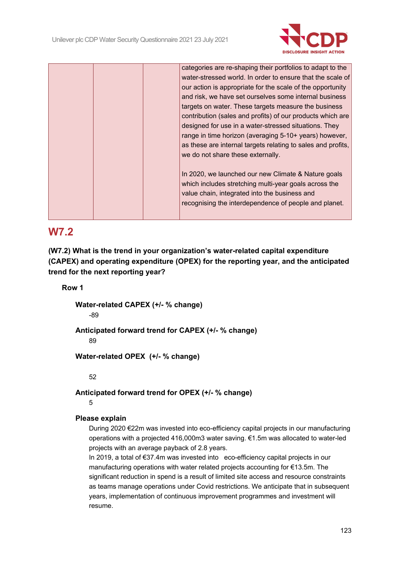

|  |  | categories are re-shaping their portfolios to adapt to the   |
|--|--|--------------------------------------------------------------|
|  |  | water-stressed world. In order to ensure that the scale of   |
|  |  | our action is appropriate for the scale of the opportunity   |
|  |  | and risk, we have set ourselves some internal business       |
|  |  | targets on water. These targets measure the business         |
|  |  | contribution (sales and profits) of our products which are   |
|  |  | designed for use in a water-stressed situations. They        |
|  |  | range in time horizon (averaging 5-10+ years) however,       |
|  |  | as these are internal targets relating to sales and profits, |
|  |  | we do not share these externally.                            |
|  |  |                                                              |
|  |  | In 2020, we launched our new Climate & Nature goals          |
|  |  | which includes stretching multi-year goals across the        |
|  |  | value chain, integrated into the business and                |
|  |  | recognising the interdependence of people and planet.        |
|  |  |                                                              |
|  |  |                                                              |

### **W7.2**

**(W7.2) What is the trend in your organization's water-related capital expenditure (CAPEX) and operating expenditure (OPEX) for the reporting year, and the anticipated trend for the next reporting year?**

#### **Row 1**

**Water-related CAPEX (+/- % change)**

-89

**Anticipated forward trend for CAPEX (+/- % change)**

89

**Water-related OPEX (+/- % change)**

52

**Anticipated forward trend for OPEX (+/- % change)**

5

### **Please explain**

During 2020 €22m was invested into eco-efficiency capital projects in our manufacturing operations with a projected 416,000m3 water saving. €1.5m was allocated to water-led projects with an average payback of 2.8 years.

In 2019, a total of €37.4m was invested into eco-efficiency capital projects in our manufacturing operations with water related projects accounting for €13.5m. The significant reduction in spend is a result of limited site access and resource constraints as teams manage operations under Covid restrictions. We anticipate that in subsequent years, implementation of continuous improvement programmes and investment will resume.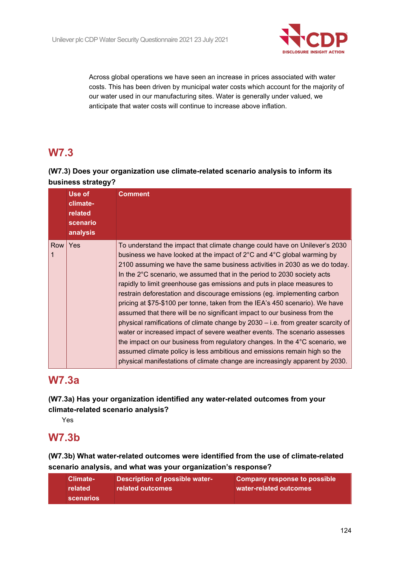

Across global operations we have seen an increase in prices associated with water costs. This has been driven by municipal water costs which account for the majority of our water used in our manufacturing sites. Water is generally under valued, we anticipate that water costs will continue to increase above inflation.

# **W7.3**

### **(W7.3) Does your organization use climate-related scenario analysis to inform its business strategy?**

|          | Use of<br>climate-<br>related<br>scenario<br>analysis | <b>Comment</b>                                                                                                                                                                                                                                                                                                                                                                                                                                                                                                                                                                                                                                                                                                                                                                                                                                                                                                                                                                                                                                           |
|----------|-------------------------------------------------------|----------------------------------------------------------------------------------------------------------------------------------------------------------------------------------------------------------------------------------------------------------------------------------------------------------------------------------------------------------------------------------------------------------------------------------------------------------------------------------------------------------------------------------------------------------------------------------------------------------------------------------------------------------------------------------------------------------------------------------------------------------------------------------------------------------------------------------------------------------------------------------------------------------------------------------------------------------------------------------------------------------------------------------------------------------|
| Row<br>1 | Yes                                                   | To understand the impact that climate change could have on Unilever's 2030<br>business we have looked at the impact of 2°C and 4°C global warming by<br>2100 assuming we have the same business activities in 2030 as we do today.<br>In the $2^{\circ}$ C scenario, we assumed that in the period to 2030 society acts<br>rapidly to limit greenhouse gas emissions and puts in place measures to<br>restrain deforestation and discourage emissions (eg. implementing carbon<br>pricing at \$75-\$100 per tonne, taken from the IEA's 450 scenario). We have<br>assumed that there will be no significant impact to our business from the<br>physical ramifications of climate change by 2030 – i.e. from greater scarcity of<br>water or increased impact of severe weather events. The scenario assesses<br>the impact on our business from regulatory changes. In the 4°C scenario, we<br>assumed climate policy is less ambitious and emissions remain high so the<br>physical manifestations of climate change are increasingly apparent by 2030. |

# **W7.3a**

**(W7.3a) Has your organization identified any water-related outcomes from your climate-related scenario analysis?**

Yes

### **W7.3b**

**(W7.3b) What water-related outcomes were identified from the use of climate-related scenario analysis, and what was your organization's response?**

| Climate-<br>related<br>scenarios | Description of possible water-<br>related outcomes | Company response to possible<br>water-related outcomes |
|----------------------------------|----------------------------------------------------|--------------------------------------------------------|
|----------------------------------|----------------------------------------------------|--------------------------------------------------------|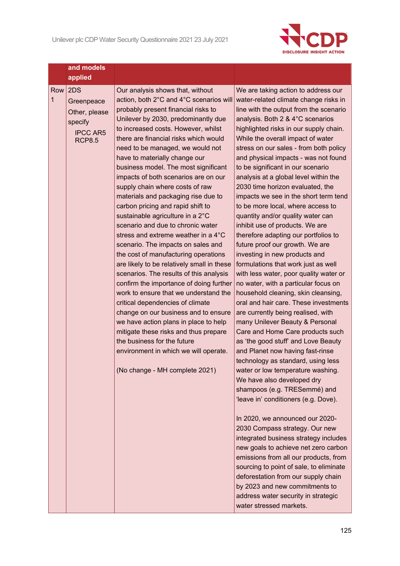

|          | and models<br>applied                                                             |                                                                                                                                                                                                                                                                                                                                                                                                                                                                                                                                                                                                                                                                                                                                                                                                                                                                                                                                                                                                                                                                                                                                                                  |                                                                                                                                                                                                                                                                                                                                                                                                                                                                                                                                                                                                                                                                                                                                                                                                                                                                                                                                                                                                                                                                                                                                                                                                                                                                                                                                                                                                                                                                                                                                                                                                                                                                                        |
|----------|-----------------------------------------------------------------------------------|------------------------------------------------------------------------------------------------------------------------------------------------------------------------------------------------------------------------------------------------------------------------------------------------------------------------------------------------------------------------------------------------------------------------------------------------------------------------------------------------------------------------------------------------------------------------------------------------------------------------------------------------------------------------------------------------------------------------------------------------------------------------------------------------------------------------------------------------------------------------------------------------------------------------------------------------------------------------------------------------------------------------------------------------------------------------------------------------------------------------------------------------------------------|----------------------------------------------------------------------------------------------------------------------------------------------------------------------------------------------------------------------------------------------------------------------------------------------------------------------------------------------------------------------------------------------------------------------------------------------------------------------------------------------------------------------------------------------------------------------------------------------------------------------------------------------------------------------------------------------------------------------------------------------------------------------------------------------------------------------------------------------------------------------------------------------------------------------------------------------------------------------------------------------------------------------------------------------------------------------------------------------------------------------------------------------------------------------------------------------------------------------------------------------------------------------------------------------------------------------------------------------------------------------------------------------------------------------------------------------------------------------------------------------------------------------------------------------------------------------------------------------------------------------------------------------------------------------------------------|
| Row<br>1 | 2DS<br>Greenpeace<br>Other, please<br>specify<br><b>IPCC AR5</b><br><b>RCP8.5</b> | Our analysis shows that, without<br>action, both 2°C and 4°C scenarios will<br>probably present financial risks to<br>Unilever by 2030, predominantly due<br>to increased costs. However, whilst<br>there are financial risks which would<br>need to be managed, we would not<br>have to materially change our<br>business model. The most significant<br>impacts of both scenarios are on our<br>supply chain where costs of raw<br>materials and packaging rise due to<br>carbon pricing and rapid shift to<br>sustainable agriculture in a 2°C<br>scenario and due to chronic water<br>stress and extreme weather in a 4°C<br>scenario. The impacts on sales and<br>the cost of manufacturing operations<br>are likely to be relatively small in these<br>scenarios. The results of this analysis<br>confirm the importance of doing further<br>work to ensure that we understand the<br>critical dependencies of climate<br>change on our business and to ensure<br>we have action plans in place to help<br>mitigate these risks and thus prepare<br>the business for the future<br>environment in which we will operate.<br>(No change - MH complete 2021) | We are taking action to address our<br>water-related climate change risks in<br>line with the output from the scenario<br>analysis. Both 2 & 4°C scenarios<br>highlighted risks in our supply chain.<br>While the overall impact of water<br>stress on our sales - from both policy<br>and physical impacts - was not found<br>to be significant in our scenario<br>analysis at a global level within the<br>2030 time horizon evaluated, the<br>impacts we see in the short term tend<br>to be more local, where access to<br>quantity and/or quality water can<br>inhibit use of products. We are<br>therefore adapting our portfolios to<br>future proof our growth. We are<br>investing in new products and<br>formulations that work just as well<br>with less water, poor quality water or<br>no water, with a particular focus on<br>household cleaning, skin cleansing,<br>oral and hair care. These investments<br>are currently being realised, with<br>many Unilever Beauty & Personal<br>Care and Home Care products such<br>as 'the good stuff' and Love Beauty<br>and Planet now having fast-rinse<br>technology as standard, using less<br>water or low temperature washing.<br>We have also developed dry<br>shampoos (e.g. TRESemmé) and<br>'leave in' conditioners (e.g. Dove).<br>In 2020, we announced our 2020-<br>2030 Compass strategy. Our new<br>integrated business strategy includes<br>new goals to achieve net zero carbon<br>emissions from all our products, from<br>sourcing to point of sale, to eliminate<br>deforestation from our supply chain<br>by 2023 and new commitments to<br>address water security in strategic<br>water stressed markets. |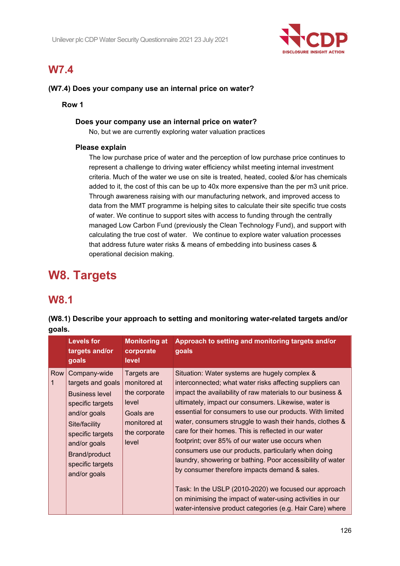

# **W7.4**

#### **(W7.4) Does your company use an internal price on water?**

**Row 1**

#### **Does your company use an internal price on water?**

No, but we are currently exploring water valuation practices

#### **Please explain**

The low purchase price of water and the perception of low purchase price continues to represent a challenge to driving water efficiency whilst meeting internal investment criteria. Much of the water we use on site is treated, heated, cooled &/or has chemicals added to it, the cost of this can be up to 40x more expensive than the per m3 unit price. Through awareness raising with our manufacturing network, and improved access to data from the MMT programme is helping sites to calculate their site specific true costs of water. We continue to support sites with access to funding through the centrally managed Low Carbon Fund (previously the Clean Technology Fund), and support with calculating the true cost of water. We continue to explore water valuation processes that address future water risks & means of embedding into business cases & operational decision making.

# **W8. Targets**

### **W8.1**

| Approach to setting and monitoring targets and/or<br><b>Levels for</b><br><b>Monitoring at</b><br>targets and/or<br>corporate<br>goals<br>goals<br>level<br>Row<br>Company-wide<br>Targets are<br>Situation: Water systems are hugely complex &<br>1<br>targets and goals<br>monitored at<br>interconnected; what water risks affecting suppliers can<br>the corporate<br><b>Business level</b><br>ultimately, impact our consumers. Likewise, water is<br>level<br>specific targets<br>and/or goals<br>Goals are<br>monitored at<br>Site/facility<br>care for their homes. This is reflected in our water<br>the corporate<br>specific targets<br>footprint; over 85% of our water use occurs when<br>level<br>and/or goals<br>consumers use our products, particularly when doing<br>Brand/product<br>specific targets<br>by consumer therefore impacts demand & sales.<br>and/or goals |  | gouro. |  |                                                                                                                                                                                                                                                                                                                                                                         |  |  |  |  |
|-------------------------------------------------------------------------------------------------------------------------------------------------------------------------------------------------------------------------------------------------------------------------------------------------------------------------------------------------------------------------------------------------------------------------------------------------------------------------------------------------------------------------------------------------------------------------------------------------------------------------------------------------------------------------------------------------------------------------------------------------------------------------------------------------------------------------------------------------------------------------------------------|--|--------|--|-------------------------------------------------------------------------------------------------------------------------------------------------------------------------------------------------------------------------------------------------------------------------------------------------------------------------------------------------------------------------|--|--|--|--|
|                                                                                                                                                                                                                                                                                                                                                                                                                                                                                                                                                                                                                                                                                                                                                                                                                                                                                           |  |        |  |                                                                                                                                                                                                                                                                                                                                                                         |  |  |  |  |
| on minimising the impact of water-using activities in our                                                                                                                                                                                                                                                                                                                                                                                                                                                                                                                                                                                                                                                                                                                                                                                                                                 |  |        |  | impact the availability of raw materials to our business &<br>essential for consumers to use our products. With limited<br>water, consumers struggle to wash their hands, clothes &<br>laundry, showering or bathing. Poor accessibility of water<br>Task: In the USLP (2010-2020) we focused our approach<br>water-intensive product categories (e.g. Hair Care) where |  |  |  |  |

**(W8.1) Describe your approach to setting and monitoring water-related targets and/or goals.**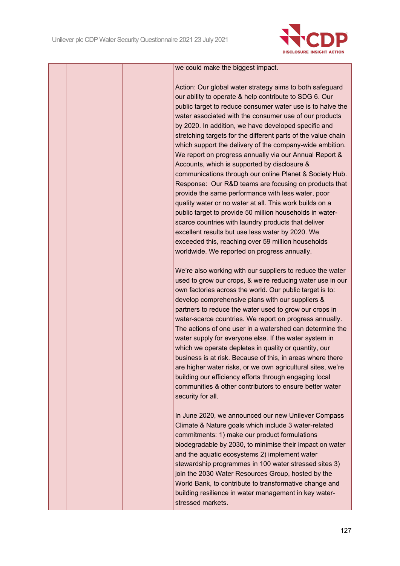

#### we could make the biggest impact.

Action: Our global water strategy aims to both safeguard our ability to operate & help contribute to SDG 6. Our public target to reduce consumer water use is to halve the water associated with the consumer use of our products by 2020. In addition, we have developed specific and stretching targets for the different parts of the value chain which support the delivery of the company-wide ambition. We report on progress annually via our Annual Report & Accounts, which is supported by disclosure & communications through our online Planet & Society Hub. Response: Our R&D teams are focusing on products that provide the same performance with less water, poor quality water or no water at all. This work builds on a public target to provide 50 million households in waterscarce countries with laundry products that deliver excellent results but use less water by 2020. We exceeded this, reaching over 59 million households worldwide. We reported on progress annually.

We're also working with our suppliers to reduce the water used to grow our crops, & we're reducing water use in our own factories across the world. Our public target is to: develop comprehensive plans with our suppliers & partners to reduce the water used to grow our crops in water-scarce countries. We report on progress annually. The actions of one user in a watershed can determine the water supply for everyone else. If the water system in which we operate depletes in quality or quantity, our business is at risk. Because of this, in areas where there are higher water risks, or we own agricultural sites, we're building our efficiency efforts through engaging local communities & other contributors to ensure better water security for all.

In June 2020, we announced our new Unilever Compass Climate & Nature goals which include 3 water-related commitments: 1) make our product formulations biodegradable by 2030, to minimise their impact on water and the aquatic ecosystems 2) implement water stewardship programmes in 100 water stressed sites 3) join the 2030 Water Resources Group, hosted by the World Bank, to contribute to transformative change and building resilience in water management in key waterstressed markets.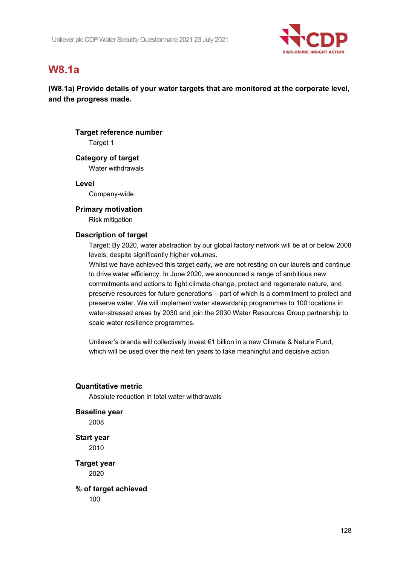

# **W8.1a**

**(W8.1a) Provide details of your water targets that are monitored at the corporate level, and the progress made.**

### **Target reference number** Target 1

**Category of target** Water withdrawals

**Level**

Company-wide

#### **Primary motivation**

Risk mitigation

#### **Description of target**

Target: By 2020, water abstraction by our global factory network will be at or below 2008 levels, despite significantly higher volumes.

Whilst we have achieved this target early, we are not resting on our laurels and continue to drive water efficiency. In June 2020, we announced a range of ambitious new commitments and actions to fight climate change, protect and regenerate nature, and preserve resources for future generations – part of which is a commitment to protect and preserve water. We will implement water stewardship programmes to 100 locations in water-stressed areas by 2030 and join the 2030 Water Resources Group partnership to scale water resilience programmes.

Unilever's brands will collectively invest €1 billion in a new Climate & Nature Fund, which will be used over the next ten years to take meaningful and decisive action.

#### **Quantitative metric**

Absolute reduction in total water withdrawals

#### **Baseline year**

2008

**Start year** 2010

**Target year** 2020

**% of target achieved** 100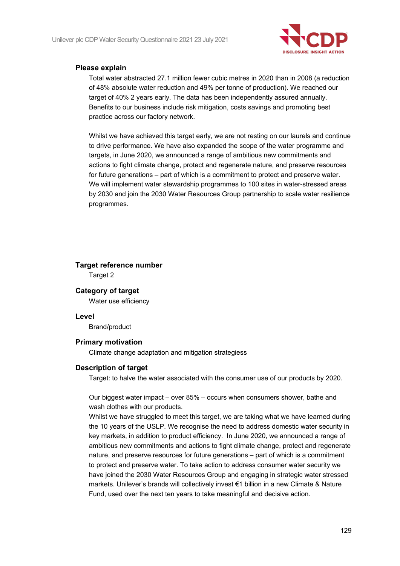

#### **Please explain**

Total water abstracted 27.1 million fewer cubic metres in 2020 than in 2008 (a reduction of 48% absolute water reduction and 49% per tonne of production). We reached our target of 40% 2 years early. The data has been independently assured annually. Benefits to our business include risk mitigation, costs savings and promoting best practice across our factory network.

Whilst we have achieved this target early, we are not resting on our laurels and continue to drive performance. We have also expanded the scope of the water programme and targets, in June 2020, we announced a range of ambitious new commitments and actions to fight climate change, protect and regenerate nature, and preserve resources for future generations – part of which is a commitment to protect and preserve water. We will implement water stewardship programmes to 100 sites in water-stressed areas by 2030 and join the 2030 Water Resources Group partnership to scale water resilience programmes.

# **Target reference number**

Target 2

#### **Category of target**

Water use efficiency

#### **Level**

Brand/product

#### **Primary motivation**

Climate change adaptation and mitigation strategiess

#### **Description of target**

Target: to halve the water associated with the consumer use of our products by 2020.

Our biggest water impact – over 85% – occurs when consumers shower, bathe and wash clothes with our products.

Whilst we have struggled to meet this target, we are taking what we have learned during the 10 years of the USLP. We recognise the need to address domestic water security in key markets, in addition to product efficiency. In June 2020, we announced a range of ambitious new commitments and actions to fight climate change, protect and regenerate nature, and preserve resources for future generations – part of which is a commitment to protect and preserve water. To take action to address consumer water security we have joined the 2030 Water Resources Group and engaging in strategic water stressed markets. Unilever's brands will collectively invest €1 billion in a new Climate & Nature Fund, used over the next ten years to take meaningful and decisive action.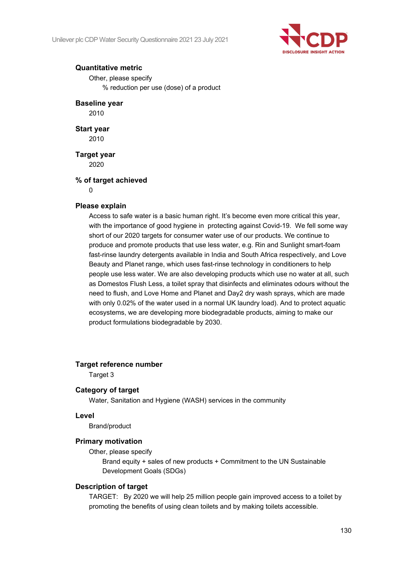

#### **Quantitative metric**

Other, please specify % reduction per use (dose) of a product

#### **Baseline year**

2010

**Start year** 2010

**Target year** 2020

#### **% of target achieved**

 $\Omega$ 

#### **Please explain**

Access to safe water is a basic human right. It's become even more critical this year, with the importance of good hygiene in protecting against Covid-19. We fell some way short of our 2020 targets for consumer water use of our products. We continue to produce and promote products that use less water, e.g. Rin and Sunlight smart-foam fast-rinse laundry detergents available in India and South Africa respectively, and Love Beauty and Planet range, which uses fast-rinse technology in conditioners to help people use less water. We are also developing products which use no water at all, such as Domestos Flush Less, a toilet spray that disinfects and eliminates odours without the need to flush, and Love Home and Planet and Day2 dry wash sprays, which are made with only 0.02% of the water used in a normal UK laundry load). And to protect aquatic ecosystems, we are developing more biodegradable products, aiming to make our product formulations biodegradable by 2030.

#### **Target reference number**

Target 3

#### **Category of target**

Water, Sanitation and Hygiene (WASH) services in the community

#### **Level**

Brand/product

#### **Primary motivation**

Other, please specify

Brand equity + sales of new products + Commitment to the UN Sustainable Development Goals (SDGs)

#### **Description of target**

TARGET: By 2020 we will help 25 million people gain improved access to a toilet by promoting the benefits of using clean toilets and by making toilets accessible.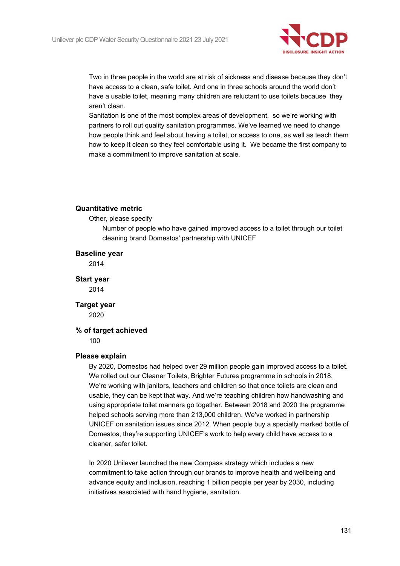

Two in three people in the world are at risk of sickness and disease because they don't have access to a clean, safe toilet. And one in three schools around the world don't have a usable toilet, meaning many children are reluctant to use toilets because they aren't clean.

Sanitation is one of the most complex areas of development, so we're working with partners to roll out quality sanitation programmes. We've learned we need to change how people think and feel about having a toilet, or access to one, as well as teach them how to keep it clean so they feel comfortable using it. We became the first company to make a commitment to improve sanitation at scale.

#### **Quantitative metric**

Other, please specify

Number of people who have gained improved access to a toilet through our toilet cleaning brand Domestos' partnership with UNICEF

#### **Baseline year**

2014

**Start year** 2014

**Target year** 2020

#### **% of target achieved**

100

#### **Please explain**

By 2020, Domestos had helped over 29 million people gain improved access to a toilet. We rolled out our Cleaner Toilets, Brighter Futures programme in schools in 2018. We're working with janitors, teachers and children so that once toilets are clean and usable, they can be kept that way. And we're teaching children how handwashing and using appropriate toilet manners go together. Between 2018 and 2020 the programme helped schools serving more than 213,000 children. We've worked in partnership UNICEF on sanitation issues since 2012. When people buy a specially marked bottle of Domestos, they're supporting UNICEF's work to help every child have access to a cleaner, safer toilet.

In 2020 Unilever launched the new Compass strategy which includes a new commitment to take action through our brands to improve health and wellbeing and advance equity and inclusion, reaching 1 billion people per year by 2030, including initiatives associated with hand hygiene, sanitation.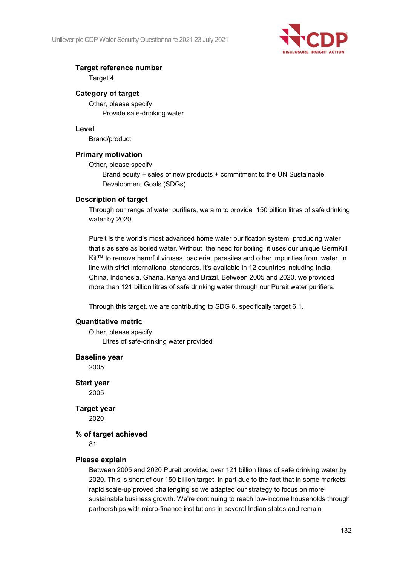

#### **Target reference number**

Target 4

#### **Category of target**

Other, please specify Provide safe-drinking water

#### **Level**

Brand/product

#### **Primary motivation**

Other, please specify

Brand equity + sales of new products + commitment to the UN Sustainable Development Goals (SDGs)

#### **Description of target**

Through our range of water purifiers, we aim to provide 150 billion litres of safe drinking water by 2020.

Pureit is the world's most advanced home water purification system, producing water that's as safe as boiled water. Without the need for boiling, it uses our unique GermKill Kit™ to remove harmful viruses, bacteria, parasites and other impurities from water, in line with strict international standards. It's available in 12 countries including India, China, Indonesia, Ghana, Kenya and Brazil. Between 2005 and 2020, we provided more than 121 billion litres of safe drinking water through our Pureit water purifiers.

Through this target, we are contributing to SDG 6, specifically target 6.1.

#### **Quantitative metric**

Other, please specify Litres of safe-drinking water provided

#### **Baseline year**

2005

### **Start year**

2005

### **Target year**

2020

#### **% of target achieved**

81

#### **Please explain**

Between 2005 and 2020 Pureit provided over 121 billion litres of safe drinking water by 2020. This is short of our 150 billion target, in part due to the fact that in some markets, rapid scale-up proved challenging so we adapted our strategy to focus on more sustainable business growth. We're continuing to reach low-income households through partnerships with micro-finance institutions in several Indian states and remain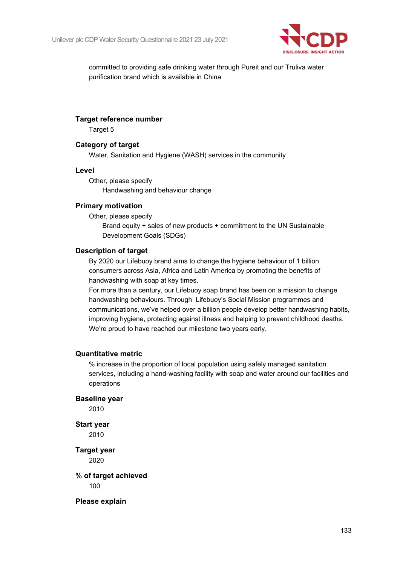

committed to providing safe drinking water through Pureit and our Truliva water purification brand which is available in China

#### **Target reference number**

Target 5

#### **Category of target**

Water, Sanitation and Hygiene (WASH) services in the community

#### **Level**

Other, please specify Handwashing and behaviour change

#### **Primary motivation**

Other, please specify

Brand equity + sales of new products + commitment to the UN Sustainable Development Goals (SDGs)

#### **Description of target**

By 2020 our Lifebuoy brand aims to change the hygiene behaviour of 1 billion consumers across Asia, Africa and Latin America by promoting the benefits of handwashing with soap at key times.

For more than a century, our Lifebuoy soap brand has been on a mission to change handwashing behaviours. Through Lifebuoy's Social Mission programmes and communications, we've helped over a billion people develop better handwashing habits, improving hygiene, protecting against illness and helping to prevent childhood deaths. We're proud to have reached our milestone two years early.

#### **Quantitative metric**

% increase in the proportion of local population using safely managed sanitation services, including a hand-washing facility with soap and water around our facilities and operations

**Baseline year**

2010

### **Start year**

2010

**Target year** 2020

**% of target achieved** 100

**Please explain**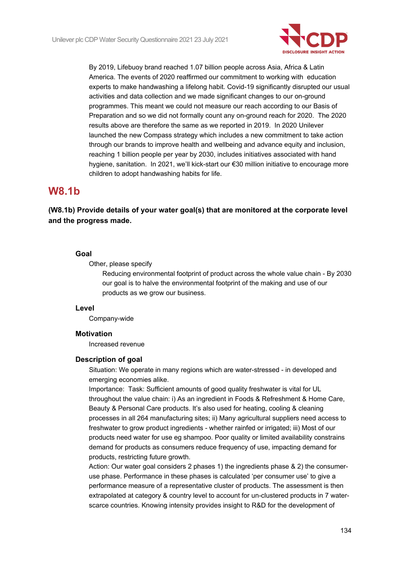

By 2019, Lifebuoy brand reached 1.07 billion people across Asia, Africa & Latin America. The events of 2020 reaffirmed our commitment to working with education experts to make handwashing a lifelong habit. Covid-19 significantly disrupted our usual activities and data collection and we made significant changes to our on-ground programmes. This meant we could not measure our reach according to our Basis of Preparation and so we did not formally count any on-ground reach for 2020. The 2020 results above are therefore the same as we reported in 2019. In 2020 Unilever launched the new Compass strategy which includes a new commitment to take action through our brands to improve health and wellbeing and advance equity and inclusion, reaching 1 billion people per year by 2030, includes initiatives associated with hand hygiene, sanitation. In 2021, we'll kick-start our €30 million initiative to encourage more children to adopt handwashing habits for life.

### **W8.1b**

### **(W8.1b) Provide details of your water goal(s) that are monitored at the corporate level and the progress made.**

#### **Goal**

Other, please specify

Reducing environmental footprint of product across the whole value chain - By 2030 our goal is to halve the environmental footprint of the making and use of our products as we grow our business.

#### **Level**

Company-wide

#### **Motivation**

Increased revenue

#### **Description of goal**

Situation: We operate in many regions which are water-stressed - in developed and emerging economies alike.

Importance: Task: Sufficient amounts of good quality freshwater is vital for UL throughout the value chain: i) As an ingredient in Foods & Refreshment & Home Care, Beauty & Personal Care products. It's also used for heating, cooling & cleaning processes in all 264 manufacturing sites; ii) Many agricultural suppliers need access to freshwater to grow product ingredients - whether rainfed or irrigated; iii) Most of our products need water for use eg shampoo. Poor quality or limited availability constrains demand for products as consumers reduce frequency of use, impacting demand for products, restricting future growth.

Action: Our water goal considers 2 phases 1) the ingredients phase & 2) the consumeruse phase. Performance in these phases is calculated 'per consumer use' to give a performance measure of a representative cluster of products. The assessment is then extrapolated at category & country level to account for un-clustered products in 7 waterscarce countries. Knowing intensity provides insight to R&D for the development of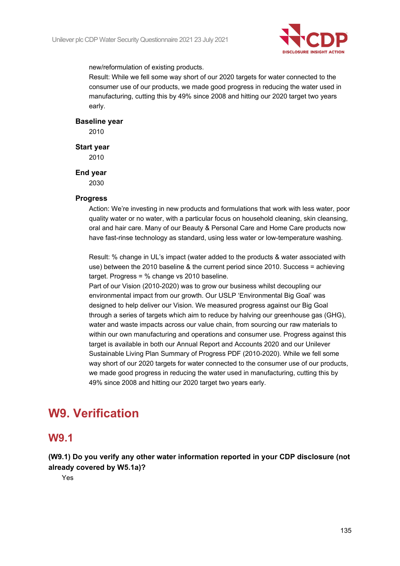

new/reformulation of existing products.

Result: While we fell some way short of our 2020 targets for water connected to the consumer use of our products, we made good progress in reducing the water used in manufacturing, cutting this by 49% since 2008 and hitting our 2020 target two years early.

#### **Baseline year**

2010

#### **Start year**

2010

#### **End year**

2030

#### **Progress**

Action: We're investing in new products and formulations that work with less water, poor quality water or no water, with a particular focus on household cleaning, skin cleansing, oral and hair care. Many of our Beauty & Personal Care and Home Care products now have fast-rinse technology as standard, using less water or low-temperature washing.

Result: % change in UL's impact (water added to the products & water associated with use) between the 2010 baseline & the current period since 2010. Success = achieving target. Progress = % change vs 2010 baseline.

Part of our Vision (2010-2020) was to grow our business whilst decoupling our environmental impact from our growth. Our USLP 'Environmental Big Goal' was designed to help deliver our Vision. We measured progress against our Big Goal through a series of targets which aim to reduce by halving our greenhouse gas (GHG), water and waste impacts across our value chain, from sourcing our raw materials to within our own manufacturing and operations and consumer use. Progress against this target is available in both our Annual Report and Accounts 2020 and our Unilever Sustainable Living Plan Summary of Progress PDF (2010-2020). While we fell some way short of our 2020 targets for water connected to the consumer use of our products, we made good progress in reducing the water used in manufacturing, cutting this by 49% since 2008 and hitting our 2020 target two years early.

# **W9. Verification**

### **W9.1**

**(W9.1) Do you verify any other water information reported in your CDP disclosure (not already covered by W5.1a)?**

Yes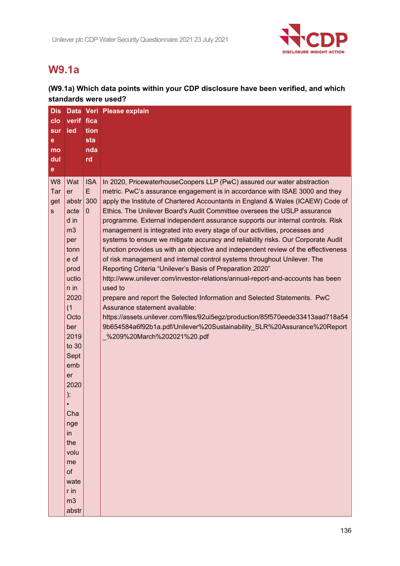

# **W9.1a**

### **(W9.1a) Which data points within your CDP disclosure have been verified, and which standards were used?**

| <b>Dis</b>     |                 |              | Data Veri Please explain                                                                  |
|----------------|-----------------|--------------|-------------------------------------------------------------------------------------------|
| clo            | verif fica      |              |                                                                                           |
| sur            | ied             | tion         |                                                                                           |
| е              |                 | sta          |                                                                                           |
| mo             |                 | nda          |                                                                                           |
| dul            |                 | rd           |                                                                                           |
| $\mathbf e$    |                 |              |                                                                                           |
| W <sub>8</sub> | Wat             | <b>ISA</b>   | In 2020, PricewaterhouseCoopers LLP (PwC) assured our water abstraction                   |
| Tar            | er              | E            | metric. PwC's assurance engagement is in accordance with ISAE 3000 and they               |
| get            | abstr           | 300          | apply the Institute of Chartered Accountants in England & Wales (ICAEW) Code of           |
| s.             | acte            | $\mathbf{0}$ | Ethics. The Unilever Board's Audit Committee oversees the USLP assurance                  |
|                | d in            |              | programme. External independent assurance supports our internal controls. Risk            |
|                | m <sub>3</sub>  |              | management is integrated into every stage of our activities, processes and                |
|                | per             |              | systems to ensure we mitigate accuracy and reliability risks. Our Corporate Audit         |
|                | tonn            |              | function provides us with an objective and independent review of the effectiveness        |
|                | e of            |              | of risk management and internal control systems throughout Unilever. The                  |
|                | prod            |              | Reporting Criteria "Unilever's Basis of Preparation 2020"                                 |
|                | uctio<br>$n$ in |              | http://www.unilever.com/investor-relations/annual-report-and-accounts has been<br>used to |
|                | 2020            |              | prepare and report the Selected Information and Selected Statements. PwC                  |
|                | (1)             |              | Assurance statement available:                                                            |
|                | Octo            |              | https://assets.unilever.com/files/92ui5egz/production/85f570eede33413aad718a54            |
|                | ber             |              | 9b654584a6f92b1a.pdf/Unilever%20Sustainability_SLR%20Assurance%20Report                   |
|                | 2019            |              | %209%20March%202021%20.pdf                                                                |
|                | to $30$         |              |                                                                                           |
|                | Sept            |              |                                                                                           |
|                | emb             |              |                                                                                           |
|                | er              |              |                                                                                           |
|                | 2020            |              |                                                                                           |
|                | );              |              |                                                                                           |
|                | Cha             |              |                                                                                           |
|                |                 |              |                                                                                           |
|                | nge<br>in       |              |                                                                                           |
|                | the             |              |                                                                                           |
|                | volu            |              |                                                                                           |
|                | me              |              |                                                                                           |
|                | of              |              |                                                                                           |
|                | wate            |              |                                                                                           |
|                | r in            |              |                                                                                           |
|                | m <sub>3</sub>  |              |                                                                                           |
|                | abstr           |              |                                                                                           |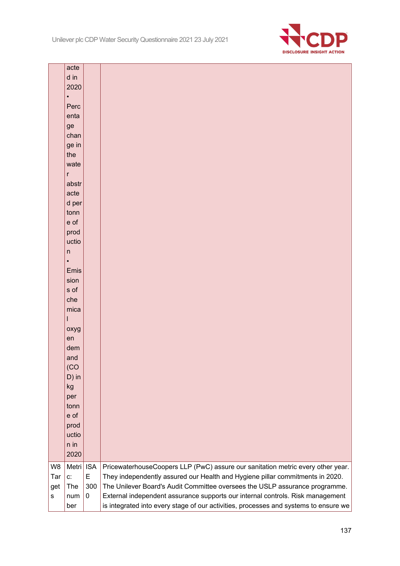

|           | acte              |                 |                                                                                                                                                                  |
|-----------|-------------------|-----------------|------------------------------------------------------------------------------------------------------------------------------------------------------------------|
|           | d in              |                 |                                                                                                                                                                  |
|           | 2020<br>$\bullet$ |                 |                                                                                                                                                                  |
|           | Perc              |                 |                                                                                                                                                                  |
|           | enta              |                 |                                                                                                                                                                  |
|           | ge                |                 |                                                                                                                                                                  |
|           | chan              |                 |                                                                                                                                                                  |
|           | ge in             |                 |                                                                                                                                                                  |
|           | the               |                 |                                                                                                                                                                  |
|           | wate              |                 |                                                                                                                                                                  |
|           | r                 |                 |                                                                                                                                                                  |
|           | abstr             |                 |                                                                                                                                                                  |
|           | acte              |                 |                                                                                                                                                                  |
|           | d per             |                 |                                                                                                                                                                  |
|           | tonn              |                 |                                                                                                                                                                  |
|           | e of              |                 |                                                                                                                                                                  |
|           | prod              |                 |                                                                                                                                                                  |
|           | uctio             |                 |                                                                                                                                                                  |
|           | n                 |                 |                                                                                                                                                                  |
|           | $\bullet$         |                 |                                                                                                                                                                  |
|           | Emis<br>sion      |                 |                                                                                                                                                                  |
|           | s of              |                 |                                                                                                                                                                  |
|           | che               |                 |                                                                                                                                                                  |
|           | mica              |                 |                                                                                                                                                                  |
|           |                   |                 |                                                                                                                                                                  |
|           | oxyg              |                 |                                                                                                                                                                  |
|           | en                |                 |                                                                                                                                                                  |
|           | dem               |                 |                                                                                                                                                                  |
|           | and               |                 |                                                                                                                                                                  |
|           | (CO)              |                 |                                                                                                                                                                  |
|           | $D)$ in           |                 |                                                                                                                                                                  |
|           | kg                |                 |                                                                                                                                                                  |
|           | per               |                 |                                                                                                                                                                  |
|           | tonn              |                 |                                                                                                                                                                  |
|           | e of              |                 |                                                                                                                                                                  |
|           | prod              |                 |                                                                                                                                                                  |
|           | uctio<br>n in     |                 |                                                                                                                                                                  |
|           | 2020              |                 |                                                                                                                                                                  |
|           |                   |                 |                                                                                                                                                                  |
| W8<br>Tar | Metri<br>c:       | <b>ISA</b><br>E | PricewaterhouseCoopers LLP (PwC) assure our sanitation metric every other year.<br>They independently assured our Health and Hygiene pillar commitments in 2020. |
| get       | The               | 300             | The Unilever Board's Audit Committee oversees the USLP assurance programme.                                                                                      |
| s         | num               | 0               | External independent assurance supports our internal controls. Risk management                                                                                   |
|           | ber               |                 | is integrated into every stage of our activities, processes and systems to ensure we                                                                             |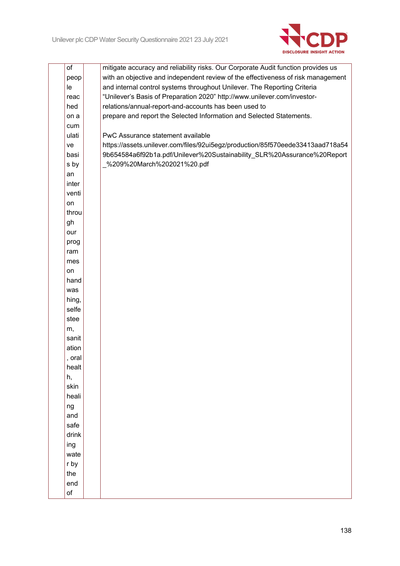

| of     | mitigate accuracy and reliability risks. Our Corporate Audit function provides us |
|--------|-----------------------------------------------------------------------------------|
| peop   | with an objective and independent review of the effectiveness of risk management  |
| le     | and internal control systems throughout Unilever. The Reporting Criteria          |
| reac   | "Unilever's Basis of Preparation 2020" http://www.unilever.com/investor-          |
| hed    | relations/annual-report-and-accounts has been used to                             |
| on a   | prepare and report the Selected Information and Selected Statements.              |
| cum    |                                                                                   |
| ulati  | PwC Assurance statement available                                                 |
| ve     | https://assets.unilever.com/files/92ui5egz/production/85f570eede33413aad718a54    |
| basi   | 9b654584a6f92b1a.pdf/Unilever%20Sustainability SLR%20Assurance%20Report           |
| s by   | _%209%20March%202021%20.pdf                                                       |
| an     |                                                                                   |
| inter  |                                                                                   |
| venti  |                                                                                   |
| on     |                                                                                   |
| throu  |                                                                                   |
| gh     |                                                                                   |
| our    |                                                                                   |
| prog   |                                                                                   |
| ram    |                                                                                   |
| mes    |                                                                                   |
| on     |                                                                                   |
| hand   |                                                                                   |
| was    |                                                                                   |
| hing,  |                                                                                   |
| selfe  |                                                                                   |
| stee   |                                                                                   |
| m,     |                                                                                   |
| sanit  |                                                                                   |
| ation  |                                                                                   |
| , oral |                                                                                   |
| healt  |                                                                                   |
| h,     |                                                                                   |
| skin   |                                                                                   |
| heali  |                                                                                   |
| ng     |                                                                                   |
| and    |                                                                                   |
| safe   |                                                                                   |
| drink  |                                                                                   |
| ing    |                                                                                   |
| wate   |                                                                                   |
| r by   |                                                                                   |
| the    |                                                                                   |
| end    |                                                                                   |
| of     |                                                                                   |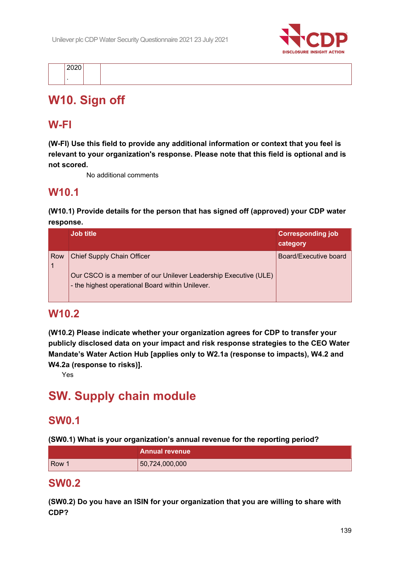

# **W10. Sign off**

## **W-FI**

**(W-FI) Use this field to provide any additional information or context that you feel is relevant to your organization's response. Please note that this field is optional and is not scored.**

No additional comments

# **W10.1**

**(W10.1) Provide details for the person that has signed off (approved) your CDP water response.**

|     | <b>Job title</b>                                                                                                                                         | <b>Corresponding job</b><br>category |
|-----|----------------------------------------------------------------------------------------------------------------------------------------------------------|--------------------------------------|
| Row | <b>Chief Supply Chain Officer</b><br>Our CSCO is a member of our Unilever Leadership Executive (ULE)<br>- the highest operational Board within Unilever. | Board/Executive board                |

### **W10.2**

**(W10.2) Please indicate whether your organization agrees for CDP to transfer your publicly disclosed data on your impact and risk response strategies to the CEO Water Mandate's Water Action Hub [applies only to W2.1a (response to impacts), W4.2 and W4.2a (response to risks)].**

Yes

# **SW. Supply chain module**

# **SW0.1**

**(SW0.1) What is your organization's annual revenue for the reporting period?**

|       | <b>Annual revenue</b> |
|-------|-----------------------|
| Row 1 | 50,724,000,000        |

### **SW0.2**

**(SW0.2) Do you have an ISIN for your organization that you are willing to share with CDP?**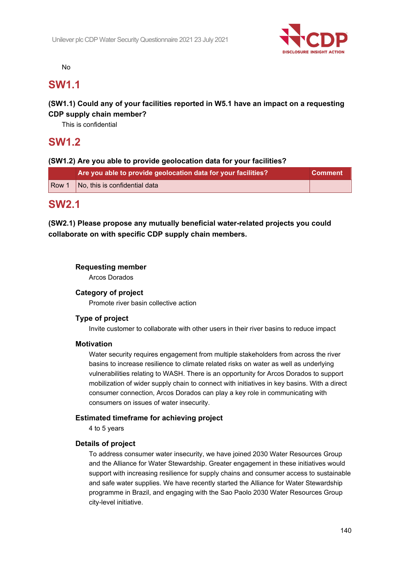

No

### **SW1.1**

### **(SW1.1) Could any of your facilities reported in W5.1 have an impact on a requesting CDP supply chain member?**

This is confidential

# **SW1.2**

### **(SW1.2) Are you able to provide geolocation data for your facilities?**

|       | Are you able to provide geolocation data for your facilities? | ⊾Comment \ |
|-------|---------------------------------------------------------------|------------|
| Row 1 | No, this is confidential data                                 |            |

### **SW2.1**

**(SW2.1) Please propose any mutually beneficial water-related projects you could collaborate on with specific CDP supply chain members.**

#### **Requesting member**

Arcos Dorados

#### **Category of project**

Promote river basin collective action

### **Type of project**

Invite customer to collaborate with other users in their river basins to reduce impact

#### **Motivation**

Water security requires engagement from multiple stakeholders from across the river basins to increase resilience to climate related risks on water as well as underlying vulnerabilities relating to WASH. There is an opportunity for Arcos Dorados to support mobilization of wider supply chain to connect with initiatives in key basins. With a direct consumer connection, Arcos Dorados can play a key role in communicating with consumers on issues of water insecurity.

#### **Estimated timeframe for achieving project**

4 to 5 years

#### **Details of project**

To address consumer water insecurity, we have joined 2030 Water Resources Group and the Alliance for Water Stewardship. Greater engagement in these initiatives would support with increasing resilience for supply chains and consumer access to sustainable and safe water supplies. We have recently started the Alliance for Water Stewardship programme in Brazil, and engaging with the Sao Paolo 2030 Water Resources Group city-level initiative.